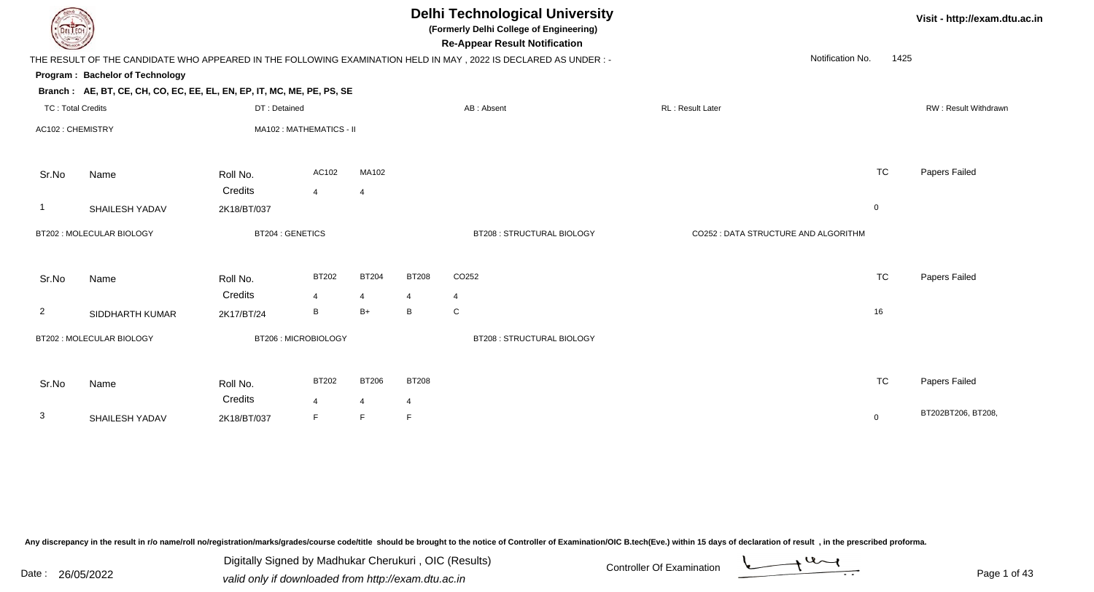| DEL TECH                 |                                                                        |                        |                         |                |              | <b>Delhi Technological University</b><br>(Formerly Delhi College of Engineering)<br><b>Re-Appear Result Notification</b> |                                      |             | Visit - http://exam.dtu.ac.in |
|--------------------------|------------------------------------------------------------------------|------------------------|-------------------------|----------------|--------------|--------------------------------------------------------------------------------------------------------------------------|--------------------------------------|-------------|-------------------------------|
|                          |                                                                        |                        |                         |                |              | THE RESULT OF THE CANDIDATE WHO APPEARED IN THE FOLLOWING EXAMINATION HELD IN MAY, 2022 IS DECLARED AS UNDER :-          | Notification No.                     | 1425        |                               |
|                          | Program: Bachelor of Technology                                        |                        |                         |                |              |                                                                                                                          |                                      |             |                               |
|                          | Branch: AE, BT, CE, CH, CO, EC, EE, EL, EN, EP, IT, MC, ME, PE, PS, SE |                        |                         |                |              |                                                                                                                          |                                      |             |                               |
| <b>TC: Total Credits</b> |                                                                        | DT: Detained           |                         |                |              | AB: Absent                                                                                                               | RL: Result Later                     |             | RW: Result Withdrawn          |
| AC102: CHEMISTRY         |                                                                        |                        | MA102: MATHEMATICS - II |                |              |                                                                                                                          |                                      |             |                               |
| Sr.No                    | Name                                                                   | Roll No.               | AC102                   | MA102          |              |                                                                                                                          |                                      | TC          | Papers Failed                 |
|                          |                                                                        | Credits                | $\overline{4}$          | $\overline{4}$ |              |                                                                                                                          |                                      |             |                               |
| $\mathbf 1$              | SHAILESH YADAV                                                         | 2K18/BT/037            |                         |                |              |                                                                                                                          |                                      | $\mathbf 0$ |                               |
|                          | BT202 : MOLECULAR BIOLOGY                                              | <b>BT204: GENETICS</b> |                         |                |              | BT208 : STRUCTURAL BIOLOGY                                                                                               | CO252 : DATA STRUCTURE AND ALGORITHM |             |                               |
| Sr.No                    | Name                                                                   | Roll No.               | <b>BT202</b>            | <b>BT204</b>   | <b>BT208</b> | CO252                                                                                                                    |                                      | <b>TC</b>   | Papers Failed                 |
|                          |                                                                        | Credits                | 4                       | $\overline{4}$ | 4            | $\overline{4}$                                                                                                           |                                      |             |                               |
| $\overline{2}$           | SIDDHARTH KUMAR                                                        | 2K17/BT/24             | B                       | $B+$           | B            | ${\bf C}$                                                                                                                |                                      | 16          |                               |
|                          | BT202 : MOLECULAR BIOLOGY                                              |                        | BT206: MICROBIOLOGY     |                |              | <b>BT208: STRUCTURAL BIOLOGY</b>                                                                                         |                                      |             |                               |
| Sr.No                    | Name                                                                   | Roll No.               | <b>BT202</b>            | <b>BT206</b>   | <b>BT208</b> |                                                                                                                          |                                      | <b>TC</b>   | Papers Failed                 |
|                          |                                                                        | Credits                | $\overline{4}$          | $\overline{4}$ | 4            |                                                                                                                          |                                      |             |                               |
| 3                        | SHAILESH YADAV                                                         | 2K18/BT/037            | F.                      | F              | F            |                                                                                                                          |                                      | $\mathbf 0$ | BT202BT206, BT208,            |

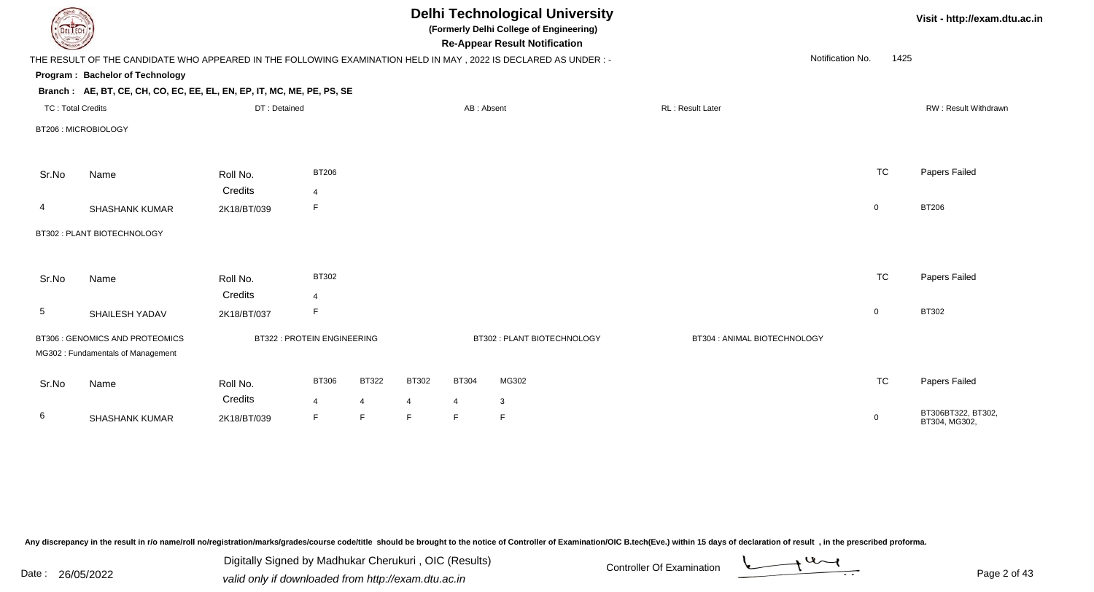| DEL ECH                  |                                                                                                                 |                        |                                   |                      |        |                     | <b>Delhi Technological University</b><br>(Formerly Delhi College of Engineering)<br><b>Re-Appear Result Notification</b> |                              |                  |      | Visit - http://exam.dtu.ac.in       |
|--------------------------|-----------------------------------------------------------------------------------------------------------------|------------------------|-----------------------------------|----------------------|--------|---------------------|--------------------------------------------------------------------------------------------------------------------------|------------------------------|------------------|------|-------------------------------------|
|                          | THE RESULT OF THE CANDIDATE WHO APPEARED IN THE FOLLOWING EXAMINATION HELD IN MAY, 2022 IS DECLARED AS UNDER :- |                        |                                   |                      |        |                     |                                                                                                                          |                              | Notification No. | 1425 |                                     |
|                          | Program: Bachelor of Technology                                                                                 |                        |                                   |                      |        |                     |                                                                                                                          |                              |                  |      |                                     |
|                          | Branch: AE, BT, CE, CH, CO, EC, EE, EL, EN, EP, IT, MC, ME, PE, PS, SE                                          |                        |                                   |                      |        |                     |                                                                                                                          |                              |                  |      |                                     |
| <b>TC: Total Credits</b> |                                                                                                                 | DT: Detained           |                                   |                      |        | AB: Absent          |                                                                                                                          | RL: Result Later             |                  |      | RW: Result Withdrawn                |
|                          | BT206: MICROBIOLOGY                                                                                             |                        |                                   |                      |        |                     |                                                                                                                          |                              |                  |      |                                     |
| Sr.No                    | Name                                                                                                            | Roll No.               | <b>BT206</b>                      |                      |        |                     |                                                                                                                          |                              | <b>TC</b>        |      | Papers Failed                       |
|                          |                                                                                                                 | Credits                | $\overline{4}$                    |                      |        |                     |                                                                                                                          |                              |                  |      |                                     |
| $\overline{4}$           | <b>SHASHANK KUMAR</b>                                                                                           | 2K18/BT/039            | F                                 |                      |        |                     |                                                                                                                          |                              | $\overline{0}$   |      | <b>BT206</b>                        |
|                          | BT302 : PLANT BIOTECHNOLOGY                                                                                     |                        |                                   |                      |        |                     |                                                                                                                          |                              |                  |      |                                     |
| Sr.No                    | Name                                                                                                            | Roll No.               | BT302                             |                      |        |                     |                                                                                                                          |                              | <b>TC</b>        |      | Papers Failed                       |
|                          |                                                                                                                 | Credits                | $\overline{4}$                    |                      |        |                     |                                                                                                                          |                              |                  |      |                                     |
| $\overline{5}$           | SHAILESH YADAV                                                                                                  | 2K18/BT/037            | F.                                |                      |        |                     |                                                                                                                          |                              | $\mathbf 0$      |      | <b>BT302</b>                        |
|                          | BT306 : GENOMICS AND PROTEOMICS<br>MG302: Fundamentals of Management                                            |                        | <b>BT322: PROTEIN ENGINEERING</b> |                      |        |                     | BT302: PLANT BIOTECHNOLOGY                                                                                               | BT304 : ANIMAL BIOTECHNOLOGY |                  |      |                                     |
| Sr.No                    | Name                                                                                                            | Roll No.               | <b>BT306</b>                      | <b>BT322</b>         | BT302  | <b>BT304</b>        | MG302                                                                                                                    |                              | <b>TC</b>        |      | Papers Failed                       |
| 6                        | <b>SHASHANK KUMAR</b>                                                                                           | Credits<br>2K18/BT/039 | $\overline{4}$<br>F               | $\overline{4}$<br>F. | 4<br>F | $\overline{4}$<br>F | 3<br>E                                                                                                                   |                              | $\mathbf 0$      |      | BT306BT322, BT302,<br>BT304, MG302, |

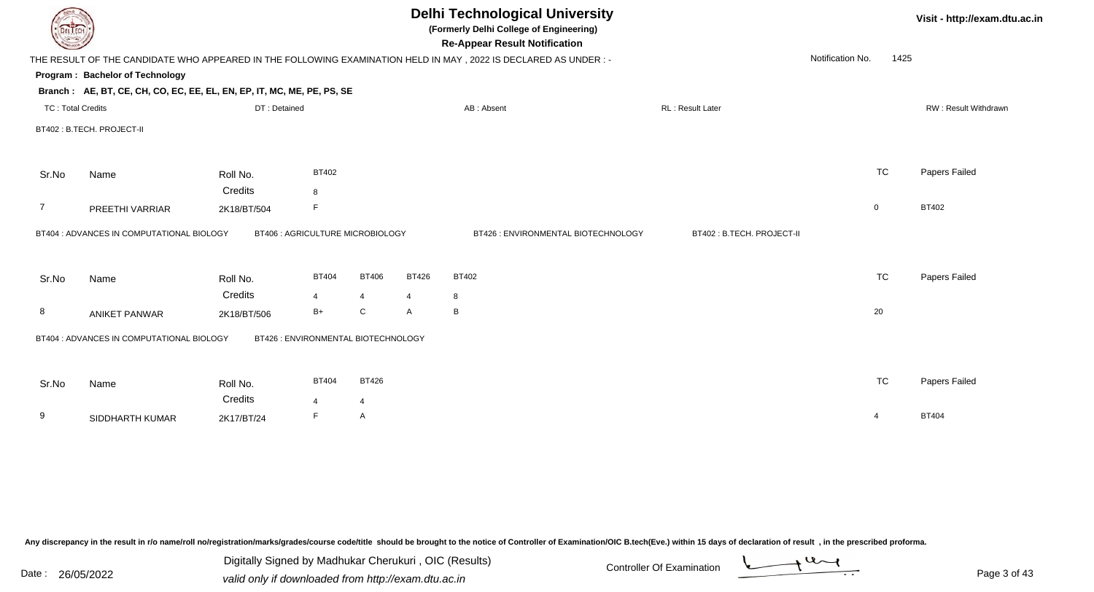|                          | <b>Delhi Technological University</b><br>(Formerly Delhi College of Engineering)<br><b>Re-Appear Result Notification</b> |                                     |              |                |              |                                                                                                                 |                           |                  |           |                      |  |  |
|--------------------------|--------------------------------------------------------------------------------------------------------------------------|-------------------------------------|--------------|----------------|--------------|-----------------------------------------------------------------------------------------------------------------|---------------------------|------------------|-----------|----------------------|--|--|
|                          |                                                                                                                          |                                     |              |                |              | THE RESULT OF THE CANDIDATE WHO APPEARED IN THE FOLLOWING EXAMINATION HELD IN MAY, 2022 IS DECLARED AS UNDER :- |                           | Notification No. | 1425      |                      |  |  |
|                          | Program: Bachelor of Technology                                                                                          |                                     |              |                |              |                                                                                                                 |                           |                  |           |                      |  |  |
|                          | Branch: AE, BT, CE, CH, CO, EC, EE, EL, EN, EP, IT, MC, ME, PE, PS, SE                                                   |                                     |              |                |              |                                                                                                                 |                           |                  |           |                      |  |  |
| <b>TC: Total Credits</b> |                                                                                                                          | DT: Detained                        |              |                |              | AB: Absent                                                                                                      | RL: Result Later          |                  |           | RW: Result Withdrawn |  |  |
|                          | BT402 : B.TECH. PROJECT-II                                                                                               |                                     |              |                |              |                                                                                                                 |                           |                  |           |                      |  |  |
| Sr.No                    | Name                                                                                                                     | Roll No.                            | BT402        |                |              |                                                                                                                 |                           |                  | <b>TC</b> | Papers Failed        |  |  |
|                          |                                                                                                                          | Credits                             | 8            |                |              |                                                                                                                 |                           |                  |           |                      |  |  |
| $\overline{7}$           | PREETHI VARRIAR                                                                                                          | 2K18/BT/504                         | F            |                |              |                                                                                                                 |                           | $\mathbf 0$      |           | <b>BT402</b>         |  |  |
|                          | BT404 : ADVANCES IN COMPUTATIONAL BIOLOGY                                                                                | BT406 : AGRICULTURE MICROBIOLOGY    |              |                |              | BT426 : ENVIRONMENTAL BIOTECHNOLOGY                                                                             | BT402: B.TECH. PROJECT-II |                  |           |                      |  |  |
| Sr.No                    | Name                                                                                                                     | Roll No.                            | <b>BT404</b> | <b>BT406</b>   | <b>BT426</b> | <b>BT402</b>                                                                                                    |                           |                  | <b>TC</b> | Papers Failed        |  |  |
|                          |                                                                                                                          | Credits                             | 4            | $\overline{4}$ | 4            | 8                                                                                                               |                           |                  |           |                      |  |  |
| 8                        | <b>ANIKET PANWAR</b>                                                                                                     | 2K18/BT/506                         | $B+$         | ${\bf C}$      | A            | B                                                                                                               |                           | 20               |           |                      |  |  |
|                          | BT404 : ADVANCES IN COMPUTATIONAL BIOLOGY                                                                                | BT426 : ENVIRONMENTAL BIOTECHNOLOGY |              |                |              |                                                                                                                 |                           |                  |           |                      |  |  |
| Sr.No                    | Name                                                                                                                     | Roll No.                            | <b>BT404</b> | <b>BT426</b>   |              |                                                                                                                 |                           |                  | <b>TC</b> | Papers Failed        |  |  |
|                          |                                                                                                                          | Credits                             |              | 4              |              |                                                                                                                 |                           |                  |           |                      |  |  |
| 9                        | SIDDHARTH KUMAR                                                                                                          | 2K17/BT/24                          | F            | A              |              |                                                                                                                 |                           | $\overline{4}$   |           | <b>BT404</b>         |  |  |
|                          |                                                                                                                          |                                     |              |                |              |                                                                                                                 |                           |                  |           |                      |  |  |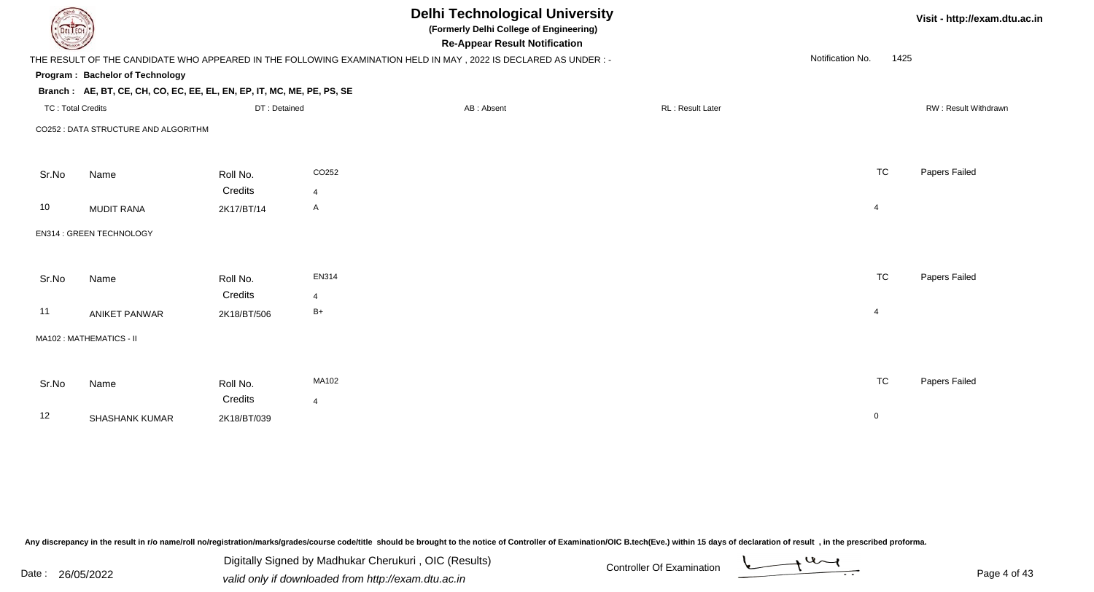| DEL TECH                 |                                                                        |              | <b>Delhi Technological University</b><br>(Formerly Delhi College of Engineering)<br><b>Re-Appear Result Notification</b> |                  |                  |           | Visit - http://exam.dtu.ac.in |
|--------------------------|------------------------------------------------------------------------|--------------|--------------------------------------------------------------------------------------------------------------------------|------------------|------------------|-----------|-------------------------------|
|                          |                                                                        |              | THE RESULT OF THE CANDIDATE WHO APPEARED IN THE FOLLOWING EXAMINATION HELD IN MAY, 2022 IS DECLARED AS UNDER:-           |                  | Notification No. | 1425      |                               |
|                          | Program: Bachelor of Technology                                        |              |                                                                                                                          |                  |                  |           |                               |
|                          | Branch: AE, BT, CE, CH, CO, EC, EE, EL, EN, EP, IT, MC, ME, PE, PS, SE |              |                                                                                                                          |                  |                  |           |                               |
| <b>TC: Total Credits</b> |                                                                        | DT: Detained | AB: Absent                                                                                                               | RL: Result Later |                  |           | RW: Result Withdrawn          |
|                          | CO252 : DATA STRUCTURE AND ALGORITHM                                   |              |                                                                                                                          |                  |                  |           |                               |
|                          |                                                                        |              |                                                                                                                          |                  |                  |           |                               |
|                          |                                                                        |              |                                                                                                                          |                  |                  |           |                               |
| Sr.No                    | Name                                                                   | Roll No.     | CO252                                                                                                                    |                  |                  | <b>TC</b> | Papers Failed                 |
|                          |                                                                        | Credits      | 4                                                                                                                        |                  |                  |           |                               |
| 10                       | <b>MUDIT RANA</b>                                                      | 2K17/BT/14   | A                                                                                                                        |                  | $\overline{4}$   |           |                               |
|                          | EN314 : GREEN TECHNOLOGY                                               |              |                                                                                                                          |                  |                  |           |                               |
|                          |                                                                        |              |                                                                                                                          |                  |                  |           |                               |
|                          |                                                                        |              |                                                                                                                          |                  |                  |           |                               |
| Sr.No                    | Name                                                                   | Roll No.     | <b>EN314</b>                                                                                                             |                  |                  | <b>TC</b> | Papers Failed                 |
|                          |                                                                        | Credits      | 4                                                                                                                        |                  |                  |           |                               |
| 11                       | <b>ANIKET PANWAR</b>                                                   | 2K18/BT/506  | $B+$                                                                                                                     |                  | $\overline{4}$   |           |                               |
|                          | MA102: MATHEMATICS - II                                                |              |                                                                                                                          |                  |                  |           |                               |
|                          |                                                                        |              |                                                                                                                          |                  |                  |           |                               |
|                          |                                                                        |              |                                                                                                                          |                  |                  |           |                               |
| Sr.No                    | Name                                                                   | Roll No.     | MA102                                                                                                                    |                  |                  | <b>TC</b> | Papers Failed                 |
|                          |                                                                        | Credits      | $\overline{4}$                                                                                                           |                  |                  |           |                               |
| 12                       | <b>SHASHANK KUMAR</b>                                                  | 2K18/BT/039  |                                                                                                                          |                  | $\mathbf 0$      |           |                               |
|                          |                                                                        |              |                                                                                                                          |                  |                  |           |                               |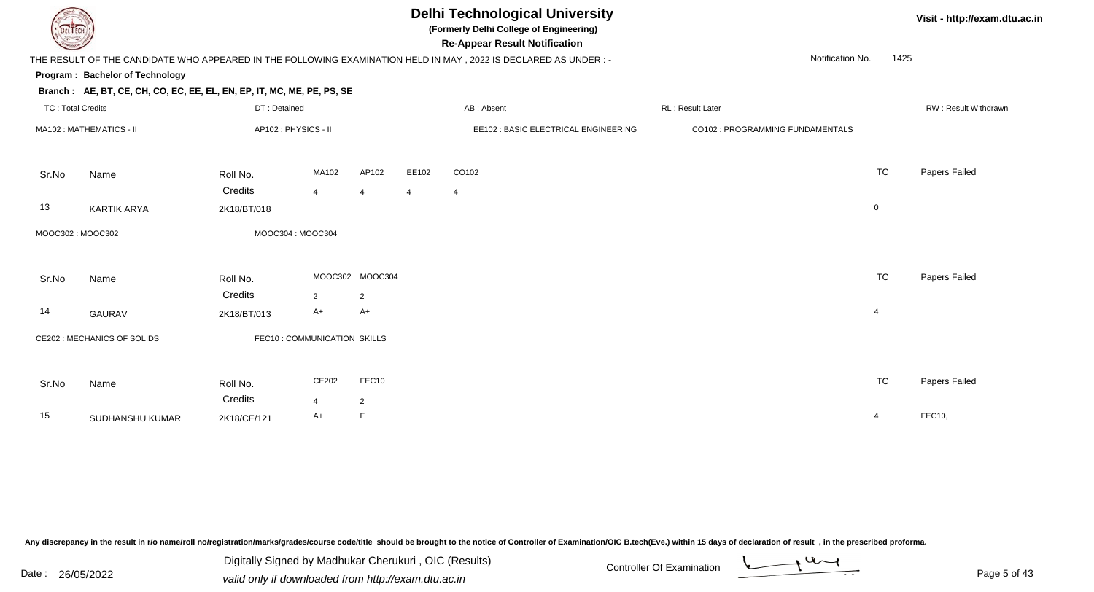

### **Delhi Technological University**

**(Formerly Delhi College of Engineering)**

**Visit - http://exam.dtu.ac.in**

**Program : Bachelor of TechnologyRe-Appear Result NotificationBranch : AE, BT, CE, CH, CO, EC, EE, EL, EN, EP, IT, MC, ME, PE, PS, SE**THE RESULT OF THE CANDIDATE WHO APPEARED IN THE FOLLOWING EXAMINATION HELD IN MAY , 2022 IS DECLARED AS UNDER : -TC : Total Credits DT : Detainedd AB : Absent RL : Result Later RW : Result Withdrawn Notification No. 1425Sr.NoName Roll No. **Credits** MA102 : MATHEMATICS - IIAP102 : PHYSICS - II EE102 : BASIC ELECTRICAL ENGINEERING CO102 : PROGRAMMING FUNDAMENTALS MA1022 AP102 EE102 CO102 2 AP102 EE102 CO102 TC Papers Failed 44 4 4 4 13 KARTIK ARYAA 2K18/BT/018 2K18/AT/018 MOOC302 : MOOC302MOOC304 : MOOC304

| Sr.No | Name                        | Roll No.                    |               | MOOC302 MOOC304 | <b>TC</b> | Papers Failed |
|-------|-----------------------------|-----------------------------|---------------|-----------------|-----------|---------------|
|       |                             | Credits                     | $\mathcal{P}$ | $\overline{2}$  |           |               |
| 14    | GAURAV                      | 2K18/BT/013                 | A+            | A+              | 4         |               |
|       | CE202 : MECHANICS OF SOLIDS | FEC10: COMMUNICATION SKILLS |               |                 |           |               |
| Sr.No | Name                        | Roll No.                    | CE202         | FEC10           | <b>TC</b> | Papers Failed |
|       |                             | Credits                     |               | $\overline{2}$  |           |               |
| 15    | SUDHANSHU KUMAR             | 2K18/CE/121                 | A+            | F               | 4         | FEC10,        |

Any discrepancy in the result in r/o name/roll no/registration/marks/grades/course code/title should be brought to the notice of Controller of Examination/OIC B.tech(Eve.) within 15 days of declaration of result, in the pr

Date : 26/05/2022 valid only if downloaded from http://exam.dtu.ac.in<br>valid only if downloaded from http://exam.dtu.ac.in Digitally Signed by Madhukar Cherukuri , OIC (Results)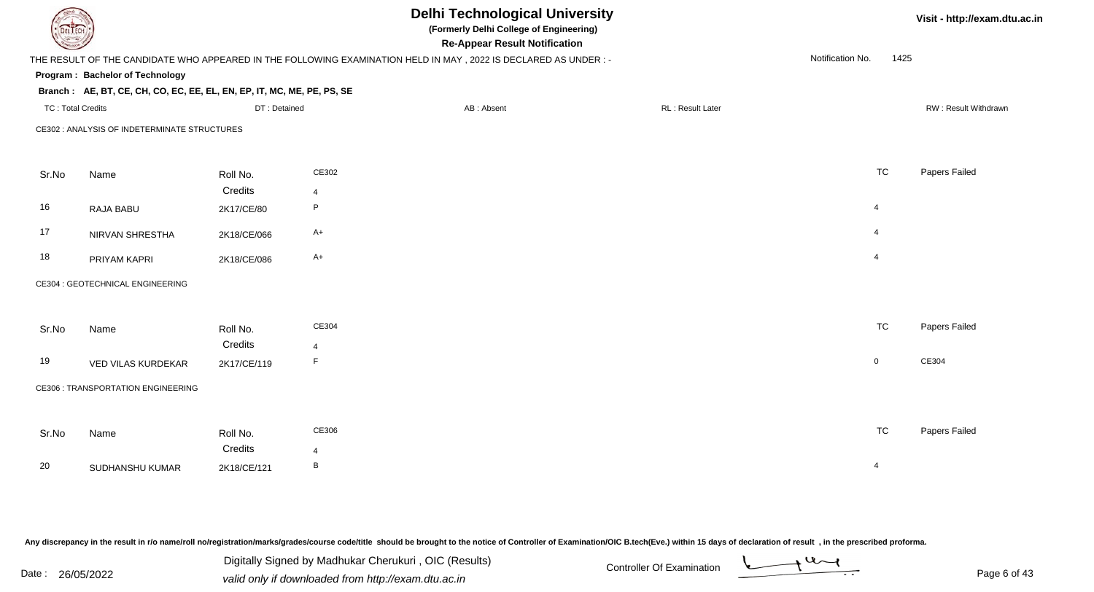| <b>DELTECH</b>           |                                                                                                                |              |                | <b>Delhi Technological University</b><br>(Formerly Delhi College of Engineering)<br><b>Re-Appear Result Notification</b> |                  |                  |             | Visit - http://exam.dtu.ac.in |
|--------------------------|----------------------------------------------------------------------------------------------------------------|--------------|----------------|--------------------------------------------------------------------------------------------------------------------------|------------------|------------------|-------------|-------------------------------|
|                          | THE RESULT OF THE CANDIDATE WHO APPEARED IN THE FOLLOWING EXAMINATION HELD IN MAY, 2022 IS DECLARED AS UNDER:- |              |                |                                                                                                                          |                  | Notification No. | 1425        |                               |
|                          | Program: Bachelor of Technology                                                                                |              |                |                                                                                                                          |                  |                  |             |                               |
|                          | Branch: AE, BT, CE, CH, CO, EC, EE, EL, EN, EP, IT, MC, ME, PE, PS, SE                                         |              |                |                                                                                                                          |                  |                  |             |                               |
| <b>TC: Total Credits</b> |                                                                                                                | DT: Detained |                | AB: Absent                                                                                                               | RL: Result Later |                  |             | RW: Result Withdrawn          |
|                          | CE302 : ANALYSIS OF INDETERMINATE STRUCTURES                                                                   |              |                |                                                                                                                          |                  |                  |             |                               |
|                          |                                                                                                                |              |                |                                                                                                                          |                  |                  |             |                               |
| Sr.No                    | Name                                                                                                           | Roll No.     | CE302          |                                                                                                                          |                  |                  | <b>TC</b>   | Papers Failed                 |
|                          |                                                                                                                | Credits      | $\overline{4}$ |                                                                                                                          |                  |                  |             |                               |
| 16                       | RAJA BABU                                                                                                      | 2K17/CE/80   | P              |                                                                                                                          |                  | $\overline{4}$   |             |                               |
| 17                       | NIRVAN SHRESTHA                                                                                                | 2K18/CE/066  | $A+$           |                                                                                                                          |                  | $\overline{4}$   |             |                               |
| 18                       | PRIYAM KAPRI                                                                                                   | 2K18/CE/086  | $A+$           |                                                                                                                          |                  | $\overline{4}$   |             |                               |
|                          | CE304 : GEOTECHNICAL ENGINEERING                                                                               |              |                |                                                                                                                          |                  |                  |             |                               |
|                          |                                                                                                                |              |                |                                                                                                                          |                  |                  |             |                               |
| Sr.No                    | Name                                                                                                           | Roll No.     | CE304          |                                                                                                                          |                  |                  | <b>TC</b>   | Papers Failed                 |
|                          |                                                                                                                | Credits      | $\overline{4}$ |                                                                                                                          |                  |                  |             |                               |
| 19                       | VED VILAS KURDEKAR                                                                                             | 2K17/CE/119  | F              |                                                                                                                          |                  |                  | $\mathbf 0$ | CE304                         |
|                          | <b>CE306 : TRANSPORTATION ENGINEERING</b>                                                                      |              |                |                                                                                                                          |                  |                  |             |                               |
|                          |                                                                                                                |              |                |                                                                                                                          |                  |                  |             |                               |
| Sr.No                    | Name                                                                                                           | Roll No.     | CE306          |                                                                                                                          |                  |                  | <b>TC</b>   | Papers Failed                 |
|                          |                                                                                                                | Credits      | $\overline{4}$ |                                                                                                                          |                  |                  |             |                               |
| 20                       | SUDHANSHU KUMAR                                                                                                | 2K18/CE/121  | B              |                                                                                                                          |                  | $\overline{4}$   |             |                               |
|                          |                                                                                                                |              |                |                                                                                                                          |                  |                  |             |                               |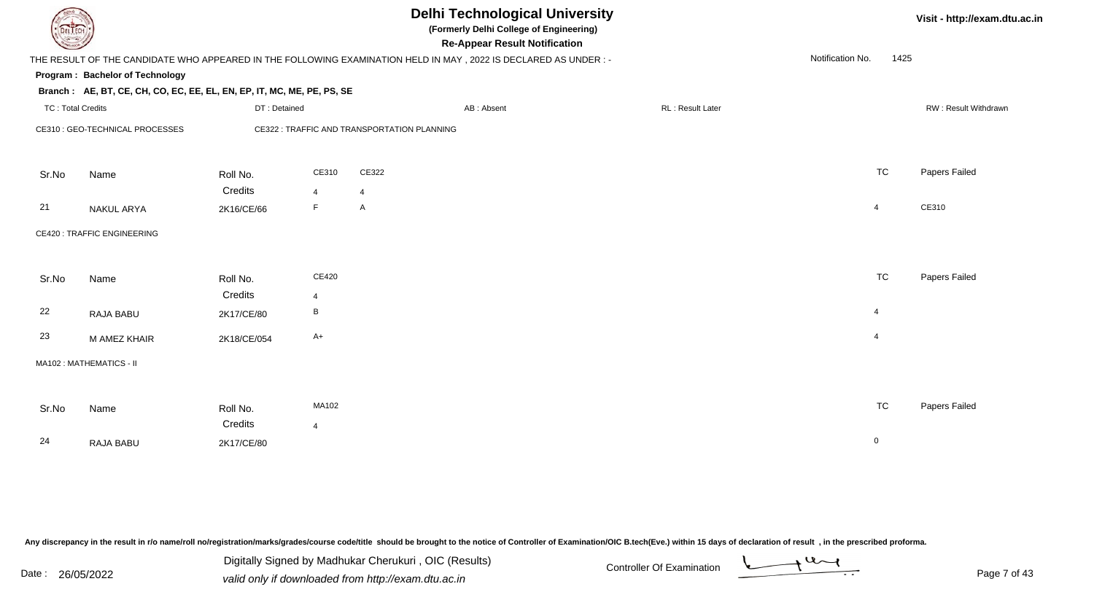| DEL TECH                 |                                                                                                                |              |                |                                             | <b>Delhi Technological University</b><br>(Formerly Delhi College of Engineering)<br><b>Re-Appear Result Notification</b> |                  |                  |                | Visit - http://exam.dtu.ac.in |
|--------------------------|----------------------------------------------------------------------------------------------------------------|--------------|----------------|---------------------------------------------|--------------------------------------------------------------------------------------------------------------------------|------------------|------------------|----------------|-------------------------------|
|                          | THE RESULT OF THE CANDIDATE WHO APPEARED IN THE FOLLOWING EXAMINATION HELD IN MAY, 2022 IS DECLARED AS UNDER:- |              |                |                                             |                                                                                                                          |                  | Notification No. | 1425           |                               |
|                          | Program: Bachelor of Technology                                                                                |              |                |                                             |                                                                                                                          |                  |                  |                |                               |
|                          | Branch: AE, BT, CE, CH, CO, EC, EE, EL, EN, EP, IT, MC, ME, PE, PS, SE                                         |              |                |                                             |                                                                                                                          |                  |                  |                |                               |
| <b>TC: Total Credits</b> |                                                                                                                | DT: Detained |                |                                             | AB: Absent                                                                                                               | RL: Result Later |                  |                | RW: Result Withdrawn          |
|                          | CE310 : GEO-TECHNICAL PROCESSES                                                                                |              |                | CE322 : TRAFFIC AND TRANSPORTATION PLANNING |                                                                                                                          |                  |                  |                |                               |
|                          |                                                                                                                |              |                |                                             |                                                                                                                          |                  |                  |                |                               |
| Sr.No                    | Name                                                                                                           | Roll No.     | CE310          | CE322                                       |                                                                                                                          |                  |                  | <b>TC</b>      | Papers Failed                 |
|                          |                                                                                                                | Credits      | $\overline{4}$ | $\overline{4}$                              |                                                                                                                          |                  |                  |                |                               |
| 21                       | NAKUL ARYA                                                                                                     | 2K16/CE/66   | F              | $\mathsf{A}$                                |                                                                                                                          |                  |                  | $\overline{4}$ | CE310                         |
|                          | <b>CE420: TRAFFIC ENGINEERING</b>                                                                              |              |                |                                             |                                                                                                                          |                  |                  |                |                               |
|                          |                                                                                                                |              |                |                                             |                                                                                                                          |                  |                  |                |                               |
| Sr.No                    | Name                                                                                                           | Roll No.     | CE420          |                                             |                                                                                                                          |                  |                  | <b>TC</b>      | Papers Failed                 |
|                          |                                                                                                                | Credits      | $\overline{4}$ |                                             |                                                                                                                          |                  |                  |                |                               |
| 22                       | <b>RAJA BABU</b>                                                                                               | 2K17/CE/80   | $\, {\sf B}$   |                                             |                                                                                                                          |                  |                  | $\overline{4}$ |                               |
| 23                       | M AMEZ KHAIR                                                                                                   | 2K18/CE/054  | $A+$           |                                             |                                                                                                                          |                  |                  | $\overline{4}$ |                               |
|                          | MA102: MATHEMATICS - II                                                                                        |              |                |                                             |                                                                                                                          |                  |                  |                |                               |
|                          |                                                                                                                |              |                |                                             |                                                                                                                          |                  |                  |                |                               |
| Sr.No                    | Name                                                                                                           | Roll No.     | MA102          |                                             |                                                                                                                          |                  |                  | <b>TC</b>      | Papers Failed                 |
|                          |                                                                                                                | Credits      | $\overline{4}$ |                                             |                                                                                                                          |                  |                  |                |                               |
| 24                       | <b>RAJA BABU</b>                                                                                               | 2K17/CE/80   |                |                                             |                                                                                                                          |                  |                  | $\mathbf 0$    |                               |
|                          |                                                                                                                |              |                |                                             |                                                                                                                          |                  |                  |                |                               |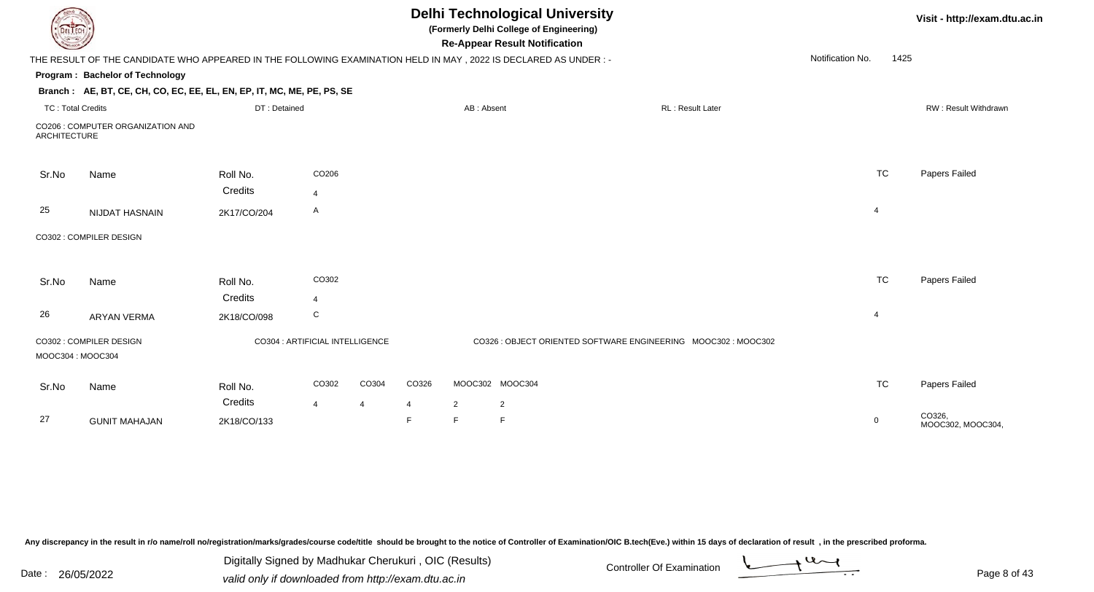| EL ECH                   |                                                                                                                |                                 |                                  |       |                     |            | <b>Delhi Technological University</b><br>(Formerly Delhi College of Engineering)<br><b>Re-Appear Result Notification</b> |                  |                  |           | Visit - http://exam.dtu.ac.in |
|--------------------------|----------------------------------------------------------------------------------------------------------------|---------------------------------|----------------------------------|-------|---------------------|------------|--------------------------------------------------------------------------------------------------------------------------|------------------|------------------|-----------|-------------------------------|
|                          | THE RESULT OF THE CANDIDATE WHO APPEARED IN THE FOLLOWING EXAMINATION HELD IN MAY, 2022 IS DECLARED AS UNDER:- |                                 |                                  |       |                     |            |                                                                                                                          |                  | Notification No. | 1425      |                               |
|                          | Program: Bachelor of Technology                                                                                |                                 |                                  |       |                     |            |                                                                                                                          |                  |                  |           |                               |
|                          | Branch: AE, BT, CE, CH, CO, EC, EE, EL, EN, EP, IT, MC, ME, PE, PS, SE                                         |                                 |                                  |       |                     |            |                                                                                                                          |                  |                  |           |                               |
| <b>TC: Total Credits</b> |                                                                                                                | DT: Detained                    |                                  |       |                     | AB: Absent |                                                                                                                          | RL: Result Later |                  |           | RW: Result Withdrawn          |
| <b>ARCHITECTURE</b>      | CO206 : COMPUTER ORGANIZATION AND                                                                              |                                 |                                  |       |                     |            |                                                                                                                          |                  |                  |           |                               |
| Sr.No                    | Name                                                                                                           | Roll No.<br>Credits             | CO206<br>$\overline{\mathbf{4}}$ |       |                     |            |                                                                                                                          |                  |                  | <b>TC</b> | Papers Failed                 |
| 25                       | NIJDAT HASNAIN                                                                                                 | 2K17/CO/204                     | A                                |       |                     |            |                                                                                                                          |                  | $\overline{4}$   |           |                               |
|                          | CO302 : COMPILER DESIGN                                                                                        |                                 |                                  |       |                     |            |                                                                                                                          |                  |                  |           |                               |
| Sr.No                    | Name                                                                                                           | Roll No.<br>Credits             | CO302<br>$\boldsymbol{\Delta}$   |       |                     |            |                                                                                                                          |                  |                  | <b>TC</b> | Papers Failed                 |
| 26                       | <b>ARYAN VERMA</b>                                                                                             | 2K18/CO/098                     | C                                |       |                     |            |                                                                                                                          |                  | $\overline{4}$   |           |                               |
| MOOC304: MOOC304         | CO302 : COMPILER DESIGN                                                                                        | CO304 : ARTIFICIAL INTELLIGENCE |                                  |       |                     |            | CO326 : OBJECT ORIENTED SOFTWARE ENGINEERING MOOC302 : MOOC302                                                           |                  |                  |           |                               |
| Sr.No                    | Name                                                                                                           | Roll No.                        | CO302                            | CO304 | CO326               |            | MOOC302 MOOC304                                                                                                          |                  |                  | <b>TC</b> | Papers Failed                 |
| 27                       | <b>GUNIT MAHAJAN</b>                                                                                           | Credits<br>2K18/CO/133          | $\boldsymbol{\Delta}$            | 4     | $\overline{4}$<br>F | 2<br>E     | $\overline{2}$<br>F                                                                                                      |                  | $\mathbf 0$      |           | CO326,<br>MOOC302, MOOC304,   |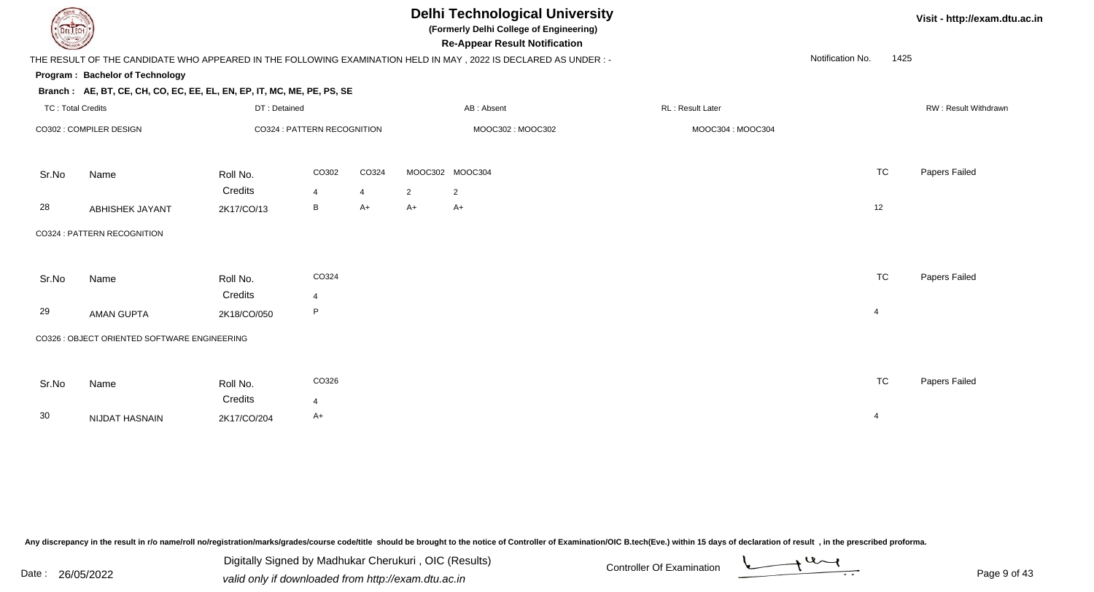### **Delhi Technological University**

**(Formerly Delhi College of Engineering)**

**Visit - http://exam.dtu.ac.in**

**Program : Bachelor of TechnologyRe-Appear Result Notification** THE RESULT OF THE CANDIDATE WHO APPEARED IN THE FOLLOWING EXAMINATION HELD IN MAY , 2022 IS DECLARED AS UNDER : -**Branch : AE, BT, CE, CH, CO, EC, EE, EL, EN, EP, IT, MC, ME, PE, PS, SE**TC : Total Credits DT : Detainedd AB : Absent RL : Result Later RW : Result Withdrawn Notification No. 1425Sr.NoName Roll No. **Credits** CO302 : COMPILER DESIGN CO324 : PATTERN RECOGNITION MOOC302 : MOOC302 MOOC304 : MOOC304 CO302 CO324 MOOC302 MOOC304 TC Papers Failed 4 <sup>4</sup> <sup>2</sup> <sup>2</sup> 28 ABHISHEK JAYANT $T$  2K17/CO/13 B  $A+$   $A+$   $A+$ Sr.NoName Roll No. **Credits** CO324 : PATTERN RECOGNITIONCO324 TCTC Papers Failed 429 AMAN GUPTAA 2K18/CO/050 P 4 CO326 : OBJECT ORIENTED SOFTWARE ENGINEERING

N 2K17/CO/204 A+

Any discrepancy in the result in r/o name/roll no/registration/marks/grades/course code/title should be brought to the notice of Controller of Examination/OIC B.tech(Eve.) within 15 days of declaration of result , in the p

Sr.No

30

Name Roll No.

NIJDAT HASNAIN

**Credits** 

Date : 26/05/2022 valid only if downloaded from http://exam.dtu.ac.in<br>valid only if downloaded from http://exam.dtu.ac.in Digitally Signed by Madhukar Cherukuri , OIC (Results)

4

CO326 TC

TC Papers Failed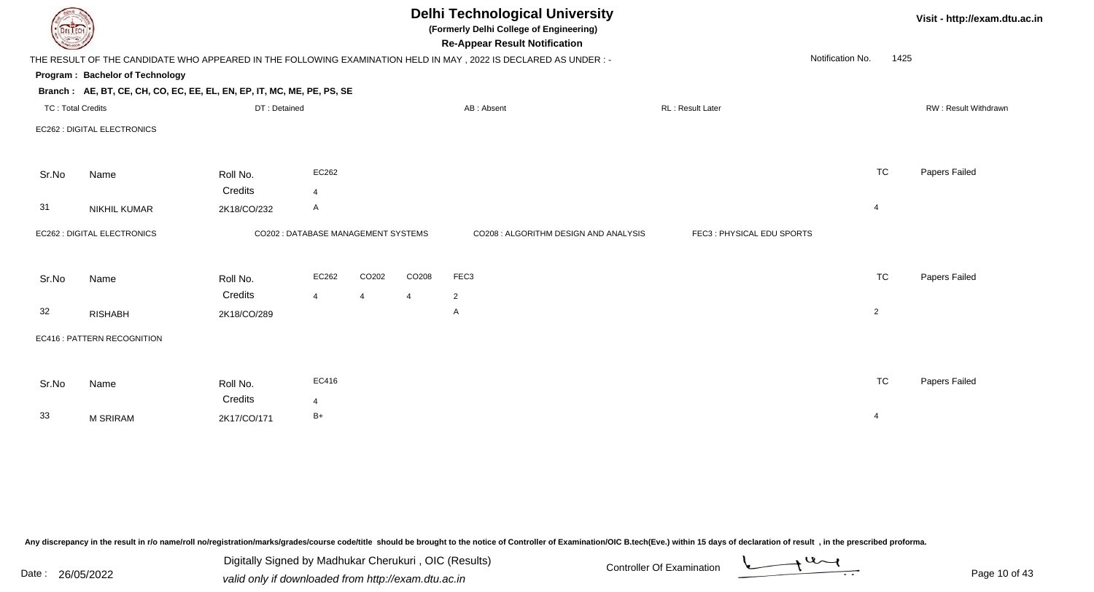|                          | <b>Delhi Technological University</b><br>Visit - http://exam.dtu.ac.in<br>(Formerly Delhi College of Engineering)<br><b>DELTECH</b><br><b>Re-Appear Result Notification</b> |                                     |                |                |                   |                                                                                                                 |  |                           |                  |      |                      |  |
|--------------------------|-----------------------------------------------------------------------------------------------------------------------------------------------------------------------------|-------------------------------------|----------------|----------------|-------------------|-----------------------------------------------------------------------------------------------------------------|--|---------------------------|------------------|------|----------------------|--|
|                          |                                                                                                                                                                             |                                     |                |                |                   | THE RESULT OF THE CANDIDATE WHO APPEARED IN THE FOLLOWING EXAMINATION HELD IN MAY, 2022 IS DECLARED AS UNDER :- |  |                           | Notification No. | 1425 |                      |  |
|                          | Program: Bachelor of Technology                                                                                                                                             |                                     |                |                |                   |                                                                                                                 |  |                           |                  |      |                      |  |
|                          | Branch: AE, BT, CE, CH, CO, EC, EE, EL, EN, EP, IT, MC, ME, PE, PS, SE                                                                                                      |                                     |                |                |                   |                                                                                                                 |  |                           |                  |      |                      |  |
| <b>TC: Total Credits</b> |                                                                                                                                                                             | DT: Detained                        |                |                |                   | AB: Absent                                                                                                      |  | RL: Result Later          |                  |      | RW: Result Withdrawn |  |
|                          | EC262 : DIGITAL ELECTRONICS                                                                                                                                                 |                                     |                |                |                   |                                                                                                                 |  |                           |                  |      |                      |  |
| Sr.No                    | Name                                                                                                                                                                        | Roll No.                            | EC262          |                |                   |                                                                                                                 |  |                           | <b>TC</b>        |      | Papers Failed        |  |
|                          |                                                                                                                                                                             | Credits                             | $\overline{4}$ |                |                   |                                                                                                                 |  |                           |                  |      |                      |  |
| 31                       | <b>NIKHIL KUMAR</b>                                                                                                                                                         | 2K18/CO/232                         | A              |                |                   |                                                                                                                 |  |                           | $\overline{4}$   |      |                      |  |
|                          | EC262 : DIGITAL ELECTRONICS                                                                                                                                                 | CO202 : DATABASE MANAGEMENT SYSTEMS |                |                |                   | CO208 : ALGORITHM DESIGN AND ANALYSIS                                                                           |  | FEC3: PHYSICAL EDU SPORTS |                  |      |                      |  |
| Sr.No                    | Name                                                                                                                                                                        | Roll No.                            | EC262          | CO202          | CO <sub>208</sub> | FEC3                                                                                                            |  |                           | <b>TC</b>        |      | Papers Failed        |  |
|                          |                                                                                                                                                                             | Credits                             | $\overline{4}$ | $\overline{4}$ | 4                 | 2                                                                                                               |  |                           |                  |      |                      |  |
| 32                       | <b>RISHABH</b>                                                                                                                                                              | 2K18/CO/289                         |                |                |                   | Α                                                                                                               |  |                           | $\overline{2}$   |      |                      |  |
|                          | EC416 : PATTERN RECOGNITION                                                                                                                                                 |                                     |                |                |                   |                                                                                                                 |  |                           |                  |      |                      |  |
|                          |                                                                                                                                                                             |                                     |                |                |                   |                                                                                                                 |  |                           |                  |      |                      |  |
| Sr.No                    | Name                                                                                                                                                                        | Roll No.                            | EC416          |                |                   |                                                                                                                 |  |                           | <b>TC</b>        |      | Papers Failed        |  |
|                          |                                                                                                                                                                             | Credits                             | $\overline{4}$ |                |                   |                                                                                                                 |  |                           |                  |      |                      |  |
| 33                       | <b>M SRIRAM</b>                                                                                                                                                             | 2K17/CO/171                         | $B+$           |                |                   |                                                                                                                 |  |                           | 4                |      |                      |  |
|                          |                                                                                                                                                                             |                                     |                |                |                   |                                                                                                                 |  |                           |                  |      |                      |  |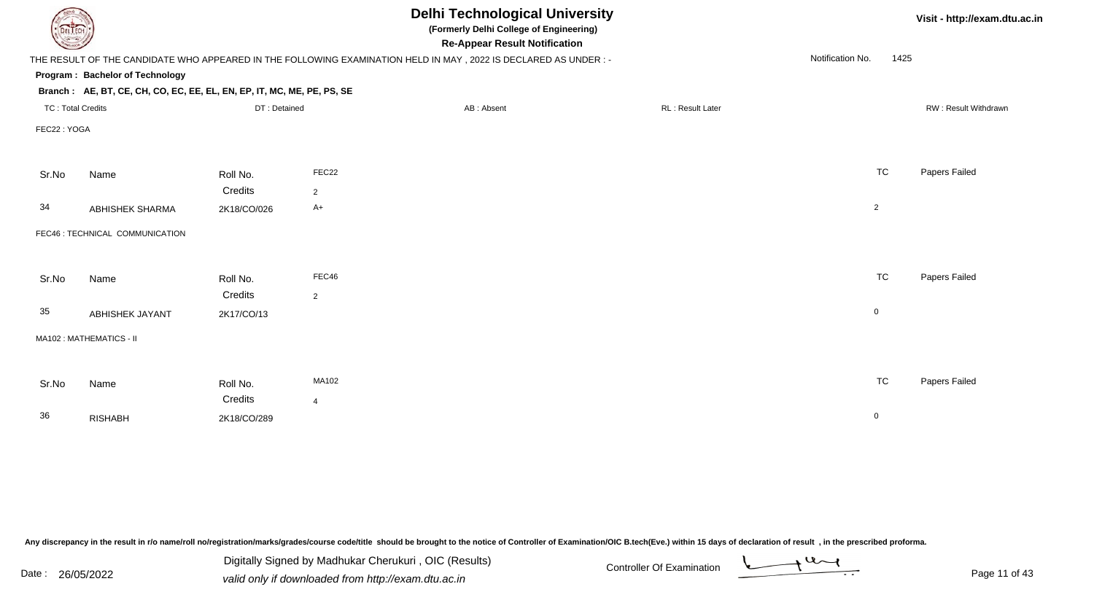| DEL TECH                 |                                                                        |              |                | <b>Delhi Technological University</b><br>(Formerly Delhi College of Engineering)<br><b>Re-Appear Result Notification</b> |                  |                  | Visit - http://exam.dtu.ac.in |
|--------------------------|------------------------------------------------------------------------|--------------|----------------|--------------------------------------------------------------------------------------------------------------------------|------------------|------------------|-------------------------------|
|                          |                                                                        |              |                | THE RESULT OF THE CANDIDATE WHO APPEARED IN THE FOLLOWING EXAMINATION HELD IN MAY, 2022 IS DECLARED AS UNDER :-          |                  | Notification No. | 1425                          |
|                          | Program: Bachelor of Technology                                        |              |                |                                                                                                                          |                  |                  |                               |
|                          | Branch: AE, BT, CE, CH, CO, EC, EE, EL, EN, EP, IT, MC, ME, PE, PS, SE |              |                |                                                                                                                          |                  |                  |                               |
| <b>TC: Total Credits</b> |                                                                        | DT: Detained |                | AB: Absent                                                                                                               | RL: Result Later |                  | RW: Result Withdrawn          |
| FEC22: YOGA              |                                                                        |              |                |                                                                                                                          |                  |                  |                               |
|                          |                                                                        |              |                |                                                                                                                          |                  |                  |                               |
| Sr.No                    | Name                                                                   | Roll No.     | FEC22          |                                                                                                                          |                  | <b>TC</b>        | Papers Failed                 |
|                          |                                                                        | Credits      | 2              |                                                                                                                          |                  |                  |                               |
| 34                       | ABHISHEK SHARMA                                                        | 2K18/CO/026  | $A+$           |                                                                                                                          |                  | $\overline{2}$   |                               |
|                          |                                                                        |              |                |                                                                                                                          |                  |                  |                               |
|                          | FEC46 : TECHNICAL COMMUNICATION                                        |              |                |                                                                                                                          |                  |                  |                               |
|                          |                                                                        |              |                |                                                                                                                          |                  |                  |                               |
| Sr.No                    | Name                                                                   | Roll No.     | FEC46          |                                                                                                                          |                  | <b>TC</b>        | Papers Failed                 |
|                          |                                                                        | Credits      | $\overline{2}$ |                                                                                                                          |                  |                  |                               |
| 35                       | <b>ABHISHEK JAYANT</b>                                                 | 2K17/CO/13   |                |                                                                                                                          |                  | $\mathbf 0$      |                               |
|                          |                                                                        |              |                |                                                                                                                          |                  |                  |                               |
|                          | MA102: MATHEMATICS - II                                                |              |                |                                                                                                                          |                  |                  |                               |
|                          |                                                                        |              |                |                                                                                                                          |                  |                  |                               |
| Sr.No                    | Name                                                                   | Roll No.     | MA102          |                                                                                                                          |                  | <b>TC</b>        | Papers Failed                 |
|                          |                                                                        | Credits      | $\overline{4}$ |                                                                                                                          |                  |                  |                               |
| 36                       | <b>RISHABH</b>                                                         | 2K18/CO/289  |                |                                                                                                                          |                  | $\mathbf 0$      |                               |
|                          |                                                                        |              |                |                                                                                                                          |                  |                  |                               |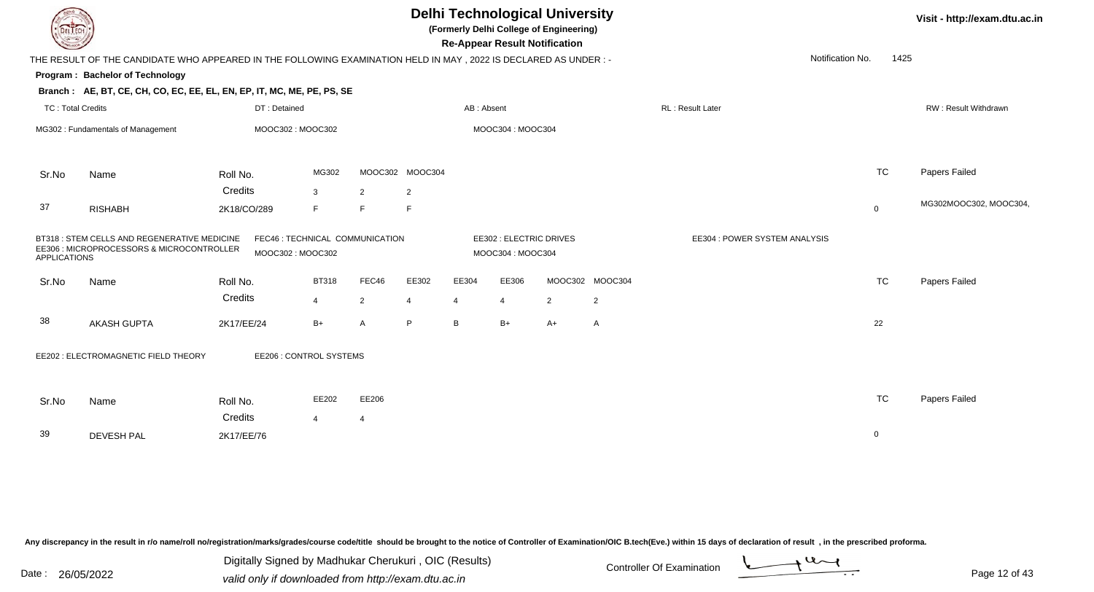| DEL TECH                 |                                                                                                                |                                                     |                |                |                 |                | <b>Re-Appear Result Notification</b>        | <b>Delhi Technological University</b><br>(Formerly Delhi College of Engineering) |                 |                               |                | Visit - http://exam.dtu.ac.in |
|--------------------------|----------------------------------------------------------------------------------------------------------------|-----------------------------------------------------|----------------|----------------|-----------------|----------------|---------------------------------------------|----------------------------------------------------------------------------------|-----------------|-------------------------------|----------------|-------------------------------|
|                          | THE RESULT OF THE CANDIDATE WHO APPEARED IN THE FOLLOWING EXAMINATION HELD IN MAY, 2022 IS DECLARED AS UNDER:- |                                                     |                |                |                 |                |                                             |                                                                                  |                 | Notification No.              | 1425           |                               |
|                          | Program: Bachelor of Technology                                                                                |                                                     |                |                |                 |                |                                             |                                                                                  |                 |                               |                |                               |
|                          | Branch: AE, BT, CE, CH, CO, EC, EE, EL, EN, EP, IT, MC, ME, PE, PS, SE                                         |                                                     |                |                |                 |                |                                             |                                                                                  |                 |                               |                |                               |
| <b>TC: Total Credits</b> |                                                                                                                | DT: Detained                                        |                |                |                 | AB: Absent     |                                             |                                                                                  |                 | RL: Result Later              |                | RW: Result Withdrawn          |
|                          | MG302 : Fundamentals of Management                                                                             | MOOC302: MOOC302                                    |                |                |                 |                | MOOC304: MOOC304                            |                                                                                  |                 |                               |                |                               |
| Sr.No                    | Name                                                                                                           | Roll No.                                            | MG302          |                | MOOC302 MOOC304 |                |                                             |                                                                                  |                 |                               | <b>TC</b>      | Papers Failed                 |
|                          |                                                                                                                | Credits                                             | $\mathbf{3}$   | 2              | $\overline{2}$  |                |                                             |                                                                                  |                 |                               |                |                               |
| 37                       | <b>RISHABH</b>                                                                                                 | 2K18/CO/289                                         | F              | E              | F               |                |                                             |                                                                                  |                 |                               | $\overline{0}$ | MG302MOOC302, MOOC304,        |
| <b>APPLICATIONS</b>      | BT318 : STEM CELLS AND REGENERATIVE MEDICINE<br>EE306 : MICROPROCESSORS & MICROCONTROLLER                      | FEC46 : TECHNICAL COMMUNICATION<br>MOOC302: MOOC302 |                |                |                 |                | EE302 : ELECTRIC DRIVES<br>MOOC304: MOOC304 |                                                                                  |                 | EE304 : POWER SYSTEM ANALYSIS |                |                               |
| Sr.No                    | Name                                                                                                           | Roll No.                                            | <b>BT318</b>   | FEC46          | EE302           | EE304          | EE306                                       |                                                                                  | MOOC302 MOOC304 |                               | <b>TC</b>      | Papers Failed                 |
|                          |                                                                                                                | Credits                                             | $\overline{4}$ | $\overline{2}$ | 4               | $\overline{4}$ | $\overline{4}$                              | $\overline{2}$                                                                   | $\overline{2}$  |                               |                |                               |
| 38                       | <b>AKASH GUPTA</b>                                                                                             | 2K17/EE/24                                          | $B+$           | A              | P               | B              | $B+$                                        | $A+$                                                                             | A               |                               | 22             |                               |
|                          | EE202 : ELECTROMAGNETIC FIELD THEORY                                                                           | EE206 : CONTROL SYSTEMS                             |                |                |                 |                |                                             |                                                                                  |                 |                               |                |                               |
| Sr.No                    | Name                                                                                                           | Roll No.                                            | EE202          | EE206          |                 |                |                                             |                                                                                  |                 |                               | <b>TC</b>      | Papers Failed                 |
|                          |                                                                                                                | Credits                                             | $\overline{4}$ | $\overline{4}$ |                 |                |                                             |                                                                                  |                 |                               |                |                               |
| 39                       | <b>DEVESH PAL</b>                                                                                              | 2K17/EE/76                                          |                |                |                 |                |                                             |                                                                                  |                 |                               | $\mathbf 0$    |                               |
|                          |                                                                                                                |                                                     |                |                |                 |                |                                             |                                                                                  |                 |                               |                |                               |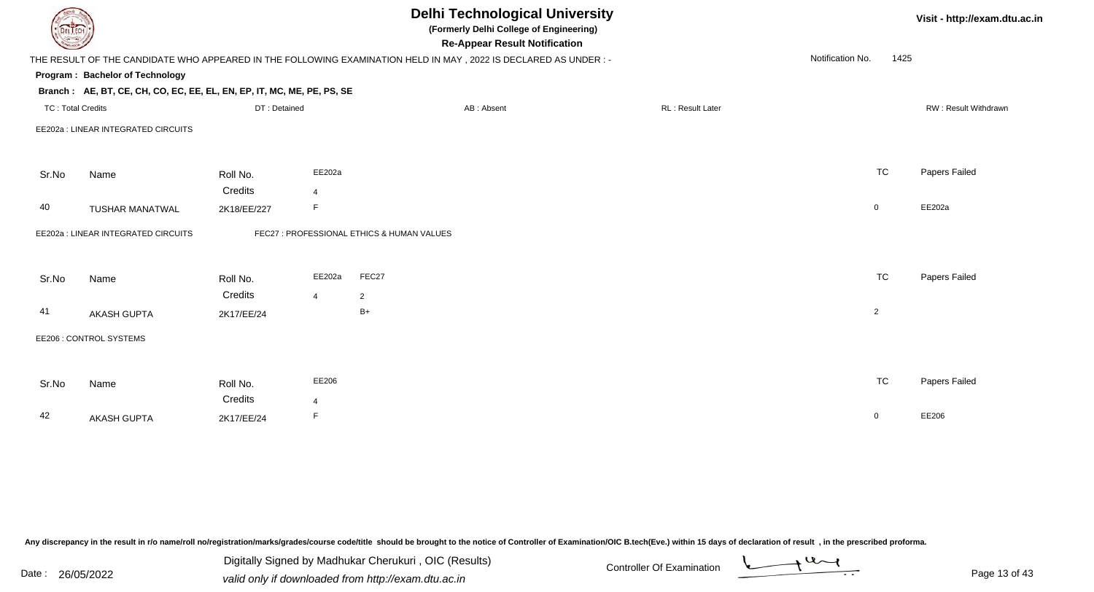|                          |                                                                        |                       |                | <b>Delhi Technological University</b><br>(Formerly Delhi College of Engineering)<br><b>Re-Appear Result Notification</b> |                  |                  | Visit - http://exam.dtu.ac.in |                      |
|--------------------------|------------------------------------------------------------------------|-----------------------|----------------|--------------------------------------------------------------------------------------------------------------------------|------------------|------------------|-------------------------------|----------------------|
|                          |                                                                        |                       |                | THE RESULT OF THE CANDIDATE WHO APPEARED IN THE FOLLOWING EXAMINATION HELD IN MAY, 2022 IS DECLARED AS UNDER :-          |                  | Notification No. | 1425                          |                      |
|                          | Program: Bachelor of Technology                                        |                       |                |                                                                                                                          |                  |                  |                               |                      |
|                          | Branch: AE, BT, CE, CH, CO, EC, EE, EL, EN, EP, IT, MC, ME, PE, PS, SE |                       |                |                                                                                                                          |                  |                  |                               |                      |
| <b>TC: Total Credits</b> |                                                                        | DT: Detained          |                | AB: Absent                                                                                                               | RL: Result Later |                  |                               | RW: Result Withdrawn |
|                          | EE202a : LINEAR INTEGRATED CIRCUITS                                    |                       |                |                                                                                                                          |                  |                  |                               |                      |
| Sr.No                    | Name                                                                   | Roll No.              | EE202a         |                                                                                                                          |                  | <b>TC</b>        |                               | Papers Failed        |
|                          |                                                                        | Credits               | $\overline{4}$ |                                                                                                                          |                  |                  |                               |                      |
| 40                       | <b>TUSHAR MANATWAL</b>                                                 | 2K18/EE/227           | F              |                                                                                                                          |                  | $\mathbf 0$      |                               | EE202a               |
|                          | EE202a : LINEAR INTEGRATED CIRCUITS                                    |                       |                | FEC27 : PROFESSIONAL ETHICS & HUMAN VALUES                                                                               |                  |                  |                               |                      |
| Sr.No                    | Name                                                                   | Roll No.              | EE202a         | FEC27                                                                                                                    |                  | <b>TC</b>        |                               | Papers Failed        |
|                          |                                                                        | Credits               | $\overline{4}$ | $\overline{2}$                                                                                                           |                  |                  |                               |                      |
| 41                       | <b>AKASH GUPTA</b>                                                     | 2K17/EE/24            |                | $B+$                                                                                                                     |                  | $\overline{2}$   |                               |                      |
|                          | EE206 : CONTROL SYSTEMS                                                |                       |                |                                                                                                                          |                  |                  |                               |                      |
|                          |                                                                        |                       |                |                                                                                                                          |                  |                  |                               |                      |
| Sr.No                    | Name                                                                   | Roll No.              | EE206          |                                                                                                                          |                  | <b>TC</b>        |                               | Papers Failed        |
| 42                       | <b>AKASH GUPTA</b>                                                     | Credits<br>2K17/EE/24 | 4<br>F         |                                                                                                                          |                  | $\mathbf 0$      |                               | EE206                |
|                          |                                                                        |                       |                |                                                                                                                          |                  |                  |                               |                      |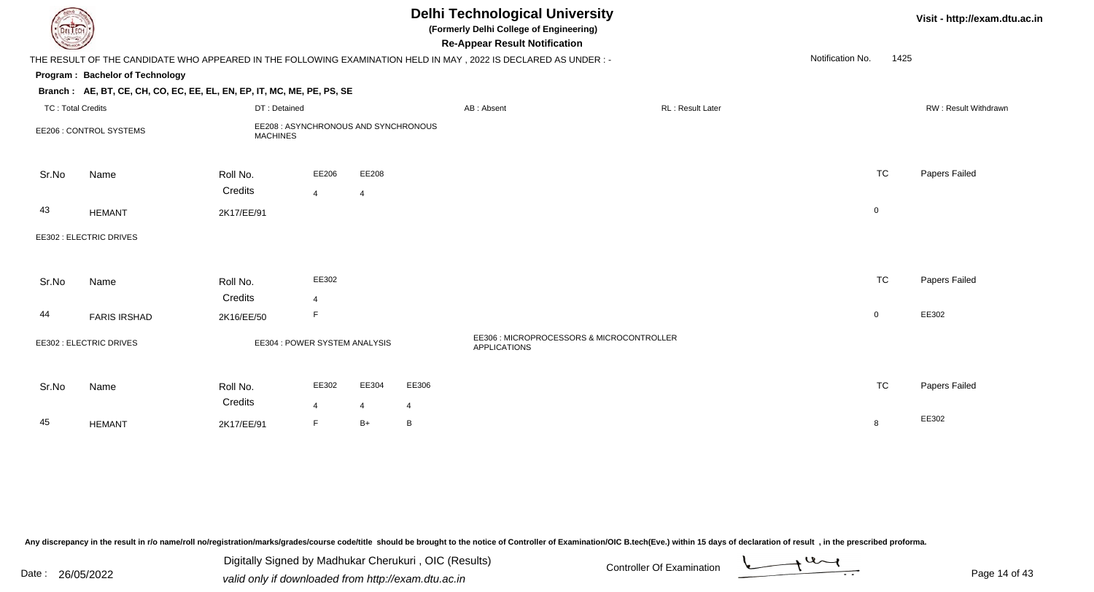| JEL I ECI                                                                                                                                   |                                                                                    |                               |                         |                         |            | <b>Delhi Technological University</b><br>(Formerly Delhi College of Engineering)<br><b>Re-Appear Result Notification</b> |                         | Visit - http://exam.dtu.ac.in |  |                      |  |  |
|---------------------------------------------------------------------------------------------------------------------------------------------|------------------------------------------------------------------------------------|-------------------------------|-------------------------|-------------------------|------------|--------------------------------------------------------------------------------------------------------------------------|-------------------------|-------------------------------|--|----------------------|--|--|
| Notification No.<br>1425<br>THE RESULT OF THE CANDIDATE WHO APPEARED IN THE FOLLOWING EXAMINATION HELD IN MAY, 2022 IS DECLARED AS UNDER :- |                                                                                    |                               |                         |                         |            |                                                                                                                          |                         |                               |  |                      |  |  |
|                                                                                                                                             | Program: Bachelor of Technology                                                    |                               |                         |                         |            |                                                                                                                          |                         |                               |  |                      |  |  |
|                                                                                                                                             | Branch: AE, BT, CE, CH, CO, EC, EE, EL, EN, EP, IT, MC, ME, PE, PS, SE             |                               |                         |                         |            |                                                                                                                          |                         |                               |  |                      |  |  |
| <b>TC: Total Credits</b>                                                                                                                    |                                                                                    | DT: Detained                  |                         |                         |            | AB: Absent                                                                                                               | <b>RL: Result Later</b> |                               |  | RW: Result Withdrawn |  |  |
|                                                                                                                                             | EE208 : ASYNCHRONOUS AND SYNCHRONOUS<br>EE206 : CONTROL SYSTEMS<br><b>MACHINES</b> |                               |                         |                         |            |                                                                                                                          |                         |                               |  |                      |  |  |
| Sr.No                                                                                                                                       | Name                                                                               | Roll No.<br>Credits           | EE206                   | EE208                   |            |                                                                                                                          |                         | <b>TC</b>                     |  | Papers Failed        |  |  |
| 43                                                                                                                                          | <b>HEMANT</b>                                                                      | 2K17/EE/91                    | $\overline{4}$          | $\overline{4}$          |            |                                                                                                                          |                         | $\pmb{0}$                     |  |                      |  |  |
|                                                                                                                                             | EE302 : ELECTRIC DRIVES                                                            |                               |                         |                         |            |                                                                                                                          |                         |                               |  |                      |  |  |
| Sr.No                                                                                                                                       | Name                                                                               | Roll No.<br>Credits           | EE302<br>$\overline{4}$ |                         |            |                                                                                                                          |                         | <b>TC</b>                     |  | Papers Failed        |  |  |
| 44                                                                                                                                          | <b>FARIS IRSHAD</b>                                                                | 2K16/EE/50                    | F                       |                         |            |                                                                                                                          |                         | $\mathbf 0$                   |  | EE302                |  |  |
|                                                                                                                                             | EE302 : ELECTRIC DRIVES                                                            | EE304 : POWER SYSTEM ANALYSIS |                         |                         |            | EE306 : MICROPROCESSORS & MICROCONTROLLER<br><b>APPLICATIONS</b>                                                         |                         |                               |  |                      |  |  |
| Sr.No                                                                                                                                       | Name                                                                               | Roll No.<br>Credits           | EE302<br>$\overline{4}$ | EE304<br>$\overline{4}$ | EE306<br>4 |                                                                                                                          |                         | <b>TC</b>                     |  | Papers Failed        |  |  |
| 45                                                                                                                                          | <b>HEMANT</b>                                                                      | 2K17/EE/91                    | F                       | $B+$                    | B          |                                                                                                                          |                         | 8                             |  | EE302                |  |  |

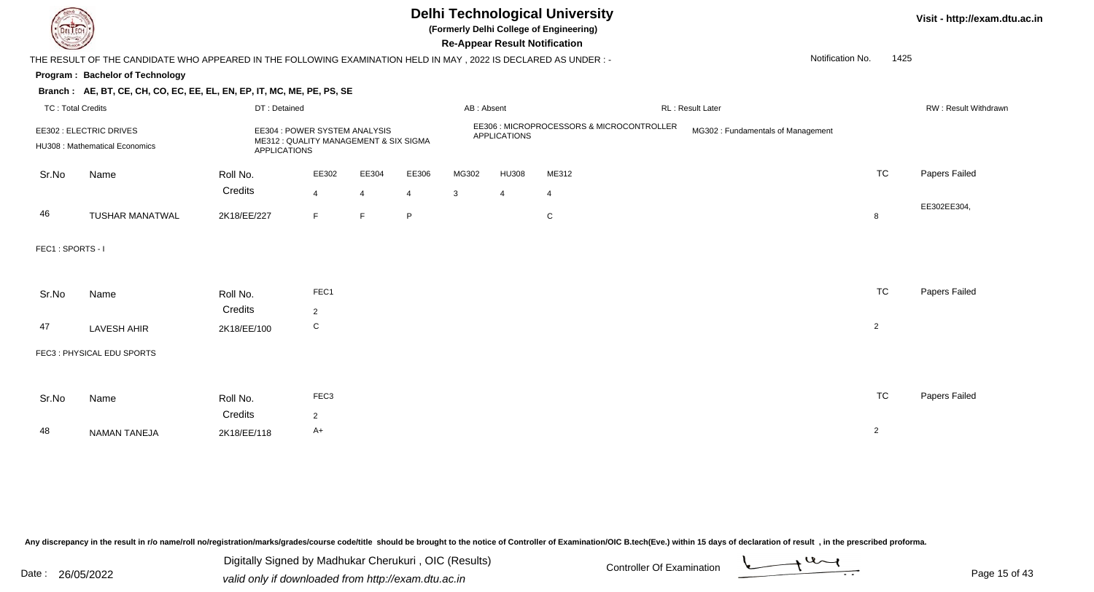

# **Delhi Technological University**

**Visit - http://exam.dtu.ac.in**

**(Formerly Delhi College of Engineering)**

**Re-Appear Result Notification**

Notification No.1425

### **Program : Bachelor of Technology**

#### **Branch : AE, BT, CE, CH, CO, EC, EE, EL, EN, EP, IT, MC, ME, PE, PS, SE**

|                  | <b>TC: Total Credits</b>                                  | DT: Detained        |                                                                         |                         | RL : Result Later<br>AB: Absent |                       |                     |                                           | RW: Result Withdrawr              |                |               |  |
|------------------|-----------------------------------------------------------|---------------------|-------------------------------------------------------------------------|-------------------------|---------------------------------|-----------------------|---------------------|-------------------------------------------|-----------------------------------|----------------|---------------|--|
|                  | EE302 : ELECTRIC DRIVES<br>HU308 : Mathematical Economics | <b>APPLICATIONS</b> | EE304 : POWER SYSTEM ANALYSIS<br>ME312 : QUALITY MANAGEMENT & SIX SIGMA |                         |                                 |                       | <b>APPLICATIONS</b> | EE306 : MICROPROCESSORS & MICROCONTROLLER | MG302: Fundamentals of Management |                |               |  |
| Sr.No            | Name                                                      | Roll No.<br>Credits | EE302<br>$\overline{4}$                                                 | EE304<br>$\overline{4}$ | EE306<br>4                      | MG302<br>$\mathbf{3}$ | <b>HU308</b><br>4   | ME312<br>$\overline{4}$                   |                                   | <b>TC</b>      | Papers Failed |  |
| 46               | TUSHAR MANATWAL                                           | 2K18/EE/227         | F                                                                       | F                       | P                               |                       |                     | $\mathsf{C}$                              |                                   | 8              | EE302EE304,   |  |
| FEC1: SPORTS - I |                                                           |                     |                                                                         |                         |                                 |                       |                     |                                           |                                   |                |               |  |
| Sr.No            | Name                                                      | Roll No.<br>Credits | FEC1<br>$\overline{2}$                                                  |                         |                                 |                       |                     |                                           |                                   | <b>TC</b>      | Papers Failed |  |
| 47               | LAVESH AHIR                                               | 2K18/EE/100         | C                                                                       |                         |                                 |                       |                     |                                           |                                   | $\overline{2}$ |               |  |
|                  | FEC3: PHYSICAL EDU SPORTS                                 |                     |                                                                         |                         |                                 |                       |                     |                                           |                                   |                |               |  |
| Sr.No            | Name                                                      | Roll No.<br>Credits | FEC <sub>3</sub><br>$\overline{2}$                                      |                         |                                 |                       |                     |                                           |                                   | <b>TC</b>      | Papers Failed |  |
| 48               | NAMAN TANEJA                                              | 2K18/EE/118         | $A+$                                                                    |                         |                                 |                       |                     |                                           |                                   | $\overline{2}$ |               |  |

Any discrepancy in the result in r/o name/roll no/registration/marks/grades/course code/title should be brought to the notice of Controller of Examination/OIC B.tech(Eve.) within 15 days of declaration of result, in the pr

Date : 26/05/2022 Valid only if downloaded from http://exam.dtu.ac.in<br>Valid only if downloaded from http://exam.dtu.ac.in Digitally Signed by Madhukar Cherukuri , OIC (Results)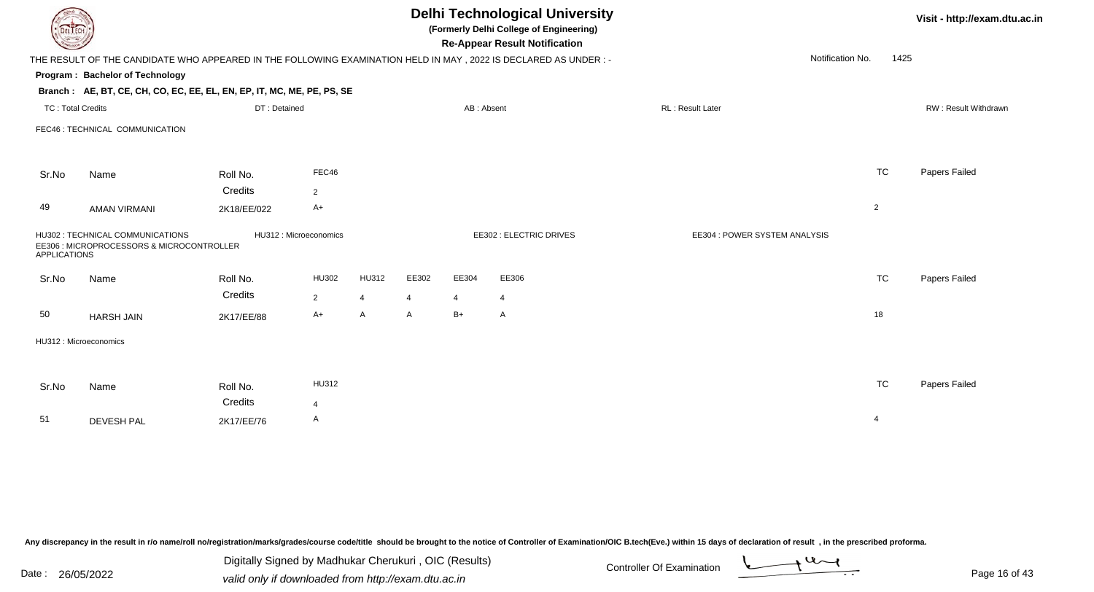| DEL ECH                  |                                                                                                                |                        |                |                |       |                | <b>Delhi Technological University</b><br>(Formerly Delhi College of Engineering)<br><b>Re-Appear Result Notification</b> |                               |                | Visit - http://exam.dtu.ac.in |
|--------------------------|----------------------------------------------------------------------------------------------------------------|------------------------|----------------|----------------|-------|----------------|--------------------------------------------------------------------------------------------------------------------------|-------------------------------|----------------|-------------------------------|
|                          | THE RESULT OF THE CANDIDATE WHO APPEARED IN THE FOLLOWING EXAMINATION HELD IN MAY, 2022 IS DECLARED AS UNDER:- |                        |                |                |       |                |                                                                                                                          | Notification No.              | 1425           |                               |
|                          | Program: Bachelor of Technology                                                                                |                        |                |                |       |                |                                                                                                                          |                               |                |                               |
|                          | Branch: AE, BT, CE, CH, CO, EC, EE, EL, EN, EP, IT, MC, ME, PE, PS, SE                                         |                        |                |                |       |                |                                                                                                                          |                               |                |                               |
| <b>TC: Total Credits</b> |                                                                                                                | DT: Detained           |                |                |       | AB: Absent     |                                                                                                                          | RL: Result Later              |                | RW: Result Withdrawn          |
|                          | FEC46 : TECHNICAL COMMUNICATION                                                                                |                        |                |                |       |                |                                                                                                                          |                               |                |                               |
| Sr.No                    | Name                                                                                                           | Roll No.               | FEC46          |                |       |                |                                                                                                                          |                               | <b>TC</b>      | Papers Failed                 |
|                          |                                                                                                                | Credits                | $\overline{2}$ |                |       |                |                                                                                                                          |                               |                |                               |
| 49                       | <b>AMAN VIRMANI</b>                                                                                            | 2K18/EE/022            | $A+$           |                |       |                |                                                                                                                          |                               | $\overline{2}$ |                               |
| <b>APPLICATIONS</b>      | HU302 : TECHNICAL COMMUNICATIONS<br>EE306 : MICROPROCESSORS & MICROCONTROLLER                                  | HU312 : Microeconomics |                |                |       |                | EE302 : ELECTRIC DRIVES                                                                                                  | EE304 : POWER SYSTEM ANALYSIS |                |                               |
| Sr.No                    | Name                                                                                                           | Roll No.               | HU302          | <b>HU312</b>   | EE302 | EE304          | EE306                                                                                                                    |                               | <b>TC</b>      | Papers Failed                 |
|                          |                                                                                                                | Credits                | $\overline{2}$ | $\overline{4}$ | 4     | $\overline{4}$ | 4                                                                                                                        |                               |                |                               |
| 50                       | <b>HARSH JAIN</b>                                                                                              | 2K17/EE/88             | $A+$           | A              | A     | $B+$           | $\mathsf{A}$                                                                                                             |                               | 18             |                               |
|                          | HU312: Microeconomics                                                                                          |                        |                |                |       |                |                                                                                                                          |                               |                |                               |
|                          |                                                                                                                |                        |                |                |       |                |                                                                                                                          |                               |                |                               |
| Sr.No                    | Name                                                                                                           | Roll No.               | HU312          |                |       |                |                                                                                                                          |                               | <b>TC</b>      | Papers Failed                 |
|                          |                                                                                                                | Credits                | $\overline{4}$ |                |       |                |                                                                                                                          |                               |                |                               |
| 51                       | <b>DEVESH PAL</b>                                                                                              | 2K17/EE/76             | A              |                |       |                |                                                                                                                          |                               | $\overline{4}$ |                               |
|                          |                                                                                                                |                        |                |                |       |                |                                                                                                                          |                               |                |                               |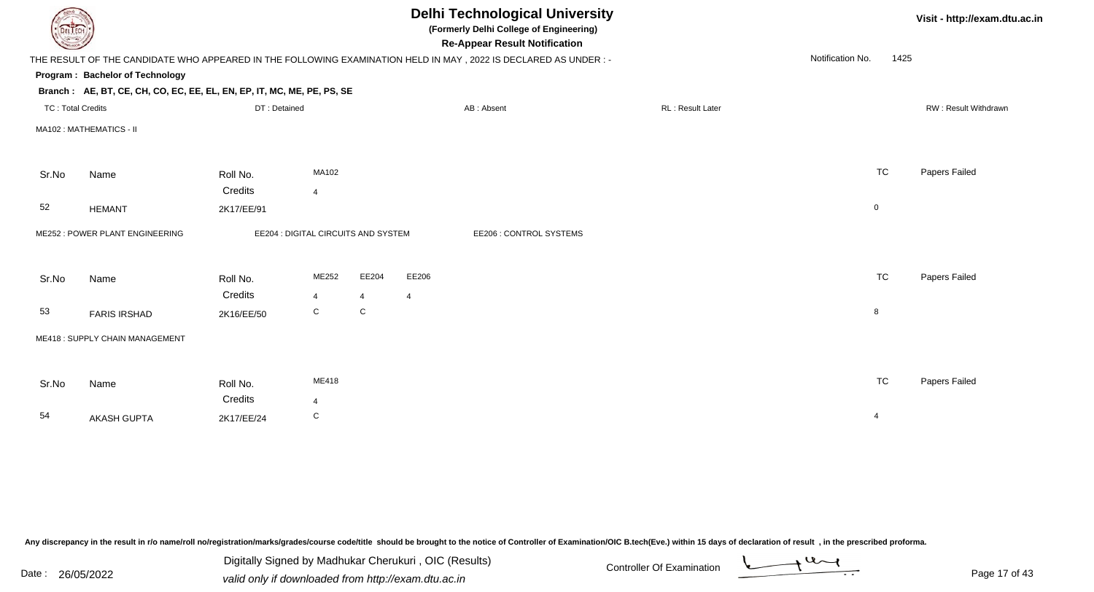| <b>DELIECH</b>           |                                                                        |              |                                     |                | <b>Delhi Technological University</b><br>(Formerly Delhi College of Engineering)<br><b>Re-Appear Result Notification</b> |                  |                          | Visit - http://exam.dtu.ac.in |
|--------------------------|------------------------------------------------------------------------|--------------|-------------------------------------|----------------|--------------------------------------------------------------------------------------------------------------------------|------------------|--------------------------|-------------------------------|
|                          |                                                                        |              |                                     |                | THE RESULT OF THE CANDIDATE WHO APPEARED IN THE FOLLOWING EXAMINATION HELD IN MAY, 2022 IS DECLARED AS UNDER :-          |                  | Notification No.<br>1425 |                               |
|                          | Program: Bachelor of Technology                                        |              |                                     |                |                                                                                                                          |                  |                          |                               |
|                          | Branch: AE, BT, CE, CH, CO, EC, EE, EL, EN, EP, IT, MC, ME, PE, PS, SE |              |                                     |                |                                                                                                                          |                  |                          |                               |
| <b>TC: Total Credits</b> |                                                                        | DT: Detained |                                     |                | AB: Absent                                                                                                               | RL: Result Later |                          | RW: Result Withdrawn          |
|                          | MA102: MATHEMATICS - II                                                |              |                                     |                |                                                                                                                          |                  |                          |                               |
| Sr.No                    | Name                                                                   | Roll No.     | MA102                               |                |                                                                                                                          |                  | <b>TC</b>                | Papers Failed                 |
|                          |                                                                        | Credits      | $\overline{4}$                      |                |                                                                                                                          |                  |                          |                               |
| 52                       | <b>HEMANT</b>                                                          | 2K17/EE/91   |                                     |                |                                                                                                                          |                  | $\overline{0}$           |                               |
|                          | ME252 : POWER PLANT ENGINEERING                                        |              | EE204 : DIGITAL CIRCUITS AND SYSTEM |                | EE206 : CONTROL SYSTEMS                                                                                                  |                  |                          |                               |
| Sr.No                    | Name                                                                   | Roll No.     | ME252                               | EE204          | EE206                                                                                                                    |                  | <b>TC</b>                | Papers Failed                 |
|                          |                                                                        | Credits      | $\overline{4}$                      | $\overline{4}$ | $\overline{4}$                                                                                                           |                  |                          |                               |
| 53                       | <b>FARIS IRSHAD</b>                                                    | 2K16/EE/50   | C                                   | ${\bf C}$      |                                                                                                                          |                  | 8                        |                               |
|                          | ME418: SUPPLY CHAIN MANAGEMENT                                         |              |                                     |                |                                                                                                                          |                  |                          |                               |
|                          |                                                                        |              |                                     |                |                                                                                                                          |                  |                          |                               |
| Sr.No                    | Name                                                                   | Roll No.     | ME418                               |                |                                                                                                                          |                  | <b>TC</b>                | Papers Failed                 |
|                          |                                                                        | Credits      | $\overline{4}$                      |                |                                                                                                                          |                  |                          |                               |
| 54                       | AKASH GUPTA                                                            | 2K17/EE/24   | $\mathbf C$                         |                |                                                                                                                          |                  | $\overline{4}$           |                               |
|                          |                                                                        |              |                                     |                |                                                                                                                          |                  |                          |                               |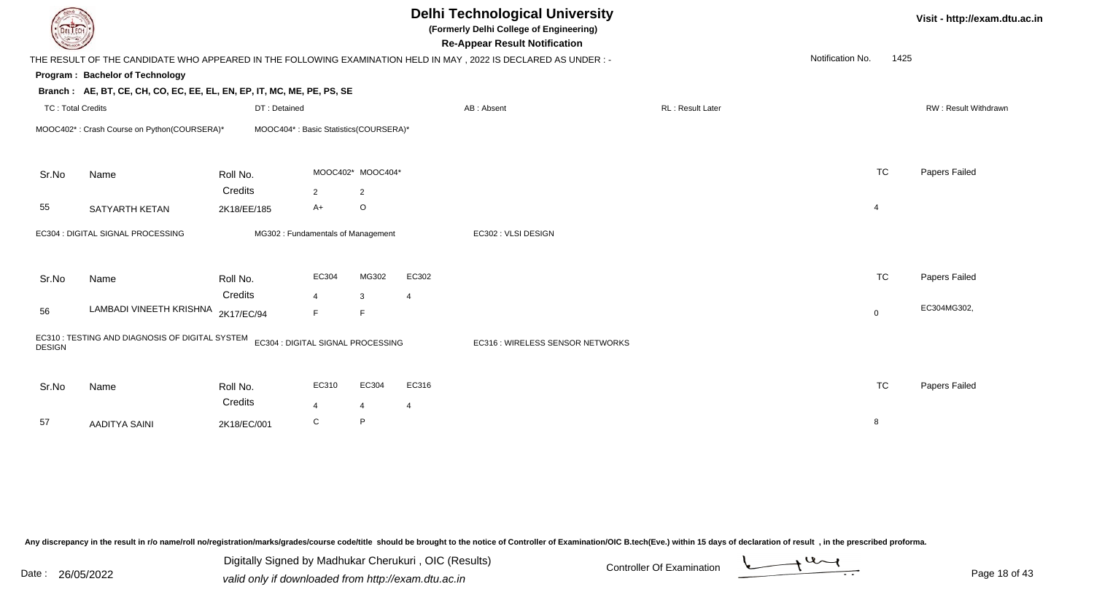| <b>DELIECH</b>    |                                                                        |                       |                                       |                         |                         | <b>Delhi Technological University</b><br>(Formerly Delhi College of Engineering)<br><b>Re-Appear Result Notification</b> |                  |                  |                | Visit - http://exam.dtu.ac.in |
|-------------------|------------------------------------------------------------------------|-----------------------|---------------------------------------|-------------------------|-------------------------|--------------------------------------------------------------------------------------------------------------------------|------------------|------------------|----------------|-------------------------------|
|                   |                                                                        |                       |                                       |                         |                         | THE RESULT OF THE CANDIDATE WHO APPEARED IN THE FOLLOWING EXAMINATION HELD IN MAY, 2022 IS DECLARED AS UNDER :-          |                  | Notification No. | 1425           |                               |
|                   | Program: Bachelor of Technology                                        |                       |                                       |                         |                         |                                                                                                                          |                  |                  |                |                               |
|                   | Branch: AE, BT, CE, CH, CO, EC, EE, EL, EN, EP, IT, MC, ME, PE, PS, SE |                       |                                       |                         |                         |                                                                                                                          |                  |                  |                |                               |
| TC: Total Credits |                                                                        | DT: Detained          |                                       |                         |                         | AB: Absent                                                                                                               | RL: Result Later |                  |                | RW: Result Withdrawn          |
|                   | MOOC402*: Crash Course on Python(COURSERA)*                            |                       | MOOC404*: Basic Statistics(COURSERA)* |                         |                         |                                                                                                                          |                  |                  |                |                               |
| Sr.No             | Name                                                                   | Roll No.              |                                       | MOOC402* MOOC404*       |                         |                                                                                                                          |                  |                  | <b>TC</b>      | Papers Failed                 |
|                   |                                                                        | Credits               | $\overline{2}$                        | $\overline{2}$          |                         |                                                                                                                          |                  |                  |                |                               |
| 55                | SATYARTH KETAN                                                         | 2K18/EE/185           | $A+$                                  | $\circ$                 |                         |                                                                                                                          |                  |                  | $\overline{4}$ |                               |
|                   | EC304 : DIGITAL SIGNAL PROCESSING                                      |                       | MG302: Fundamentals of Management     |                         |                         | EC302 : VLSI DESIGN                                                                                                      |                  |                  |                |                               |
| Sr.No             | Name                                                                   | Roll No.              | EC304                                 | MG302                   | EC302                   |                                                                                                                          |                  |                  | <b>TC</b>      | Papers Failed                 |
| 56                | LAMBADI VINEETH KRISHNA                                                | Credits<br>2K17/EC/94 | $\overline{4}$<br>E                   | 3<br>$\mathsf F$        | $\overline{4}$          |                                                                                                                          |                  |                  | $\mathbf 0$    | EC304MG302,                   |
| <b>DESIGN</b>     | EC310 : TESTING AND DIAGNOSIS OF DIGITAL SYSTEM                        |                       | EC304 : DIGITAL SIGNAL PROCESSING     |                         |                         | EC316 : WIRELESS SENSOR NETWORKS                                                                                         |                  |                  |                |                               |
| Sr.No             | Name                                                                   | Roll No.<br>Credits   | EC310<br>$\overline{4}$               | EC304<br>$\overline{4}$ | EC316<br>$\overline{4}$ |                                                                                                                          |                  |                  | <b>TC</b>      | Papers Failed                 |
| 57                | <b>AADITYA SAINI</b>                                                   | 2K18/EC/001           | C                                     | $\mathsf{P}$            |                         |                                                                                                                          |                  |                  | 8              |                               |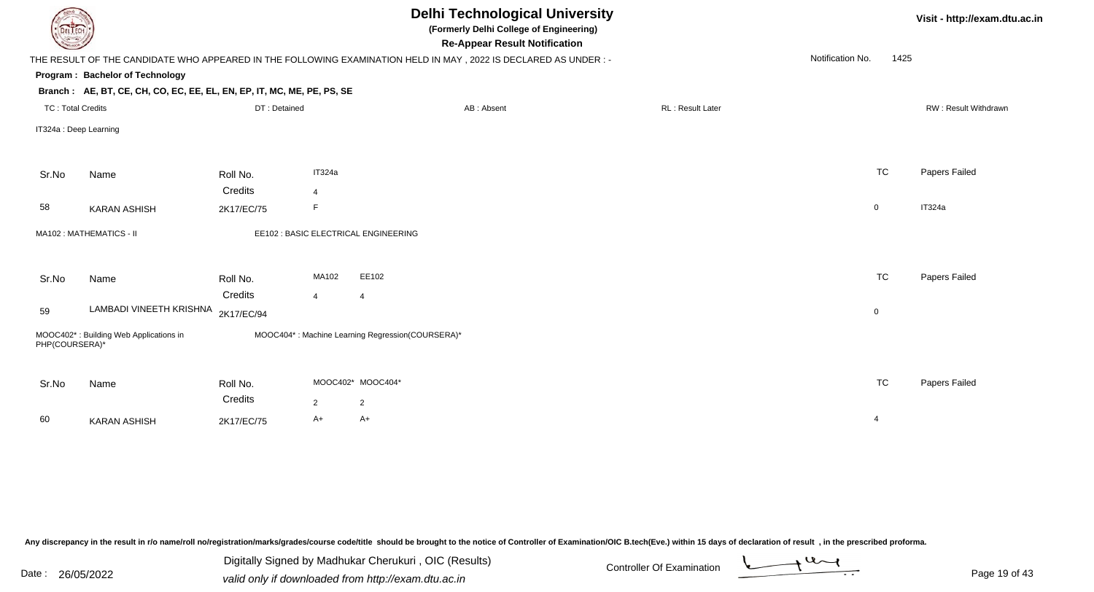| DEL TECH                 |                                                                        |                       |                        | <b>Delhi Technological University</b><br>(Formerly Delhi College of Engineering)<br><b>Re-Appear Result Notification</b> |                  |                | Visit - http://exam.dtu.ac.in |
|--------------------------|------------------------------------------------------------------------|-----------------------|------------------------|--------------------------------------------------------------------------------------------------------------------------|------------------|----------------|-------------------------------|
|                          |                                                                        |                       |                        | THE RESULT OF THE CANDIDATE WHO APPEARED IN THE FOLLOWING EXAMINATION HELD IN MAY, 2022 IS DECLARED AS UNDER :-          | Notification No. | 1425           |                               |
|                          | Program: Bachelor of Technology                                        |                       |                        |                                                                                                                          |                  |                |                               |
|                          | Branch: AE, BT, CE, CH, CO, EC, EE, EL, EN, EP, IT, MC, ME, PE, PS, SE |                       |                        |                                                                                                                          |                  |                |                               |
| <b>TC: Total Credits</b> |                                                                        | DT: Detained          |                        | <b>RL: Result Later</b><br>AB: Absent                                                                                    |                  |                | RW: Result Withdrawn          |
| IT324a : Deep Learning   |                                                                        |                       |                        |                                                                                                                          |                  |                |                               |
| Sr.No                    | Name                                                                   | Roll No.              | IT324a                 |                                                                                                                          |                  | <b>TC</b>      | Papers Failed                 |
|                          |                                                                        | Credits               | $\overline{4}$         |                                                                                                                          |                  |                |                               |
| 58                       | <b>KARAN ASHISH</b>                                                    | 2K17/EC/75            | F                      |                                                                                                                          |                  | $\mathsf{O}$   | IT324a                        |
|                          | MA102: MATHEMATICS - II                                                |                       |                        | EE102 : BASIC ELECTRICAL ENGINEERING                                                                                     |                  |                |                               |
| Sr.No                    | Name                                                                   | Roll No.              | MA102                  | EE102                                                                                                                    |                  | <b>TC</b>      | Papers Failed                 |
| 59                       | LAMBADI VINEETH KRISHNA                                                | Credits<br>2K17/EC/94 | $\overline{4}$         | $\overline{4}$                                                                                                           |                  | $\pmb{0}$      |                               |
| PHP(COURSERA)*           | MOOC402*: Building Web Applications in                                 |                       |                        | MOOC404*: Machine Learning Regression(COURSERA)*                                                                         |                  |                |                               |
| Sr.No                    | Name                                                                   | Roll No.<br>Credits   | MOOC402* MOOC404*<br>2 |                                                                                                                          |                  | <b>TC</b>      | Papers Failed                 |
| 60                       | <b>KARAN ASHISH</b>                                                    | 2K17/EC/75            | $A+$                   | $\overline{2}$<br>A+                                                                                                     |                  | $\overline{4}$ |                               |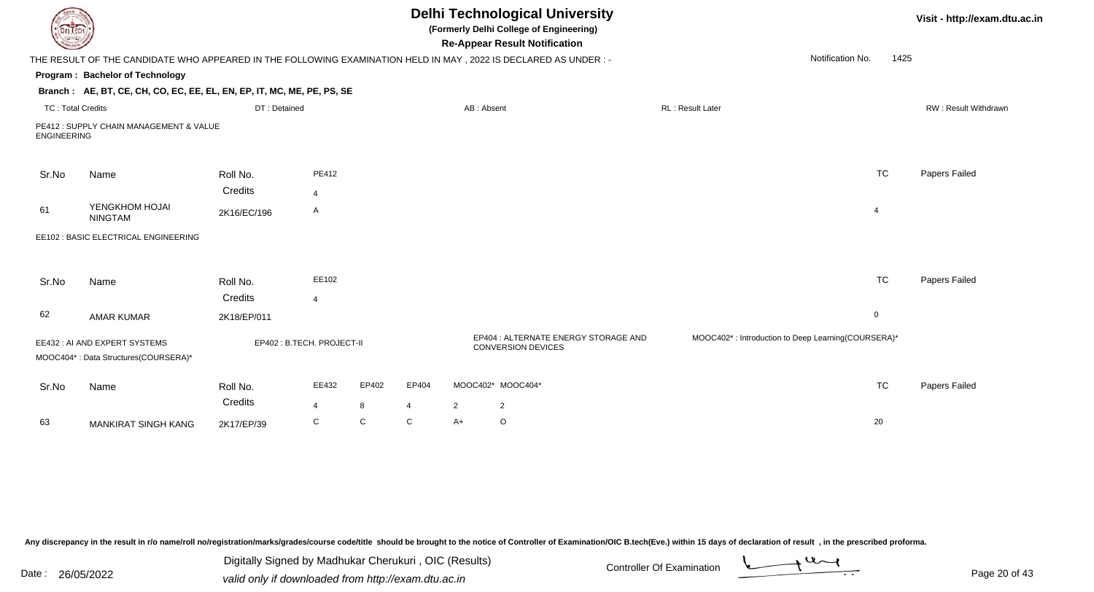| DEL TECH                 |                                                                                                                 |                           |                         |            |                         |                | <b>Delhi Technological University</b><br>(Formerly Delhi College of Engineering)<br><b>Re-Appear Result Notification</b> |                         |                                                    |                | Visit - http://exam.dtu.ac.in |
|--------------------------|-----------------------------------------------------------------------------------------------------------------|---------------------------|-------------------------|------------|-------------------------|----------------|--------------------------------------------------------------------------------------------------------------------------|-------------------------|----------------------------------------------------|----------------|-------------------------------|
|                          | THE RESULT OF THE CANDIDATE WHO APPEARED IN THE FOLLOWING EXAMINATION HELD IN MAY, 2022 IS DECLARED AS UNDER :- |                           |                         |            |                         |                |                                                                                                                          |                         | Notification No.                                   | 1425           |                               |
|                          | Program: Bachelor of Technology                                                                                 |                           |                         |            |                         |                |                                                                                                                          |                         |                                                    |                |                               |
|                          | Branch: AE, BT, CE, CH, CO, EC, EE, EL, EN, EP, IT, MC, ME, PE, PS, SE                                          |                           |                         |            |                         |                |                                                                                                                          |                         |                                                    |                |                               |
| <b>TC: Total Credits</b> |                                                                                                                 | DT: Detained              |                         |            |                         | AB: Absent     |                                                                                                                          | <b>RL: Result Later</b> |                                                    |                | RW: Result Withdrawn          |
| <b>ENGINEERING</b>       | PE412 : SUPPLY CHAIN MANAGEMENT & VALUE                                                                         |                           |                         |            |                         |                |                                                                                                                          |                         |                                                    |                |                               |
| Sr.No                    | Name                                                                                                            | Roll No.                  | PE412                   |            |                         |                |                                                                                                                          |                         |                                                    | <b>TC</b>      | Papers Failed                 |
|                          |                                                                                                                 | Credits                   | $\overline{\mathbf{4}}$ |            |                         |                |                                                                                                                          |                         |                                                    |                |                               |
| 61                       | YENGKHOM HOJAI<br><b>NINGTAM</b>                                                                                | 2K16/EC/196               | A                       |            |                         |                |                                                                                                                          |                         |                                                    | $\overline{4}$ |                               |
|                          | EE102 : BASIC ELECTRICAL ENGINEERING                                                                            |                           |                         |            |                         |                |                                                                                                                          |                         |                                                    |                |                               |
| Sr.No                    | Name                                                                                                            | Roll No.<br>Credits       | EE102<br>$\overline{4}$ |            |                         |                |                                                                                                                          |                         |                                                    | <b>TC</b>      | Papers Failed                 |
| 62                       | <b>AMAR KUMAR</b>                                                                                               | 2K18/EP/011               |                         |            |                         |                |                                                                                                                          |                         |                                                    | $\mathbf 0$    |                               |
|                          | EE432 : AI AND EXPERT SYSTEMS<br>MOOC404*: Data Structures(COURSERA)*                                           | EP402: B.TECH. PROJECT-II |                         |            |                         |                | EP404 : ALTERNATE ENERGY STORAGE AND<br><b>CONVERSION DEVICES</b>                                                        |                         | MOOC402*: Introduction to Deep Learning(COURSERA)* |                |                               |
| Sr.No                    | Name                                                                                                            | Roll No.<br>Credits       | EE432<br>$\overline{4}$ | EP402<br>8 | EP404<br>$\overline{4}$ | $\overline{2}$ | MOOC402* MOOC404*<br>$\overline{c}$                                                                                      |                         |                                                    | <b>TC</b>      | Papers Failed                 |
| 63                       | <b>MANKIRAT SINGH KANG</b>                                                                                      | 2K17/EP/39                | C                       | C          | C                       | $A+$           | $\circ$                                                                                                                  |                         |                                                    | 20             |                               |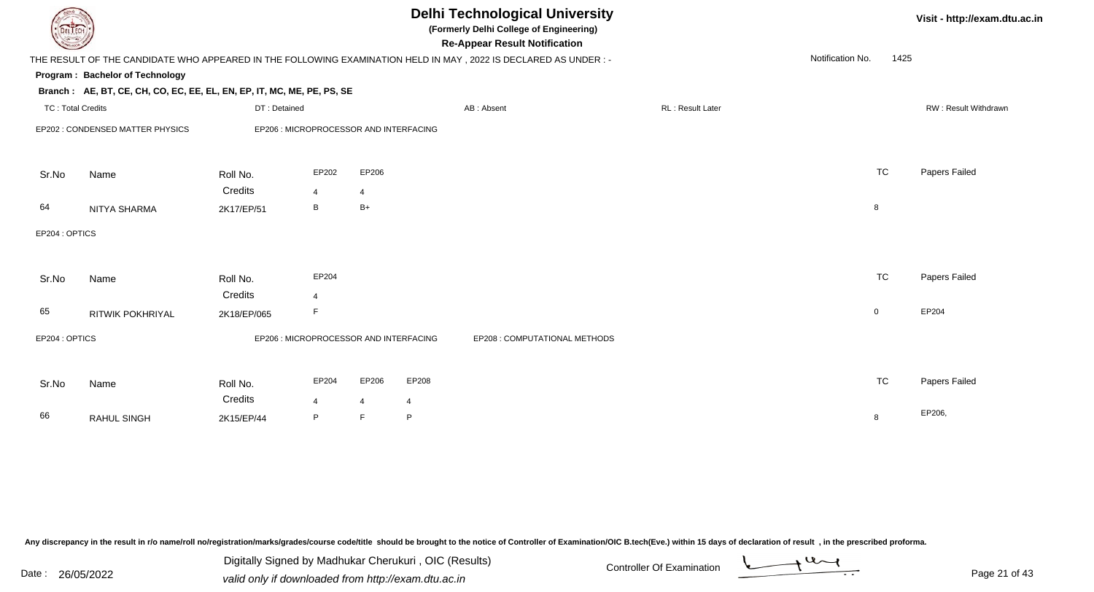| <b>Delhi Technological University</b><br>(Formerly Delhi College of Engineering)<br>DEL TECH<br><b>Re-Appear Result Notification</b>        | Visit - http://exam.dtu.ac.in |  |
|---------------------------------------------------------------------------------------------------------------------------------------------|-------------------------------|--|
| Notification No.<br>1425<br>THE RESULT OF THE CANDIDATE WHO APPEARED IN THE FOLLOWING EXAMINATION HELD IN MAY, 2022 IS DECLARED AS UNDER :- |                               |  |
| Program: Bachelor of Technology                                                                                                             |                               |  |
| Branch: AE, BT, CE, CH, CO, EC, EE, EL, EN, EP, IT, MC, ME, PE, PS, SE                                                                      |                               |  |
| RL: Result Later<br><b>TC: Total Credits</b><br>DT: Detained<br>AB: Absent                                                                  | RW: Result Withdrawn          |  |
| EP202 : CONDENSED MATTER PHYSICS<br>EP206 : MICROPROCESSOR AND INTERFACING                                                                  |                               |  |
| <b>TC</b><br>EP202<br>EP206<br>Sr.No<br>Roll No.<br>Name                                                                                    | Papers Failed                 |  |
| Credits<br>$\overline{4}$<br>4                                                                                                              |                               |  |
| B<br>$B+$<br>64<br>8<br>NITYA SHARMA<br>2K17/EP/51                                                                                          |                               |  |
| EP204 : OPTICS                                                                                                                              |                               |  |
| <b>TC</b><br>EP204<br>Roll No.<br>Sr.No<br>Name                                                                                             | Papers Failed                 |  |
| Credits<br>$\overline{4}$<br>65<br>$\mathsf F$<br>$\overline{0}$<br>RITWIK POKHRIYAL<br>2K18/EP/065                                         | EP204                         |  |
| EP204: OPTICS<br>EP206 : MICROPROCESSOR AND INTERFACING<br>EP208 : COMPUTATIONAL METHODS                                                    |                               |  |
|                                                                                                                                             |                               |  |
| <b>TC</b><br>EP204<br>EP206<br>EP208<br>Sr.No<br>Name<br>Roll No.                                                                           | Papers Failed                 |  |
| Credits<br>4<br>4<br>$\overline{4}$<br>66<br>P<br>RAHUL SINGH<br>$\mathsf F$<br>P<br>8<br>2K15/EP/44                                        | EP206,                        |  |

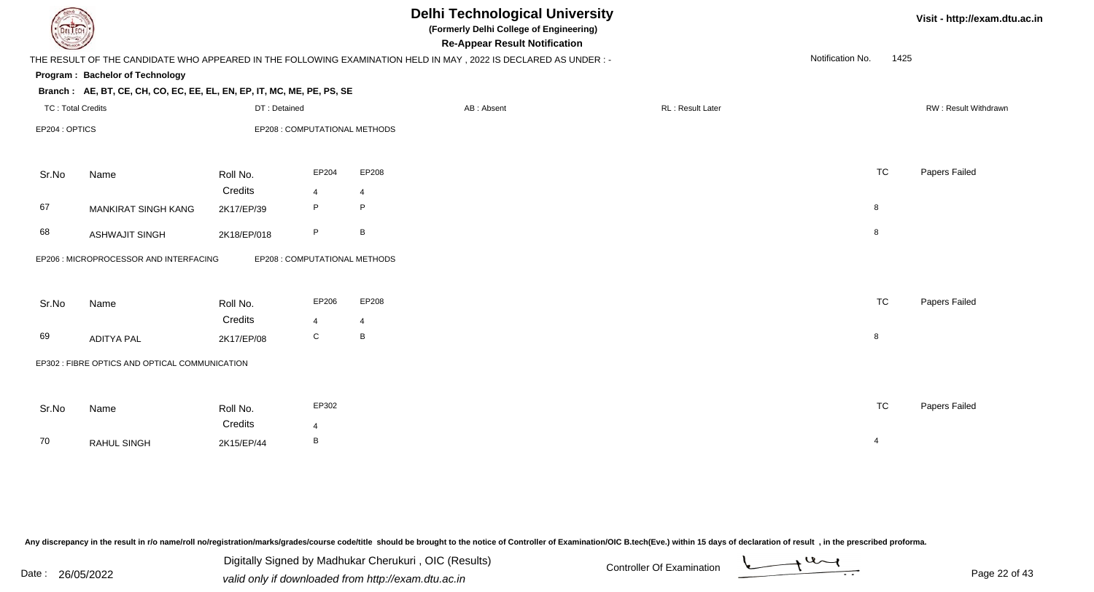| DEL TECH                 |                                                                        |              |                               |             | <b>Delhi Technological University</b><br>(Formerly Delhi College of Engineering)<br><b>Re-Appear Result Notification</b> |                  |                  | Visit - http://exam.dtu.ac.in |
|--------------------------|------------------------------------------------------------------------|--------------|-------------------------------|-------------|--------------------------------------------------------------------------------------------------------------------------|------------------|------------------|-------------------------------|
|                          |                                                                        |              |                               |             | THE RESULT OF THE CANDIDATE WHO APPEARED IN THE FOLLOWING EXAMINATION HELD IN MAY, 2022 IS DECLARED AS UNDER: -          |                  | Notification No. | 1425                          |
|                          | Program: Bachelor of Technology                                        |              |                               |             |                                                                                                                          |                  |                  |                               |
|                          | Branch: AE, BT, CE, CH, CO, EC, EE, EL, EN, EP, IT, MC, ME, PE, PS, SE |              |                               |             |                                                                                                                          |                  |                  |                               |
| <b>TC: Total Credits</b> |                                                                        | DT: Detained |                               |             | AB: Absent                                                                                                               | RL: Result Later |                  | RW: Result Withdrawn          |
|                          | EP204: OPTICS<br>EP208 : COMPUTATIONAL METHODS                         |              |                               |             |                                                                                                                          |                  |                  |                               |
| Sr.No                    | Name                                                                   | Roll No.     | EP204                         | EP208       |                                                                                                                          |                  | <b>TC</b>        | Papers Failed                 |
|                          |                                                                        | Credits      | $\overline{4}$                | 4           |                                                                                                                          |                  |                  |                               |
| 67                       | MANKIRAT SINGH KANG                                                    | 2K17/EP/39   | P                             | $\mathsf P$ |                                                                                                                          |                  | 8                |                               |
| 68                       | <b>ASHWAJIT SINGH</b>                                                  | 2K18/EP/018  | P                             | B           |                                                                                                                          |                  | 8                |                               |
|                          | EP206 : MICROPROCESSOR AND INTERFACING                                 |              | EP208 : COMPUTATIONAL METHODS |             |                                                                                                                          |                  |                  |                               |
| Sr.No                    | Name                                                                   | Roll No.     | EP206                         | EP208       |                                                                                                                          |                  | <b>TC</b>        | Papers Failed                 |
|                          |                                                                        | Credits      | $\overline{4}$                | 4           |                                                                                                                          |                  |                  |                               |
| 69                       | <b>ADITYA PAL</b>                                                      | 2K17/EP/08   | $\mathbf C$                   | B           |                                                                                                                          |                  | 8                |                               |
|                          | EP302 : FIBRE OPTICS AND OPTICAL COMMUNICATION                         |              |                               |             |                                                                                                                          |                  |                  |                               |
| Sr.No                    | Name                                                                   | Roll No.     | EP302                         |             |                                                                                                                          |                  | <b>TC</b>        | Papers Failed                 |
|                          |                                                                        | Credits      | $\overline{4}$                |             |                                                                                                                          |                  |                  |                               |
| 70                       | <b>RAHUL SINGH</b>                                                     | 2K15/EP/44   | B                             |             |                                                                                                                          |                  | $\overline{4}$   |                               |
|                          |                                                                        |              |                               |             |                                                                                                                          |                  |                  |                               |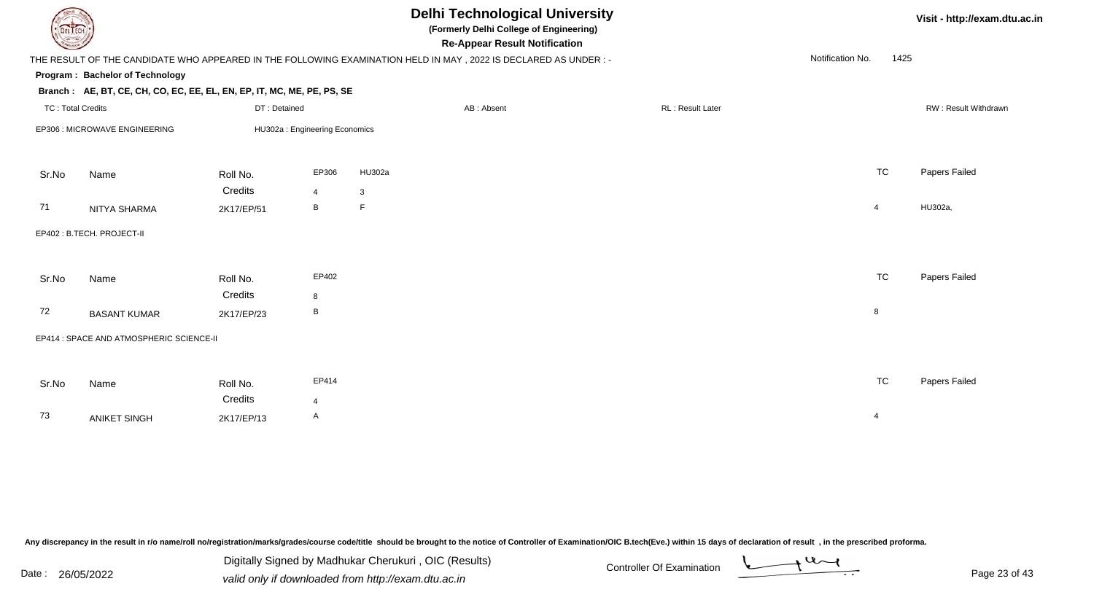|                          |                                                                        |                                |                |             | <b>Delhi Technological University</b><br>(Formerly Delhi College of Engineering)<br><b>Re-Appear Result Notification</b> |                  |                  | Visit - http://exam.dtu.ac.in |                      |  |
|--------------------------|------------------------------------------------------------------------|--------------------------------|----------------|-------------|--------------------------------------------------------------------------------------------------------------------------|------------------|------------------|-------------------------------|----------------------|--|
|                          |                                                                        |                                |                |             | THE RESULT OF THE CANDIDATE WHO APPEARED IN THE FOLLOWING EXAMINATION HELD IN MAY, 2022 IS DECLARED AS UNDER:-           |                  | Notification No. | 1425                          |                      |  |
|                          | Program: Bachelor of Technology                                        |                                |                |             |                                                                                                                          |                  |                  |                               |                      |  |
|                          | Branch: AE, BT, CE, CH, CO, EC, EE, EL, EN, EP, IT, MC, ME, PE, PS, SE |                                |                |             |                                                                                                                          |                  |                  |                               |                      |  |
| <b>TC: Total Credits</b> |                                                                        | DT: Detained                   |                |             | AB: Absent                                                                                                               | RL: Result Later |                  |                               | RW: Result Withdrawn |  |
|                          | EP306 : MICROWAVE ENGINEERING                                          | HU302a : Engineering Economics |                |             |                                                                                                                          |                  |                  |                               |                      |  |
| Sr.No                    | Name                                                                   | Roll No.                       | EP306          | HU302a      |                                                                                                                          |                  |                  | <b>TC</b>                     | Papers Failed        |  |
|                          |                                                                        | Credits                        | $\overline{4}$ | 3           |                                                                                                                          |                  |                  |                               |                      |  |
| 71                       | NITYA SHARMA                                                           | 2K17/EP/51                     | B              | $\mathsf F$ |                                                                                                                          |                  | $\overline{4}$   |                               | HU302a,              |  |
|                          | EP402 : B.TECH. PROJECT-II                                             |                                |                |             |                                                                                                                          |                  |                  |                               |                      |  |
| Sr.No                    | Name                                                                   | Roll No.                       | EP402          |             |                                                                                                                          |                  |                  | <b>TC</b>                     | Papers Failed        |  |
|                          |                                                                        | Credits                        | 8              |             |                                                                                                                          |                  |                  |                               |                      |  |
| 72                       | <b>BASANT KUMAR</b>                                                    | 2K17/EP/23                     | B              |             |                                                                                                                          |                  | 8                |                               |                      |  |
|                          | EP414 : SPACE AND ATMOSPHERIC SCIENCE-II                               |                                |                |             |                                                                                                                          |                  |                  |                               |                      |  |
|                          |                                                                        |                                |                |             |                                                                                                                          |                  |                  |                               |                      |  |
| Sr.No                    | Name                                                                   | Roll No.                       | EP414          |             |                                                                                                                          |                  |                  | <b>TC</b>                     | Papers Failed        |  |
|                          |                                                                        | Credits                        | $\overline{4}$ |             |                                                                                                                          |                  |                  |                               |                      |  |
| 73                       | <b>ANIKET SINGH</b>                                                    | 2K17/EP/13                     | $\mathsf{A}$   |             |                                                                                                                          |                  | $\overline{4}$   |                               |                      |  |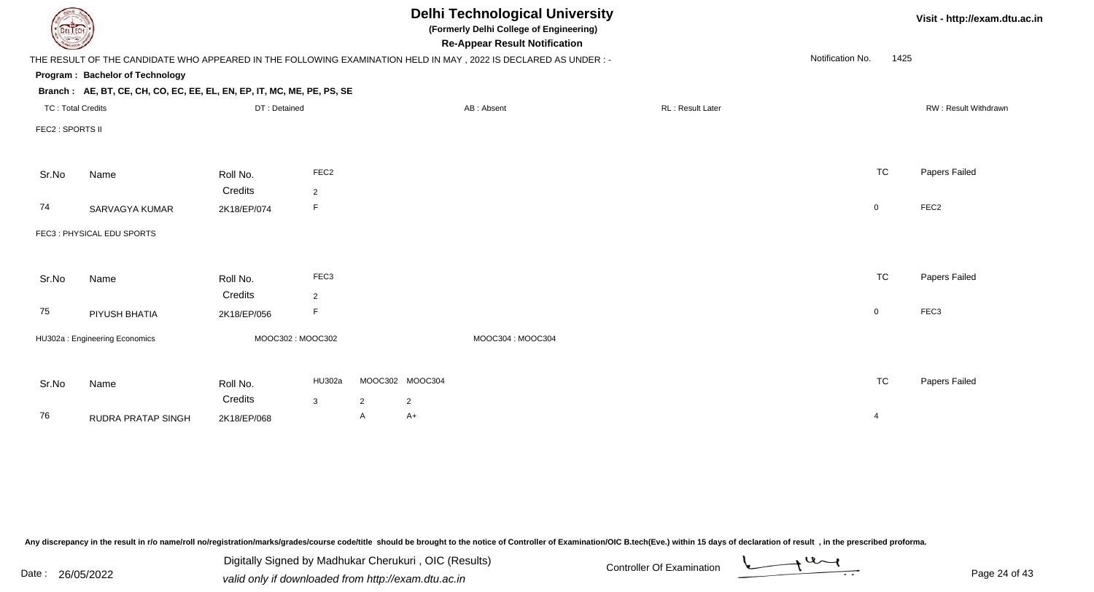| <b>DELTECH</b>           |                                                                                                                 |                  |                  | <b>Delhi Technological University</b><br>(Formerly Delhi College of Engineering)<br><b>Re-Appear Result Notification</b> |                 |                  |  |                         |                  |                | Visit - http://exam.dtu.ac.in |
|--------------------------|-----------------------------------------------------------------------------------------------------------------|------------------|------------------|--------------------------------------------------------------------------------------------------------------------------|-----------------|------------------|--|-------------------------|------------------|----------------|-------------------------------|
|                          | THE RESULT OF THE CANDIDATE WHO APPEARED IN THE FOLLOWING EXAMINATION HELD IN MAY, 2022 IS DECLARED AS UNDER :- |                  |                  |                                                                                                                          |                 |                  |  |                         | Notification No. | 1425           |                               |
|                          | Program: Bachelor of Technology                                                                                 |                  |                  |                                                                                                                          |                 |                  |  |                         |                  |                |                               |
|                          | Branch: AE, BT, CE, CH, CO, EC, EE, EL, EN, EP, IT, MC, ME, PE, PS, SE                                          |                  |                  |                                                                                                                          |                 |                  |  |                         |                  |                |                               |
| <b>TC: Total Credits</b> |                                                                                                                 | DT: Detained     |                  |                                                                                                                          |                 | AB: Absent       |  | <b>RL: Result Later</b> |                  |                | RW: Result Withdrawn          |
| FEC2 : SPORTS II         |                                                                                                                 |                  |                  |                                                                                                                          |                 |                  |  |                         |                  |                |                               |
|                          |                                                                                                                 |                  | FEC <sub>2</sub> |                                                                                                                          |                 |                  |  |                         |                  | <b>TC</b>      |                               |
| Sr.No                    | Name                                                                                                            | Roll No.         |                  |                                                                                                                          |                 |                  |  |                         |                  |                | Papers Failed                 |
|                          |                                                                                                                 | Credits          | $\overline{2}$   |                                                                                                                          |                 |                  |  |                         |                  |                |                               |
| 74                       | SARVAGYA KUMAR                                                                                                  | 2K18/EP/074      | F                |                                                                                                                          |                 |                  |  |                         |                  | $\mathbf 0$    | FEC <sub>2</sub>              |
|                          | FEC3: PHYSICAL EDU SPORTS                                                                                       |                  |                  |                                                                                                                          |                 |                  |  |                         |                  |                |                               |
|                          |                                                                                                                 |                  |                  |                                                                                                                          |                 |                  |  |                         |                  |                |                               |
| Sr.No                    | Name                                                                                                            | Roll No.         | FEC <sub>3</sub> |                                                                                                                          |                 |                  |  |                         |                  | <b>TC</b>      | Papers Failed                 |
|                          |                                                                                                                 | Credits          | $\overline{2}$   |                                                                                                                          |                 |                  |  |                         |                  |                |                               |
| 75                       | PIYUSH BHATIA                                                                                                   | 2K18/EP/056      | F                |                                                                                                                          |                 |                  |  |                         |                  | $\mathbf 0$    | FEC3                          |
|                          | HU302a: Engineering Economics                                                                                   | MOOC302: MOOC302 |                  |                                                                                                                          |                 | MOOC304: MOOC304 |  |                         |                  |                |                               |
|                          |                                                                                                                 |                  |                  |                                                                                                                          |                 |                  |  |                         |                  |                |                               |
| Sr.No                    | Name                                                                                                            | Roll No.         | HU302a           |                                                                                                                          | MOOC302 MOOC304 |                  |  |                         |                  | <b>TC</b>      | Papers Failed                 |
|                          |                                                                                                                 | Credits          | $\mathbf{3}$     | $\overline{2}$                                                                                                           | $\overline{2}$  |                  |  |                         |                  |                |                               |
| 76                       | <b>RUDRA PRATAP SINGH</b>                                                                                       | 2K18/EP/068      |                  | $\mathsf{A}$                                                                                                             | $A+$            |                  |  |                         |                  | $\overline{4}$ |                               |
|                          |                                                                                                                 |                  |                  |                                                                                                                          |                 |                  |  |                         |                  |                |                               |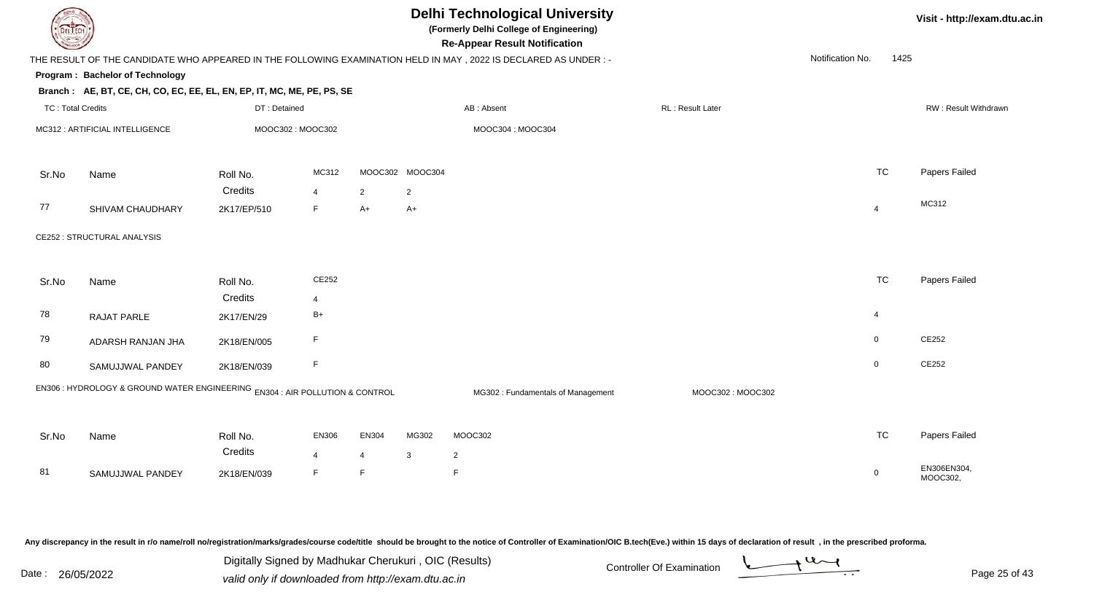| DEL ECH                  |                                                                              |              |                  |                |                 | <b>Delhi Technological University</b><br>(Formerly Delhi College of Engineering)<br><b>Re-Appear Result Notification</b> |                   |                  |                | Visit - http://exam.dtu.ac.in |
|--------------------------|------------------------------------------------------------------------------|--------------|------------------|----------------|-----------------|--------------------------------------------------------------------------------------------------------------------------|-------------------|------------------|----------------|-------------------------------|
|                          |                                                                              |              |                  |                |                 | THE RESULT OF THE CANDIDATE WHO APPEARED IN THE FOLLOWING EXAMINATION HELD IN MAY, 2022 IS DECLARED AS UNDER :-          |                   | Notification No. | 1425           |                               |
|                          | Program: Bachelor of Technology                                              |              |                  |                |                 |                                                                                                                          |                   |                  |                |                               |
|                          | Branch: AE, BT, CE, CH, CO, EC, EE, EL, EN, EP, IT, MC, ME, PE, PS, SE       |              |                  |                |                 |                                                                                                                          |                   |                  |                |                               |
| <b>TC: Total Credits</b> |                                                                              | DT: Detained |                  |                |                 | AB: Absent                                                                                                               | RL : Result Later |                  |                | RW: Result Withdrawn          |
|                          | MC312 : ARTIFICIAL INTELLIGENCE                                              |              | MOOC302: MOOC302 |                |                 | MOOC304: MOOC304                                                                                                         |                   |                  |                |                               |
| Sr.No                    | Name                                                                         | Roll No.     | MC312            |                | MOOC302 MOOC304 |                                                                                                                          |                   |                  | <b>TC</b>      | Papers Failed                 |
|                          |                                                                              | Credits      | $\overline{4}$   | $\overline{2}$ | $\overline{2}$  |                                                                                                                          |                   |                  |                |                               |
| 77                       | SHIVAM CHAUDHARY                                                             | 2K17/EP/510  | F                | $A+$           | $A+$            |                                                                                                                          |                   |                  | $\overline{4}$ | MC312                         |
|                          | CE252 : STRUCTURAL ANALYSIS                                                  |              |                  |                |                 |                                                                                                                          |                   |                  |                |                               |
| Sr.No                    | Name                                                                         | Roll No.     | CE252            |                |                 |                                                                                                                          |                   |                  | <b>TC</b>      | Papers Failed                 |
|                          |                                                                              | Credits      | $\overline{4}$   |                |                 |                                                                                                                          |                   |                  |                |                               |
| 78                       | RAJAT PARLE                                                                  | 2K17/EN/29   | $B+$             |                |                 |                                                                                                                          |                   |                  | 4              |                               |
| 79                       | ADARSH RANJAN JHA                                                            | 2K18/EN/005  | F                |                |                 |                                                                                                                          |                   |                  | $\mathbf 0$    | CE252                         |
| 80                       | SAMUJJWAL PANDEY                                                             | 2K18/EN/039  | F                |                |                 |                                                                                                                          |                   |                  | $\mathbf 0$    | CE252                         |
|                          | EN306 : HYDROLOGY & GROUND WATER ENGINEERING EN304 : AIR POLLUTION & CONTROL |              |                  |                |                 | MG302: Fundamentals of Management                                                                                        | MOOC302: MOOC302  |                  |                |                               |
| Sr.No                    | Name                                                                         | Roll No.     | EN306            | EN304          | MG302           | MOOC302                                                                                                                  |                   |                  | <b>TC</b>      | Papers Failed                 |
|                          |                                                                              | Credits      | $\overline{4}$   | $\overline{4}$ | $\mathbf{3}$    | $\overline{2}$                                                                                                           |                   |                  |                |                               |
| 81                       | SAMUJJWAL PANDEY                                                             | 2K18/EN/039  | F                | F              |                 | F                                                                                                                        |                   |                  | $\mathbf 0$    | EN306EN304,<br>MOOC302,       |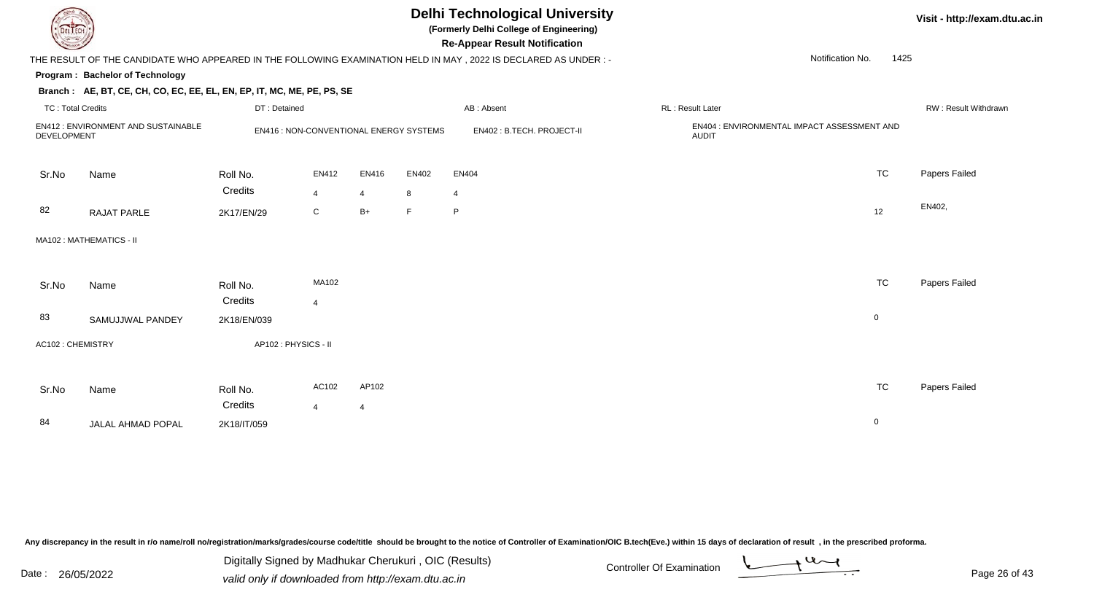

## **Delhi Technological University**

**(Formerly Delhi College of Engineering)**

**Re-Appear Result Notification**

### THE RESULT OF THE CANDIDATE WHO APPEARED IN THE FOLLOWING EXAMINATION HELD IN MAY , 2022 IS DECLARED AS UNDER : -

#### **Program : Bachelor of Technology**

#### **Branch : AE, BT, CE, CH, CO, EC, EE, EL, EN, EP, IT, MC, ME, PE, PS, SE**

| TC: Total Credits |                                    | DT: Detained           |                                               |                |            | AB: Absent                 | RL: Result Later                                            |             | RW: Result Withdrawr |
|-------------------|------------------------------------|------------------------|-----------------------------------------------|----------------|------------|----------------------------|-------------------------------------------------------------|-------------|----------------------|
| DEVELOPMENT       | EN412: ENVIRONMENT AND SUSTAINABLE |                        | <b>EN416: NON-CONVENTIONAL ENERGY SYSTEMS</b> |                |            | EN402 : B.TECH. PROJECT-II | EN404 : ENVIRONMENTAL IMPACT ASSESSMENT AND<br><b>AUDIT</b> |             |                      |
| Sr.No             | Name                               | Roll No.<br>Credits    | EN412<br>$\overline{4}$                       | EN416<br>4     | EN402<br>8 | EN404<br>$\overline{4}$    |                                                             | <b>TC</b>   | Papers Failed        |
| 82                | RAJAT PARLE                        | 2K17/EN/29             | $\mathsf{C}$                                  | $B+$           | F          | $\mathsf{P}$               |                                                             | 12          | EN402,               |
|                   | MA102: MATHEMATICS - II            |                        |                                               |                |            |                            |                                                             |             |                      |
| Sr.No             | Name                               | Roll No.               | MA102                                         |                |            |                            |                                                             | TC          | Papers Failed        |
| 83                | SAMUJJWAL PANDEY                   | Credits<br>2K18/EN/039 | $\overline{4}$                                |                |            |                            |                                                             | $\mathbf 0$ |                      |
| AC102: CHEMISTRY  |                                    | AP102 : PHYSICS - II   |                                               |                |            |                            |                                                             |             |                      |
| Sr.No             | Name                               | Roll No.               | AC102                                         | AP102          |            |                            |                                                             | <b>TC</b>   | Papers Failed        |
| 84                | JALAL AHMAD POPAL                  | Credits<br>2K18/IT/059 | 4                                             | $\overline{4}$ |            |                            |                                                             | $\mathbf 0$ |                      |
|                   |                                    |                        |                                               |                |            |                            |                                                             |             |                      |

Any discrepancy in the result in r/o name/roll no/registration/marks/grades/course code/title should be brought to the notice of Controller of Examination/OIC B.tech(Eve.) within 15 days of declaration of result, in the pr

Date : 26/05/2022 Valid only if downloaded from http://exam.dtu.ac.in<br>valid only if downloaded from http://exam.dtu.ac.in Digitally Signed by Madhukar Cherukuri , OIC (Results)

**Visit - http://exam.dtu.ac.in**

Notification No.1425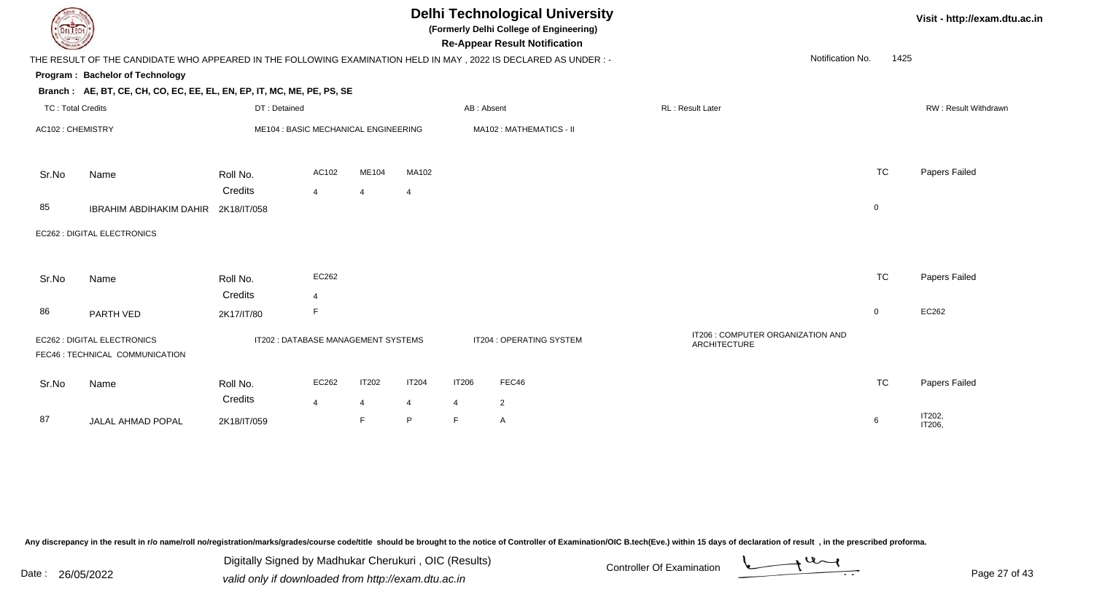| DEL TECH                 |                                                                                                                |                                      |                         |                     |                              |              | <b>Delhi Technological University</b><br>(Formerly Delhi College of Engineering)<br><b>Re-Appear Result Notification</b> |                         |                                   |                | Visit - http://exam.d       |
|--------------------------|----------------------------------------------------------------------------------------------------------------|--------------------------------------|-------------------------|---------------------|------------------------------|--------------|--------------------------------------------------------------------------------------------------------------------------|-------------------------|-----------------------------------|----------------|-----------------------------|
|                          | THE RESULT OF THE CANDIDATE WHO APPEARED IN THE FOLLOWING EXAMINATION HELD IN MAY, 2022 IS DECLARED AS UNDER:- |                                      |                         |                     |                              |              |                                                                                                                          |                         | Notification No.                  | 1425           |                             |
|                          | Program: Bachelor of Technology                                                                                |                                      |                         |                     |                              |              |                                                                                                                          |                         |                                   |                |                             |
|                          | Branch: AE, BT, CE, CH, CO, EC, EE, EL, EN, EP, IT, MC, ME, PE, PS, SE                                         |                                      |                         |                     |                              |              |                                                                                                                          |                         |                                   |                |                             |
| <b>TC: Total Credits</b> |                                                                                                                | DT: Detained                         |                         |                     |                              | AB: Absent   |                                                                                                                          | <b>RL: Result Later</b> |                                   |                | <b>RW: Result Withdrawn</b> |
| AC102: CHEMISTRY         |                                                                                                                | ME104 : BASIC MECHANICAL ENGINEERING |                         |                     |                              |              | MA102: MATHEMATICS - II                                                                                                  |                         |                                   |                |                             |
| Sr.No                    | Name                                                                                                           | Roll No.                             | AC102                   | ME104               | MA102                        |              |                                                                                                                          |                         |                                   | TC             | Papers Failed               |
| 85                       | <b>IBRAHIM ABDIHAKIM DAHIR</b>                                                                                 | Credits<br>2K18/IT/058               | $\overline{4}$          | $\overline{4}$      | $\overline{4}$               |              |                                                                                                                          |                         |                                   | $\mathbf 0$    |                             |
|                          | EC262 : DIGITAL ELECTRONICS                                                                                    |                                      |                         |                     |                              |              |                                                                                                                          |                         |                                   |                |                             |
| Sr.No                    | Name                                                                                                           | Roll No.<br>Credits                  | EC262<br>$\overline{4}$ |                     |                              |              |                                                                                                                          |                         |                                   | <b>TC</b>      | Papers Failed               |
| 86                       | PARTH VED                                                                                                      | 2K17/IT/80                           | F                       |                     |                              |              |                                                                                                                          |                         |                                   | $\overline{0}$ | EC262                       |
|                          | EC262 : DIGITAL ELECTRONICS<br>FEC46 : TECHNICAL COMMUNICATION                                                 | IT202: DATABASE MANAGEMENT SYSTEMS   |                         |                     |                              |              | IT204 : OPERATING SYSTEM                                                                                                 | ARCHITECTURE            | IT206 : COMPUTER ORGANIZATION AND |                |                             |
| Sr.No                    | Name                                                                                                           | Roll No.<br>Credits                  | EC262                   | <b>IT202</b>        | <b>IT204</b>                 | <b>IT206</b> | FEC46                                                                                                                    |                         |                                   | <b>TC</b>      | Papers Failed               |
| 87                       | JALAL AHMAD POPAL                                                                                              | 2K18/IT/059                          | $\overline{4}$          | $\overline{4}$<br>F | $\overline{\mathbf{4}}$<br>P | 4<br>F       | $\overline{2}$<br>$\mathsf{A}$                                                                                           |                         |                                   | 6              | IT202,<br>IT206,            |

Digitally Signed by Madhukar Cherukuri, OIC (Results)<br>Date : 26/05/2022 valid only if downloaded from http://oxam.dtu.ac.in Digitally Signed by Madhukar Cherukuri , OIC (Results)valid only if downloaded from http://exam.dtu.ac.in

dtu.ac.in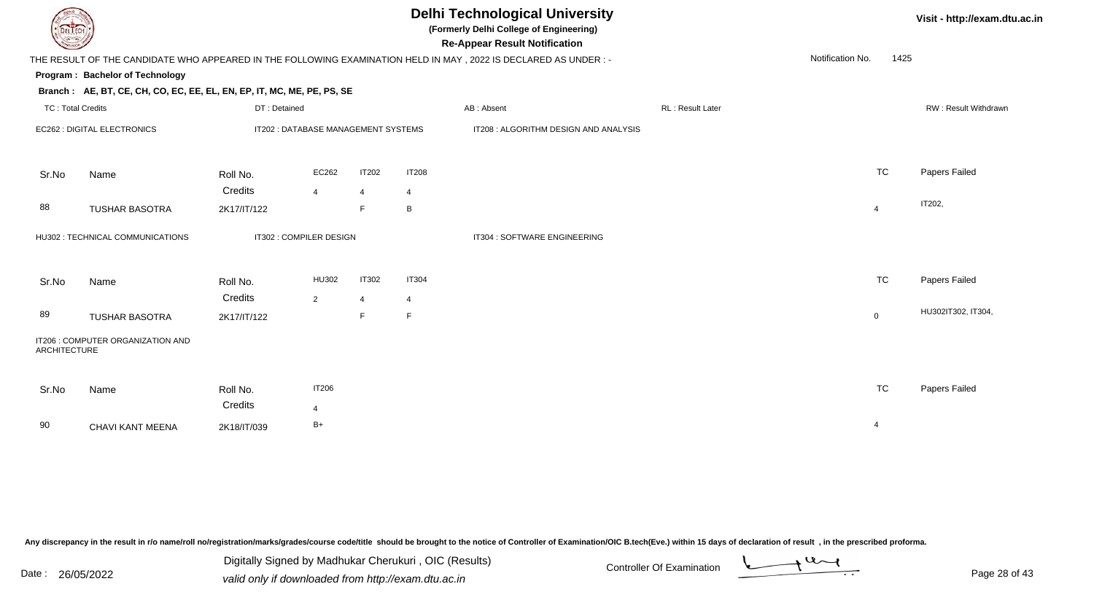| DEL TECI                 |                                                                        |                                     |                         |                |                | <b>Delhi Technological University</b><br>(Formerly Delhi College of Engineering)<br><b>Re-Appear Result Notification</b> |                  |                  |                | Visit - http://exam.dt |
|--------------------------|------------------------------------------------------------------------|-------------------------------------|-------------------------|----------------|----------------|--------------------------------------------------------------------------------------------------------------------------|------------------|------------------|----------------|------------------------|
|                          |                                                                        |                                     |                         |                |                | THE RESULT OF THE CANDIDATE WHO APPEARED IN THE FOLLOWING EXAMINATION HELD IN MAY, 2022 IS DECLARED AS UNDER:-           |                  | Notification No. | 1425           |                        |
|                          | Program: Bachelor of Technology                                        |                                     |                         |                |                |                                                                                                                          |                  |                  |                |                        |
|                          | Branch: AE, BT, CE, CH, CO, EC, EE, EL, EN, EP, IT, MC, ME, PE, PS, SE |                                     |                         |                |                |                                                                                                                          |                  |                  |                |                        |
| <b>TC: Total Credits</b> |                                                                        | DT: Detained                        |                         |                |                | AB: Absent                                                                                                               | RL: Result Later |                  |                | RW: Result Withdrawn   |
|                          | EC262 : DIGITAL ELECTRONICS                                            | IT202 : DATABASE MANAGEMENT SYSTEMS |                         |                |                | IT208 : ALGORITHM DESIGN AND ANALYSIS                                                                                    |                  |                  |                |                        |
| Sr.No                    | Name                                                                   | Roll No.                            | EC262                   | <b>IT202</b>   | <b>IT208</b>   |                                                                                                                          |                  |                  | TC             | Papers Failed          |
|                          |                                                                        | Credits                             | $\overline{4}$          | 4              | 4              |                                                                                                                          |                  |                  |                | IT202,                 |
| 88                       | <b>TUSHAR BASOTRA</b>                                                  | 2K17/IT/122                         |                         | E              | В              |                                                                                                                          |                  |                  | $\overline{4}$ |                        |
|                          | HU302 : TECHNICAL COMMUNICATIONS                                       |                                     | IT302 : COMPILER DESIGN |                |                | IT304 : SOFTWARE ENGINEERING                                                                                             |                  |                  |                |                        |
| Sr.No                    | Name                                                                   | Roll No.                            | HU302                   | <b>IT302</b>   | <b>IT304</b>   |                                                                                                                          |                  |                  | <b>TC</b>      | Papers Failed          |
|                          |                                                                        | Credits                             | $\overline{2}$          | $\overline{4}$ | $\overline{4}$ |                                                                                                                          |                  |                  |                | HU302IT302, IT304,     |
| 89                       | <b>TUSHAR BASOTRA</b>                                                  | 2K17/IT/122                         |                         | $\mathsf F$    | F              |                                                                                                                          |                  |                  | $\mathbf 0$    |                        |
| <b>ARCHITECTURE</b>      | IT206 : COMPUTER ORGANIZATION AND                                      |                                     |                         |                |                |                                                                                                                          |                  |                  |                |                        |
| Sr.No                    | Name                                                                   | Roll No.                            | <b>IT206</b>            |                |                |                                                                                                                          |                  |                  | <b>TC</b>      | Papers Failed          |
|                          |                                                                        | Credits                             | $\overline{4}$          |                |                |                                                                                                                          |                  |                  |                |                        |
| 90                       | CHAVI KANT MEENA                                                       | 2K18/IT/039                         | $B+$                    |                |                |                                                                                                                          |                  |                  | $\overline{4}$ |                        |

Digitally Signed by Madhukar Cherukuri, OIC (Results)<br>Date : 26/05/2022 valid only if downloaded from http://oxam.dtu.ac.in Digitally Signed by Madhukar Cherukuri , OIC (Results)valid only if downloaded from http://exam.dtu.ac.in



**Itu.ac.in**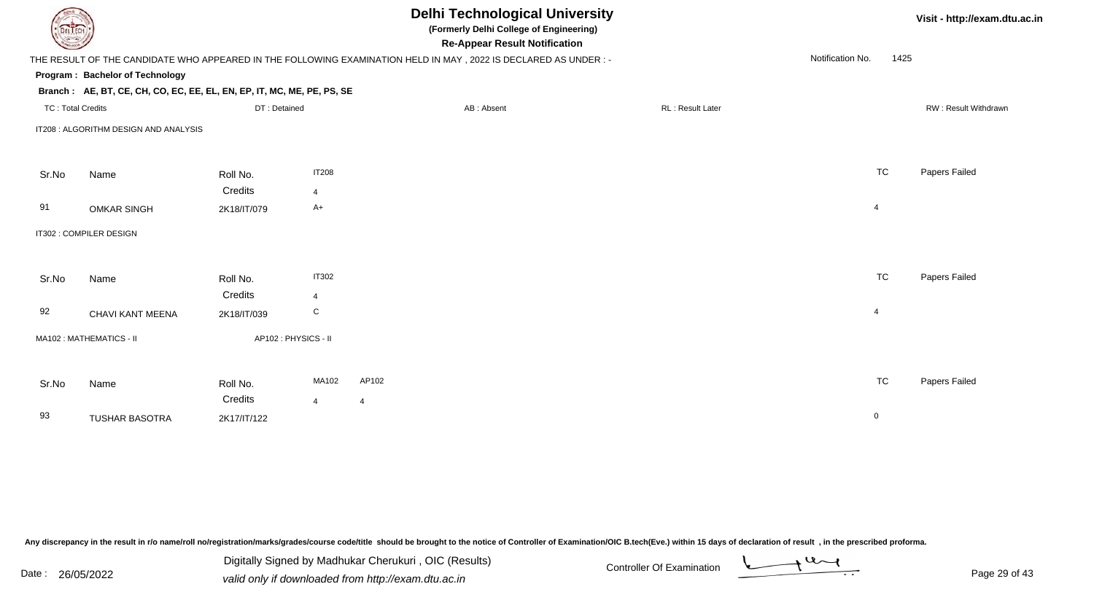| <b>DELTECH</b>           |                                                                        |                     |                | <b>Delhi Technological University</b><br>(Formerly Delhi College of Engineering)<br><b>Re-Appear Result Notification</b> |                          | Visit - http://exam.dtu.ac.in |
|--------------------------|------------------------------------------------------------------------|---------------------|----------------|--------------------------------------------------------------------------------------------------------------------------|--------------------------|-------------------------------|
|                          |                                                                        |                     |                | THE RESULT OF THE CANDIDATE WHO APPEARED IN THE FOLLOWING EXAMINATION HELD IN MAY, 2022 IS DECLARED AS UNDER:-           | Notification No.<br>1425 |                               |
|                          | Program: Bachelor of Technology                                        |                     |                |                                                                                                                          |                          |                               |
|                          | Branch: AE, BT, CE, CH, CO, EC, EE, EL, EN, EP, IT, MC, ME, PE, PS, SE |                     |                |                                                                                                                          |                          |                               |
| <b>TC: Total Credits</b> |                                                                        | DT: Detained        |                | RL: Result Later<br>AB: Absent                                                                                           |                          | RW: Result Withdrawn          |
|                          | IT208 : ALGORITHM DESIGN AND ANALYSIS                                  |                     |                |                                                                                                                          |                          |                               |
|                          |                                                                        |                     |                |                                                                                                                          |                          |                               |
| Sr.No                    | Name                                                                   | Roll No.            | <b>IT208</b>   |                                                                                                                          | <b>TC</b>                | Papers Failed                 |
|                          |                                                                        | Credits             | 4              |                                                                                                                          |                          |                               |
| 91                       | <b>OMKAR SINGH</b>                                                     | 2K18/IT/079         | $A+$           |                                                                                                                          | $\overline{4}$           |                               |
|                          | IT302 : COMPILER DESIGN                                                |                     |                |                                                                                                                          |                          |                               |
|                          |                                                                        |                     |                |                                                                                                                          |                          |                               |
| Sr.No                    | Name                                                                   | Roll No.            | <b>IT302</b>   |                                                                                                                          | <b>TC</b>                | Papers Failed                 |
|                          |                                                                        | Credits             | $\overline{4}$ |                                                                                                                          |                          |                               |
| 92                       | CHAVI KANT MEENA                                                       | 2K18/IT/039         | C              |                                                                                                                          | $\overline{4}$           |                               |
|                          | MA102: MATHEMATICS - II                                                | AP102: PHYSICS - II |                |                                                                                                                          |                          |                               |
|                          |                                                                        |                     |                |                                                                                                                          |                          |                               |
| Sr.No                    | Name                                                                   | Roll No.            | MA102          | AP102                                                                                                                    | <b>TC</b>                | Papers Failed                 |
|                          |                                                                        | Credits             | $\overline{4}$ | $\overline{4}$                                                                                                           |                          |                               |
| 93                       | <b>TUSHAR BASOTRA</b>                                                  | 2K17/IT/122         |                |                                                                                                                          | $\mathbf 0$              |                               |
|                          |                                                                        |                     |                |                                                                                                                          |                          |                               |

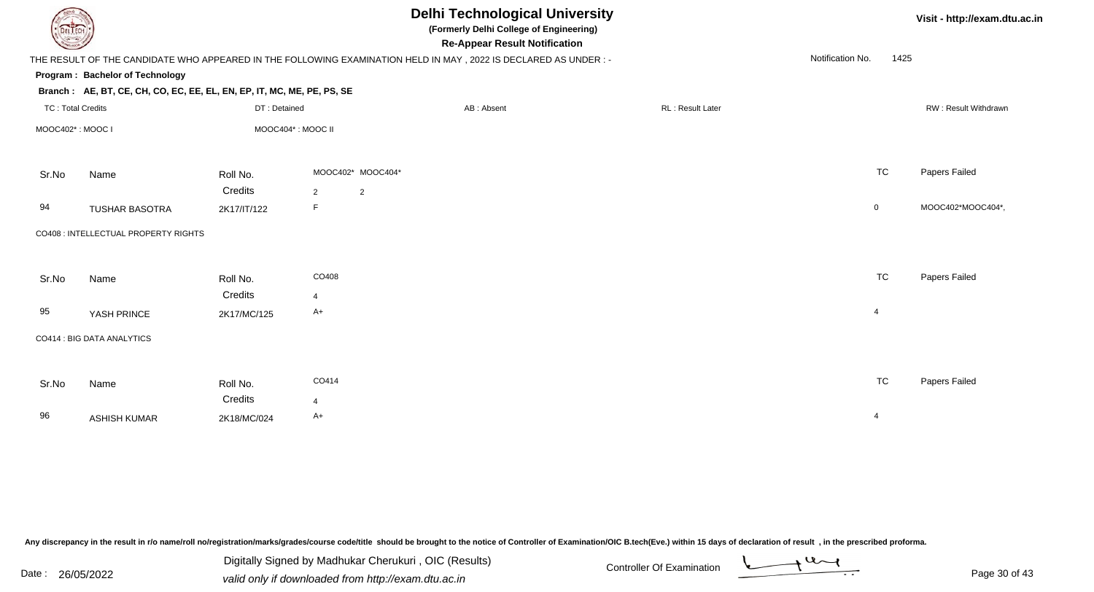| DEL TECH                 |                                                                                                                 |                        |                        |                   | <b>Delhi Technological University</b><br>(Formerly Delhi College of Engineering)<br><b>Re-Appear Result Notification</b> |                  |                  |                | Visit - http://exam.dtu.ac.in |
|--------------------------|-----------------------------------------------------------------------------------------------------------------|------------------------|------------------------|-------------------|--------------------------------------------------------------------------------------------------------------------------|------------------|------------------|----------------|-------------------------------|
|                          | THE RESULT OF THE CANDIDATE WHO APPEARED IN THE FOLLOWING EXAMINATION HELD IN MAY, 2022 IS DECLARED AS UNDER :- |                        |                        |                   |                                                                                                                          |                  | Notification No. | 1425           |                               |
|                          | Program: Bachelor of Technology                                                                                 |                        |                        |                   |                                                                                                                          |                  |                  |                |                               |
|                          | Branch: AE, BT, CE, CH, CO, EC, EE, EL, EN, EP, IT, MC, ME, PE, PS, SE                                          |                        |                        |                   |                                                                                                                          |                  |                  |                |                               |
| <b>TC: Total Credits</b> |                                                                                                                 | DT: Detained           |                        |                   | AB: Absent                                                                                                               | RL: Result Later |                  |                | RW: Result Withdrawn          |
| MOOC402*: MOOC I         |                                                                                                                 | MOOC404*: MOOC II      |                        |                   |                                                                                                                          |                  |                  |                |                               |
| Sr.No                    | Name                                                                                                            | Roll No.               |                        | MOOC402* MOOC404* |                                                                                                                          |                  |                  | <b>TC</b>      | Papers Failed                 |
|                          |                                                                                                                 | Credits                | 2                      | $\overline{2}$    |                                                                                                                          |                  |                  |                |                               |
| 94                       | <b>TUSHAR BASOTRA</b>                                                                                           | 2K17/IT/122            | F                      |                   |                                                                                                                          |                  |                  | $\mathbf 0$    | MOOC402*MOOC404*,             |
|                          | CO408 : INTELLECTUAL PROPERTY RIGHTS                                                                            |                        |                        |                   |                                                                                                                          |                  |                  |                |                               |
| Sr.No                    | Name                                                                                                            | Roll No.               | CO408                  |                   |                                                                                                                          |                  |                  | <b>TC</b>      | Papers Failed                 |
| 95                       | YASH PRINCE                                                                                                     | Credits<br>2K17/MC/125 | $\overline{4}$<br>$A+$ |                   |                                                                                                                          |                  |                  | $\overline{4}$ |                               |
|                          | CO414 : BIG DATA ANALYTICS                                                                                      |                        |                        |                   |                                                                                                                          |                  |                  |                |                               |
| Sr.No                    | Name                                                                                                            | Roll No.               | CO414                  |                   |                                                                                                                          |                  |                  | <b>TC</b>      | Papers Failed                 |
|                          |                                                                                                                 | Credits                | $\overline{4}$         |                   |                                                                                                                          |                  |                  |                |                               |
| 96                       | <b>ASHISH KUMAR</b>                                                                                             | 2K18/MC/024            | $A+$                   |                   |                                                                                                                          |                  |                  | $\overline{4}$ |                               |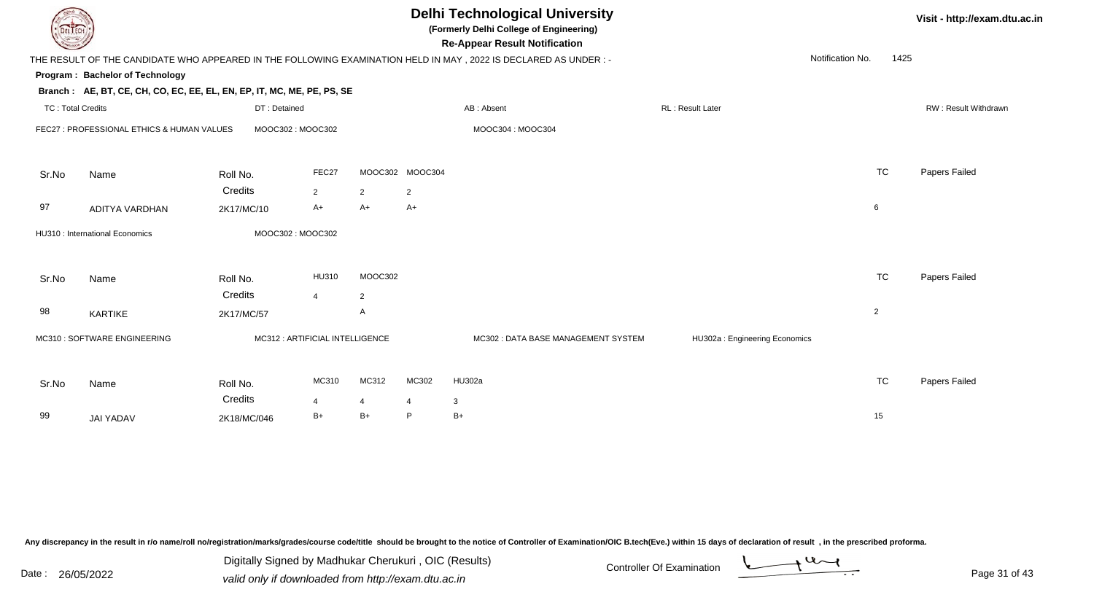| <b>Delhi Technological University</b><br>Visit - http://exam.dtu.ac.in<br>(Formerly Delhi College of Engineering)<br>DEL TECH<br><b>Re-Appear Result Notification</b> |                                                                        |                                 |                |                                |                 |                                                                                                                 |                               |                  |      |                      |
|-----------------------------------------------------------------------------------------------------------------------------------------------------------------------|------------------------------------------------------------------------|---------------------------------|----------------|--------------------------------|-----------------|-----------------------------------------------------------------------------------------------------------------|-------------------------------|------------------|------|----------------------|
|                                                                                                                                                                       |                                                                        |                                 |                |                                |                 | THE RESULT OF THE CANDIDATE WHO APPEARED IN THE FOLLOWING EXAMINATION HELD IN MAY, 2022 IS DECLARED AS UNDER :- |                               | Notification No. | 1425 |                      |
|                                                                                                                                                                       | Program: Bachelor of Technology                                        |                                 |                |                                |                 |                                                                                                                 |                               |                  |      |                      |
|                                                                                                                                                                       | Branch: AE, BT, CE, CH, CO, EC, EE, EL, EN, EP, IT, MC, ME, PE, PS, SE |                                 |                |                                |                 |                                                                                                                 |                               |                  |      |                      |
| <b>TC: Total Credits</b>                                                                                                                                              |                                                                        | DT: Detained                    |                |                                |                 | AB: Absent                                                                                                      | RL: Result Later              |                  |      | RW: Result Withdrawn |
|                                                                                                                                                                       | FEC27 : PROFESSIONAL ETHICS & HUMAN VALUES                             | MOOC302: MOOC302                |                |                                |                 | MOOC304: MOOC304                                                                                                |                               |                  |      |                      |
| Sr.No                                                                                                                                                                 | Name                                                                   | Roll No.                        | FEC27          |                                | MOOC302 MOOC304 |                                                                                                                 |                               | <b>TC</b>        |      | Papers Failed        |
|                                                                                                                                                                       |                                                                        | Credits                         | $\overline{2}$ | 2                              | $\overline{2}$  |                                                                                                                 |                               |                  |      |                      |
| 97                                                                                                                                                                    | ADITYA VARDHAN                                                         | 2K17/MC/10                      | $A+$           | $A+$                           | $A+$            |                                                                                                                 |                               | 6                |      |                      |
|                                                                                                                                                                       | HU310 : International Economics                                        | MOOC302: MOOC302                |                |                                |                 |                                                                                                                 |                               |                  |      |                      |
| Sr.No                                                                                                                                                                 | Name                                                                   | Roll No.<br>Credits             | HU310          | MOOC302                        |                 |                                                                                                                 |                               | <b>TC</b>        |      | Papers Failed        |
| 98                                                                                                                                                                    | KARTIKE                                                                | 2K17/MC/57                      | $\overline{4}$ | $\overline{2}$<br>$\mathsf{A}$ |                 |                                                                                                                 |                               | $\overline{2}$   |      |                      |
|                                                                                                                                                                       | MC310 : SOFTWARE ENGINEERING                                           | MC312 : ARTIFICIAL INTELLIGENCE |                |                                |                 | MC302: DATA BASE MANAGEMENT SYSTEM                                                                              | HU302a: Engineering Economics |                  |      |                      |
| Sr.No                                                                                                                                                                 | Name                                                                   | Roll No.                        | MC310          | MC312                          | MC302           | HU302a                                                                                                          |                               | <b>TC</b>        |      | Papers Failed        |
|                                                                                                                                                                       |                                                                        | Credits                         | $\overline{4}$ | 4                              | $\overline{4}$  | 3                                                                                                               |                               |                  |      |                      |
| 99                                                                                                                                                                    | <b>JAI YADAV</b>                                                       | 2K18/MC/046                     | $B+$           | $B+$                           | P               | $B+$                                                                                                            |                               | 15               |      |                      |
|                                                                                                                                                                       |                                                                        |                                 |                |                                |                 |                                                                                                                 |                               |                  |      |                      |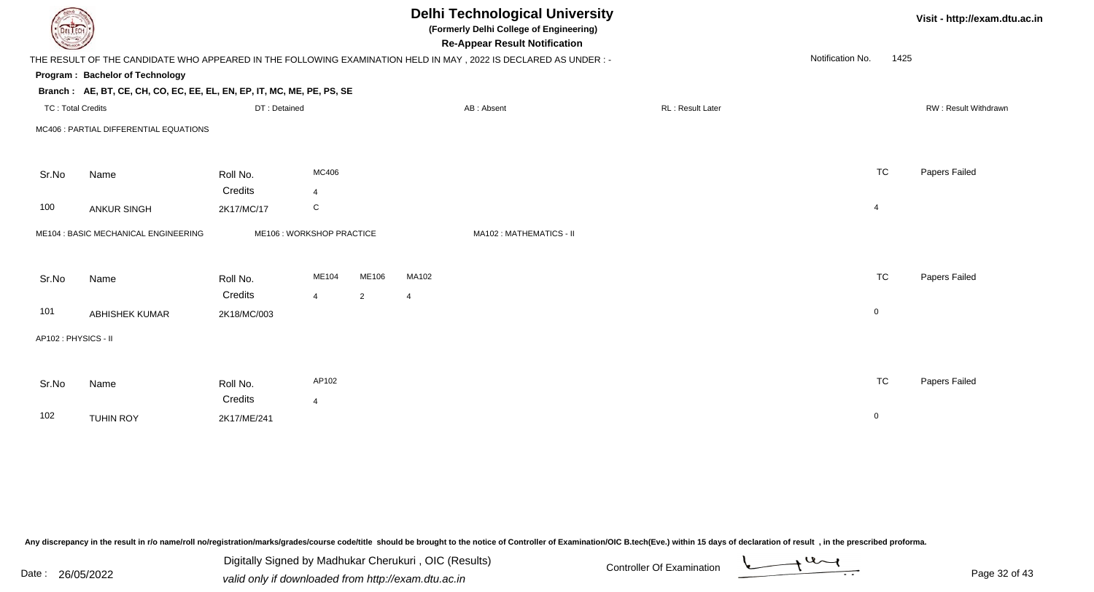| DEL TECH                 |                                                                                                                |                     |                           |                |                | <b>Delhi Technological University</b><br>(Formerly Delhi College of Engineering)<br><b>Re-Appear Result Notification</b> |                  |                  |                | Visit - http://exam.dtu.ac.in |
|--------------------------|----------------------------------------------------------------------------------------------------------------|---------------------|---------------------------|----------------|----------------|--------------------------------------------------------------------------------------------------------------------------|------------------|------------------|----------------|-------------------------------|
|                          | THE RESULT OF THE CANDIDATE WHO APPEARED IN THE FOLLOWING EXAMINATION HELD IN MAY, 2022 IS DECLARED AS UNDER:- |                     |                           |                |                |                                                                                                                          |                  | Notification No. | 1425           |                               |
|                          | Program: Bachelor of Technology                                                                                |                     |                           |                |                |                                                                                                                          |                  |                  |                |                               |
|                          | Branch: AE, BT, CE, CH, CO, EC, EE, EL, EN, EP, IT, MC, ME, PE, PS, SE                                         |                     |                           |                |                |                                                                                                                          |                  |                  |                |                               |
| <b>TC: Total Credits</b> |                                                                                                                | DT: Detained        |                           |                |                | AB: Absent                                                                                                               | RL: Result Later |                  |                | RW: Result Withdrawn          |
|                          | MC406 : PARTIAL DIFFERENTIAL EQUATIONS                                                                         |                     |                           |                |                |                                                                                                                          |                  |                  |                |                               |
| Sr.No                    | Name                                                                                                           | Roll No.            | MC406                     |                |                |                                                                                                                          |                  |                  | <b>TC</b>      | Papers Failed                 |
|                          |                                                                                                                | Credits             | $\overline{4}$            |                |                |                                                                                                                          |                  |                  |                |                               |
| 100                      | <b>ANKUR SINGH</b>                                                                                             | 2K17/MC/17          | $\mathbf C$               |                |                |                                                                                                                          |                  |                  | $\overline{4}$ |                               |
|                          | ME104 : BASIC MECHANICAL ENGINEERING                                                                           |                     | ME106 : WORKSHOP PRACTICE |                |                | MA102: MATHEMATICS - II                                                                                                  |                  |                  |                |                               |
| Sr.No                    | Name                                                                                                           | Roll No.<br>Credits | ME104                     | ME106          | MA102          |                                                                                                                          |                  |                  | <b>TC</b>      | Papers Failed                 |
| 101                      | <b>ABHISHEK KUMAR</b>                                                                                          | 2K18/MC/003         | $\overline{4}$            | $\overline{2}$ | $\overline{4}$ |                                                                                                                          |                  |                  | $\mathsf{O}$   |                               |
| AP102: PHYSICS - II      |                                                                                                                |                     |                           |                |                |                                                                                                                          |                  |                  |                |                               |
|                          |                                                                                                                |                     |                           |                |                |                                                                                                                          |                  |                  |                |                               |
| Sr.No                    | Name                                                                                                           | Roll No.<br>Credits | AP102<br>$\overline{4}$   |                |                |                                                                                                                          |                  |                  | <b>TC</b>      | Papers Failed                 |
| 102                      | <b>TUHIN ROY</b>                                                                                               | 2K17/ME/241         |                           |                |                |                                                                                                                          |                  |                  | $\mathbf 0$    |                               |

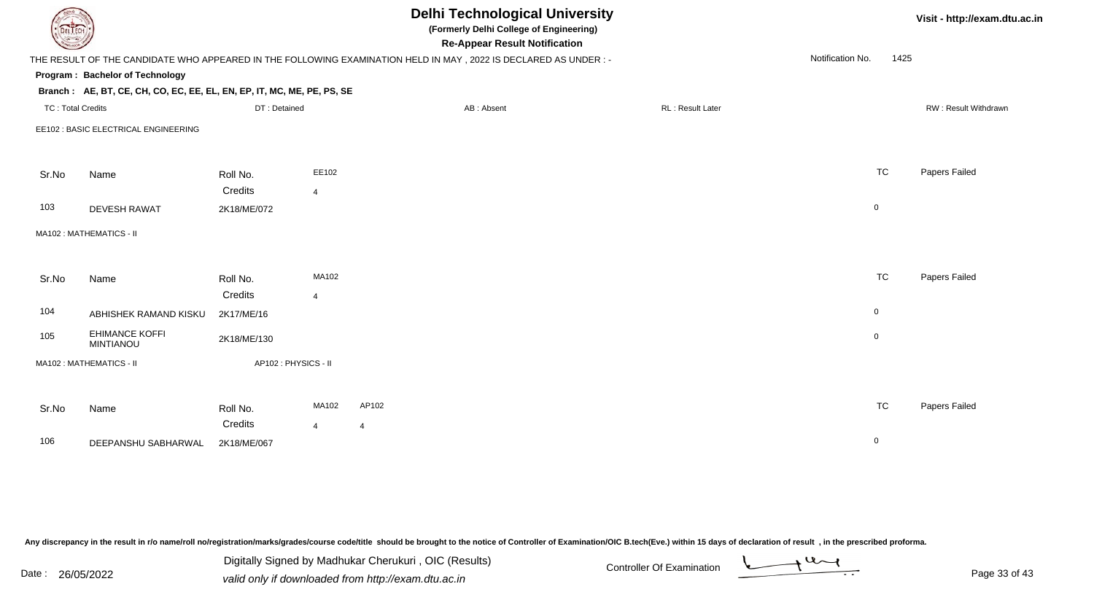| DEL TECH                 |                                                                        |                     |                | <b>Delhi Technological University</b><br>(Formerly Delhi College of Engineering)<br><b>Re-Appear Result Notification</b> |                   |                  |      | Visit - http://exam.dtu.ac.in |
|--------------------------|------------------------------------------------------------------------|---------------------|----------------|--------------------------------------------------------------------------------------------------------------------------|-------------------|------------------|------|-------------------------------|
|                          |                                                                        |                     |                | THE RESULT OF THE CANDIDATE WHO APPEARED IN THE FOLLOWING EXAMINATION HELD IN MAY, 2022 IS DECLARED AS UNDER :-          |                   | Notification No. | 1425 |                               |
|                          | Program: Bachelor of Technology                                        |                     |                |                                                                                                                          |                   |                  |      |                               |
|                          | Branch: AE, BT, CE, CH, CO, EC, EE, EL, EN, EP, IT, MC, ME, PE, PS, SE |                     |                |                                                                                                                          |                   |                  |      |                               |
| <b>TC: Total Credits</b> |                                                                        | DT: Detained        |                | AB: Absent                                                                                                               | RL : Result Later |                  |      | RW: Result Withdrawn          |
|                          | EE102 : BASIC ELECTRICAL ENGINEERING                                   |                     |                |                                                                                                                          |                   |                  |      |                               |
|                          |                                                                        |                     | EE102          |                                                                                                                          |                   | <b>TC</b>        |      | Papers Failed                 |
| Sr.No                    | Name                                                                   | Roll No.<br>Credits | $\overline{4}$ |                                                                                                                          |                   |                  |      |                               |
| 103                      | <b>DEVESH RAWAT</b>                                                    | 2K18/ME/072         |                |                                                                                                                          |                   | $\mathbf 0$      |      |                               |
|                          | MA102: MATHEMATICS - II                                                |                     |                |                                                                                                                          |                   |                  |      |                               |
| Sr.No                    | Name                                                                   | Roll No.            | MA102          |                                                                                                                          |                   | <b>TC</b>        |      | Papers Failed                 |
|                          |                                                                        | Credits             | $\overline{4}$ |                                                                                                                          |                   |                  |      |                               |
| 104                      | ABHISHEK RAMAND KISKU                                                  | 2K17/ME/16          |                |                                                                                                                          |                   | $\overline{0}$   |      |                               |
| 105                      | <b>EHIMANCE KOFFI</b><br><b>MINTIANOU</b>                              | 2K18/ME/130         |                |                                                                                                                          |                   | $\overline{0}$   |      |                               |
|                          | MA102: MATHEMATICS - II                                                | AP102: PHYSICS - II |                |                                                                                                                          |                   |                  |      |                               |
| Sr.No                    | Name                                                                   | Roll No.            | MA102          | AP102                                                                                                                    |                   | <b>TC</b>        |      | Papers Failed                 |
|                          |                                                                        | Credits             | $\overline{4}$ | $\overline{4}$                                                                                                           |                   |                  |      |                               |
| 106                      | DEEPANSHU SABHARWAL                                                    | 2K18/ME/067         |                |                                                                                                                          |                   | $\mathbf 0$      |      |                               |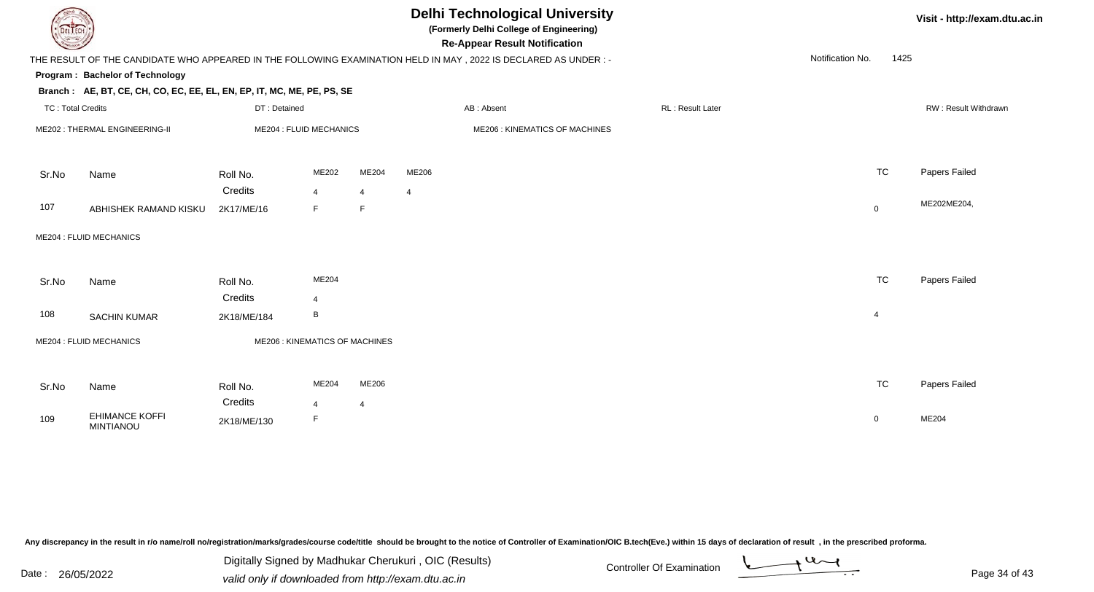| DEL TECH                 |                                                                        |              |                                       |                | <b>Delhi Technological University</b><br>(Formerly Delhi College of Engineering)<br><b>Re-Appear Result Notification</b> |                         |                  |                | Visit - http://exam.dtu.ac.in |
|--------------------------|------------------------------------------------------------------------|--------------|---------------------------------------|----------------|--------------------------------------------------------------------------------------------------------------------------|-------------------------|------------------|----------------|-------------------------------|
|                          |                                                                        |              |                                       |                | THE RESULT OF THE CANDIDATE WHO APPEARED IN THE FOLLOWING EXAMINATION HELD IN MAY, 2022 IS DECLARED AS UNDER:-           |                         | Notification No. | 1425           |                               |
|                          | Program: Bachelor of Technology                                        |              |                                       |                |                                                                                                                          |                         |                  |                |                               |
|                          | Branch: AE, BT, CE, CH, CO, EC, EE, EL, EN, EP, IT, MC, ME, PE, PS, SE |              |                                       |                |                                                                                                                          |                         |                  |                |                               |
| <b>TC: Total Credits</b> |                                                                        | DT: Detained |                                       |                | AB: Absent                                                                                                               | <b>RL: Result Later</b> |                  |                | RW: Result Withdrawn          |
|                          | ME202: THERMAL ENGINEERING-II                                          |              | <b>ME204 : FLUID MECHANICS</b>        |                | ME206 : KINEMATICS OF MACHINES                                                                                           |                         |                  |                |                               |
| Sr.No                    | Name                                                                   | Roll No.     | ME202                                 | ME204          | ME206                                                                                                                    |                         |                  | <b>TC</b>      | Papers Failed                 |
|                          |                                                                        | Credits      | $\overline{4}$                        | 4              | $\overline{4}$                                                                                                           |                         |                  |                |                               |
| 107                      | ABHISHEK RAMAND KISKU                                                  | 2K17/ME/16   | F                                     | F              |                                                                                                                          |                         |                  | 0              | ME202ME204,                   |
|                          | ME204 : FLUID MECHANICS                                                |              |                                       |                |                                                                                                                          |                         |                  |                |                               |
| Sr.No                    | Name                                                                   | Roll No.     | ME204                                 |                |                                                                                                                          |                         |                  | <b>TC</b>      | Papers Failed                 |
|                          |                                                                        | Credits      | $\overline{4}$                        |                |                                                                                                                          |                         |                  |                |                               |
| 108                      | <b>SACHIN KUMAR</b>                                                    | 2K18/ME/184  | B                                     |                |                                                                                                                          |                         |                  | $\overline{4}$ |                               |
|                          | ME204 : FLUID MECHANICS                                                |              | <b>ME206 : KINEMATICS OF MACHINES</b> |                |                                                                                                                          |                         |                  |                |                               |
| Sr.No                    | Name                                                                   | Roll No.     | ME204                                 | ME206          |                                                                                                                          |                         |                  | <b>TC</b>      | Papers Failed                 |
|                          |                                                                        | Credits      | $\overline{4}$                        | $\overline{4}$ |                                                                                                                          |                         |                  |                |                               |
| 109                      | <b>EHIMANCE KOFFI</b><br><b>MINTIANOU</b>                              | 2K18/ME/130  | F                                     |                |                                                                                                                          |                         |                  | $\mathbf 0$    | ME204                         |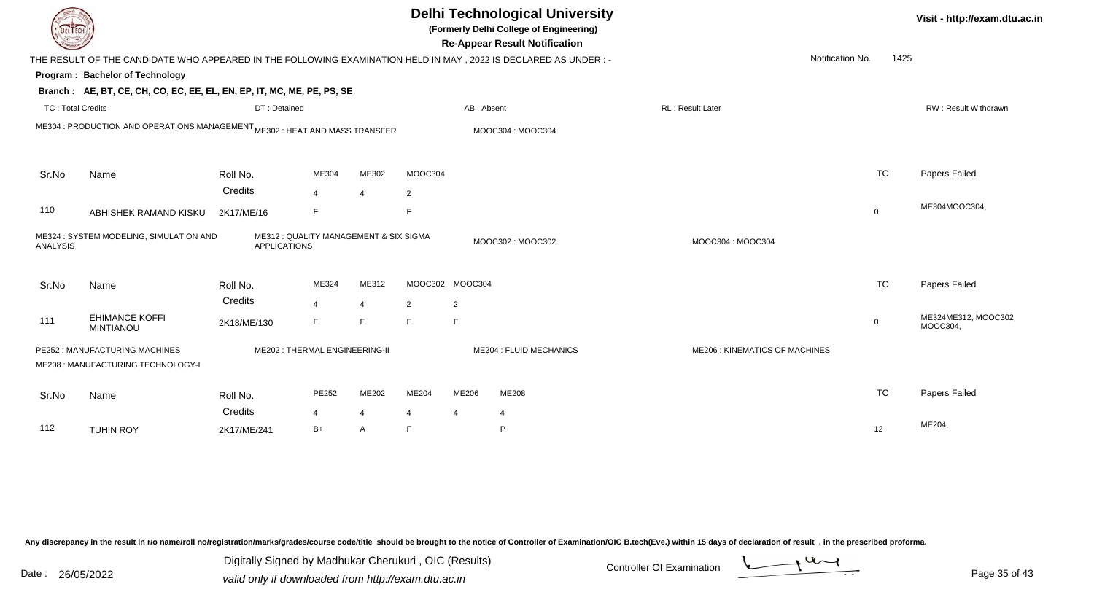|                          |                                                                                                                |                                                               |                        |                         |                     |                     | <b>Delhi Technological University</b><br>(Formerly Delhi College of Engineering)<br><b>Re-Appear Result Notification</b> |                                       |             | Visit - http://exam.dtu.a        |  |
|--------------------------|----------------------------------------------------------------------------------------------------------------|---------------------------------------------------------------|------------------------|-------------------------|---------------------|---------------------|--------------------------------------------------------------------------------------------------------------------------|---------------------------------------|-------------|----------------------------------|--|
|                          | THE RESULT OF THE CANDIDATE WHO APPEARED IN THE FOLLOWING EXAMINATION HELD IN MAY, 2022 IS DECLARED AS UNDER:- |                                                               |                        |                         |                     |                     |                                                                                                                          | Notification No.                      | 1425        |                                  |  |
|                          | Program: Bachelor of Technology                                                                                |                                                               |                        |                         |                     |                     |                                                                                                                          |                                       |             |                                  |  |
|                          | Branch: AE, BT, CE, CH, CO, EC, EE, EL, EN, EP, IT, MC, ME, PE, PS, SE                                         |                                                               |                        |                         |                     |                     |                                                                                                                          |                                       |             |                                  |  |
| <b>TC: Total Credits</b> |                                                                                                                | DT: Detained                                                  |                        |                         |                     | AB: Absent          |                                                                                                                          | RL : Result Later                     |             | RW: Result Withdrawn             |  |
|                          | ME304 : PRODUCTION AND OPERATIONS MANAGEMENT ME302 : HEAT AND MASS TRANSFER                                    |                                                               |                        |                         |                     |                     | MOOC304: MOOC304                                                                                                         |                                       |             |                                  |  |
| Sr.No                    | Name                                                                                                           | Roll No.                                                      | ME304                  | ME302                   | MOOC304             |                     |                                                                                                                          |                                       | <b>TC</b>   | <b>Papers Failed</b>             |  |
|                          |                                                                                                                | Credits                                                       | $\overline{4}$         | $\overline{\mathbf{A}}$ | $\overline{2}$      |                     |                                                                                                                          |                                       |             |                                  |  |
| 110                      | ABHISHEK RAMAND KISKU                                                                                          | 2K17/ME/16                                                    | F                      |                         | F                   |                     |                                                                                                                          |                                       | $\mathbf 0$ | ME304MOOC304,                    |  |
| <b>ANALYSIS</b>          | ME324 : SYSTEM MODELING, SIMULATION AND                                                                        | ME312 : QUALITY MANAGEMENT & SIX SIGMA<br><b>APPLICATIONS</b> |                        |                         |                     |                     | MOOC302: MOOC302                                                                                                         | MOOC304: MOOC304                      |             |                                  |  |
| Sr.No                    | Name                                                                                                           | Roll No.<br>Credits                                           | ME324                  | ME312                   | MOOC302 MOOC304     |                     |                                                                                                                          |                                       | <b>TC</b>   | Papers Failed                    |  |
| 111                      | <b>EHIMANCE KOFFI</b><br><b>MINTIANOU</b>                                                                      | 2K18/ME/130                                                   | $\overline{4}$<br>F    | 4<br>F.                 | $\overline{2}$<br>F | $\overline{2}$<br>F |                                                                                                                          |                                       | $\mathbf 0$ | ME324ME312, MOOC302,<br>MOOC304, |  |
|                          | PE252 : MANUFACTURING MACHINES<br>ME208 : MANUFACTURING TECHNOLOGY-I                                           | ME202: THERMAL ENGINEERING-II                                 |                        |                         |                     |                     | <b>ME204 : FLUID MECHANICS</b>                                                                                           | <b>ME206 : KINEMATICS OF MACHINES</b> |             |                                  |  |
| Sr.No                    | Name                                                                                                           | Roll No.<br>Credits                                           | PE252                  | ME202                   | ME204               | ME206               | <b>ME208</b>                                                                                                             |                                       | <b>TC</b>   | Papers Failed                    |  |
| 112                      | <b>TUHIN ROY</b>                                                                                               | 2K17/ME/241                                                   | $\overline{4}$<br>$B+$ | 4<br>A                  | 4<br>F              | 4                   | $\overline{4}$<br>P                                                                                                      |                                       | 12          | ME204,                           |  |

Digitally Signed by Madhukar Cherukuri, OIC (Results)<br>Date : 26/05/2022 valid only if downloaded from http://oxam.dtu.ac.in Digitally Signed by Madhukar Cherukuri , OIC (Results)valid only if downloaded from http://exam.dtu.ac.in

**Visit - http://exam.dtu.ac.in**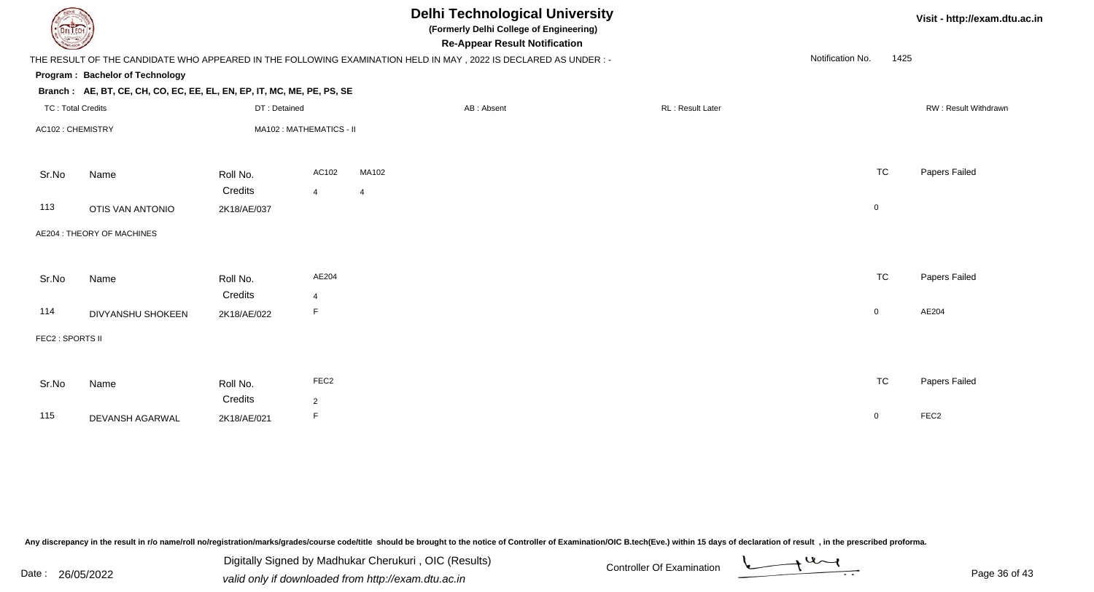|                          |                                                                        |              |                         |                | <b>Delhi Technological University</b><br>(Formerly Delhi College of Engineering)<br><b>Re-Appear Result Notification</b> |                  |                  |             | Visit - http://exam.dtu.ac.in |
|--------------------------|------------------------------------------------------------------------|--------------|-------------------------|----------------|--------------------------------------------------------------------------------------------------------------------------|------------------|------------------|-------------|-------------------------------|
|                          |                                                                        |              |                         |                | THE RESULT OF THE CANDIDATE WHO APPEARED IN THE FOLLOWING EXAMINATION HELD IN MAY , 2022 IS DECLARED AS UNDER :-         |                  | Notification No. | 1425        |                               |
|                          | Program: Bachelor of Technology                                        |              |                         |                |                                                                                                                          |                  |                  |             |                               |
|                          | Branch: AE, BT, CE, CH, CO, EC, EE, EL, EN, EP, IT, MC, ME, PE, PS, SE |              |                         |                |                                                                                                                          |                  |                  |             |                               |
| <b>TC: Total Credits</b> |                                                                        | DT: Detained |                         |                | AB: Absent                                                                                                               | RL: Result Later |                  |             | RW: Result Withdrawn          |
| AC102: CHEMISTRY         |                                                                        |              | MA102: MATHEMATICS - II |                |                                                                                                                          |                  |                  |             |                               |
| Sr.No                    | Name                                                                   | Roll No.     | AC102                   | MA102          |                                                                                                                          |                  |                  | <b>TC</b>   | Papers Failed                 |
|                          |                                                                        | Credits      | $\overline{4}$          | $\overline{4}$ |                                                                                                                          |                  |                  |             |                               |
| 113                      | <b>OTIS VAN ANTONIO</b>                                                | 2K18/AE/037  |                         |                |                                                                                                                          |                  |                  | $\mathbf 0$ |                               |
|                          | AE204 : THEORY OF MACHINES                                             |              |                         |                |                                                                                                                          |                  |                  |             |                               |
| Sr.No                    | Name                                                                   | Roll No.     | AE204                   |                |                                                                                                                          |                  |                  | <b>TC</b>   | Papers Failed                 |
|                          |                                                                        | Credits      | 4                       |                |                                                                                                                          |                  |                  |             |                               |
| 114                      | DIVYANSHU SHOKEEN                                                      | 2K18/AE/022  | F.                      |                |                                                                                                                          |                  |                  | $\mathbf 0$ | AE204                         |
| FEC2 : SPORTS II         |                                                                        |              |                         |                |                                                                                                                          |                  |                  |             |                               |
|                          |                                                                        |              |                         |                |                                                                                                                          |                  |                  |             |                               |
| Sr.No                    | Name                                                                   | Roll No.     | FEC <sub>2</sub>        |                |                                                                                                                          |                  |                  | <b>TC</b>   | Papers Failed                 |
|                          |                                                                        | Credits      | $\overline{2}$          |                |                                                                                                                          |                  |                  |             |                               |
| 115                      | DEVANSH AGARWAL                                                        | 2K18/AE/021  | F                       |                |                                                                                                                          |                  |                  | $\mathbf 0$ | FEC <sub>2</sub>              |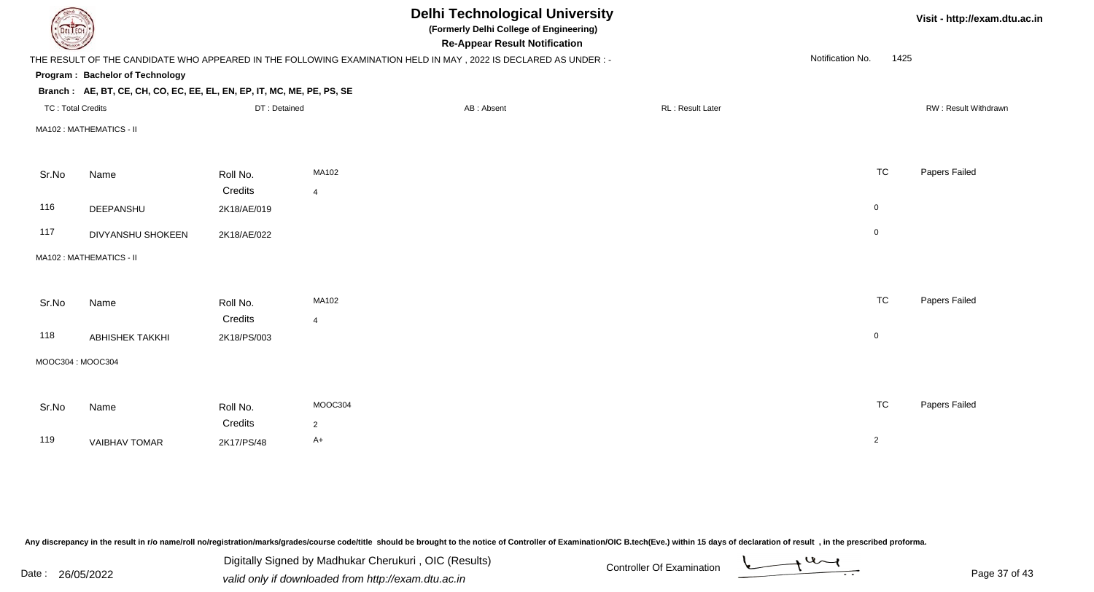| <b>DELTECH</b>           |                                                                        |              |                | <b>Delhi Technological University</b><br>(Formerly Delhi College of Engineering)<br><b>Re-Appear Result Notification</b> |                  |                  | Visit - http://exam.dtu.ac.in |
|--------------------------|------------------------------------------------------------------------|--------------|----------------|--------------------------------------------------------------------------------------------------------------------------|------------------|------------------|-------------------------------|
|                          |                                                                        |              |                | THE RESULT OF THE CANDIDATE WHO APPEARED IN THE FOLLOWING EXAMINATION HELD IN MAY, 2022 IS DECLARED AS UNDER:-           |                  | Notification No. | 1425                          |
|                          | Program: Bachelor of Technology                                        |              |                |                                                                                                                          |                  |                  |                               |
|                          | Branch: AE, BT, CE, CH, CO, EC, EE, EL, EN, EP, IT, MC, ME, PE, PS, SE |              |                |                                                                                                                          |                  |                  |                               |
| <b>TC: Total Credits</b> |                                                                        | DT: Detained |                | AB: Absent                                                                                                               | RL: Result Later |                  | RW: Result Withdrawn          |
|                          | MA102: MATHEMATICS - II                                                |              |                |                                                                                                                          |                  |                  |                               |
|                          |                                                                        |              |                |                                                                                                                          |                  |                  |                               |
| Sr.No                    | Name                                                                   | Roll No.     | MA102          |                                                                                                                          |                  | <b>TC</b>        | Papers Failed                 |
|                          |                                                                        | Credits      | $\overline{4}$ |                                                                                                                          |                  |                  |                               |
| 116                      | DEEPANSHU                                                              | 2K18/AE/019  |                |                                                                                                                          |                  | $\boldsymbol{0}$ |                               |
| 117                      | DIVYANSHU SHOKEEN                                                      | 2K18/AE/022  |                |                                                                                                                          |                  | $\mathbf 0$      |                               |
|                          | MA102: MATHEMATICS - II                                                |              |                |                                                                                                                          |                  |                  |                               |
|                          |                                                                        |              |                |                                                                                                                          |                  |                  |                               |
| Sr.No                    | Name                                                                   | Roll No.     | MA102          |                                                                                                                          |                  | <b>TC</b>        | Papers Failed                 |
|                          |                                                                        | Credits      | $\overline{4}$ |                                                                                                                          |                  |                  |                               |
| 118                      | <b>ABHISHEK TAKKHI</b>                                                 | 2K18/PS/003  |                |                                                                                                                          |                  | $\mathbf 0$      |                               |
| MOOC304: MOOC304         |                                                                        |              |                |                                                                                                                          |                  |                  |                               |
|                          |                                                                        |              |                |                                                                                                                          |                  |                  |                               |
| Sr.No                    | Name                                                                   | Roll No.     | MOOC304        |                                                                                                                          |                  | <b>TC</b>        | Papers Failed                 |
|                          |                                                                        | Credits      | $\overline{2}$ |                                                                                                                          |                  |                  |                               |
| 119                      | <b>VAIBHAV TOMAR</b>                                                   | 2K17/PS/48   | $A+$           |                                                                                                                          |                  | $\overline{2}$   |                               |
|                          |                                                                        |              |                |                                                                                                                          |                  |                  |                               |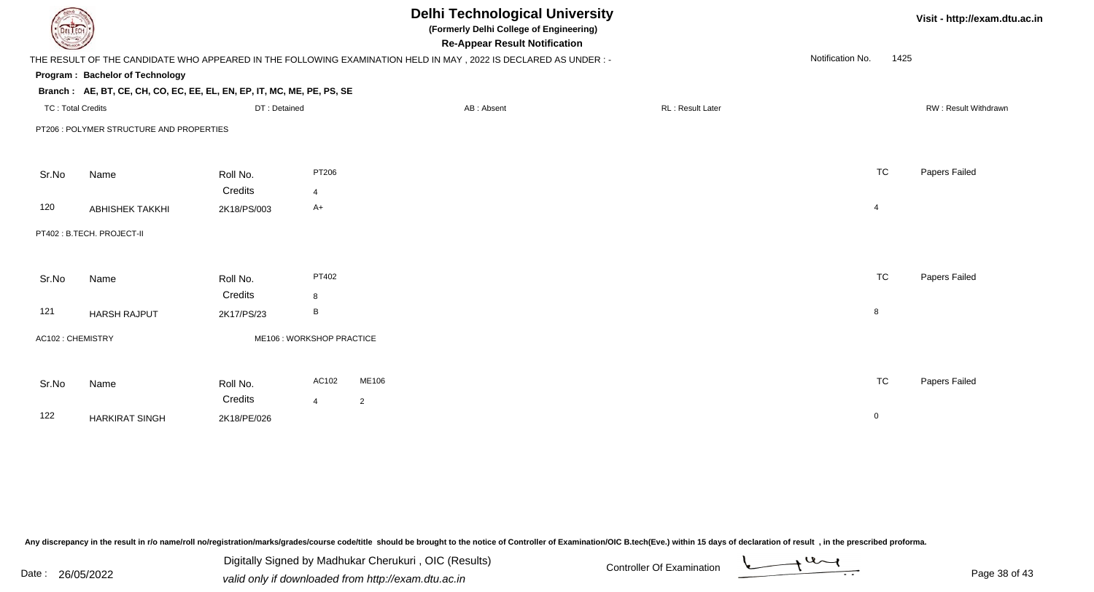| <b>DELTECH</b>           |                                                                        |              |                           | <b>Delhi Technological University</b><br>(Formerly Delhi College of Engineering)<br><b>Re-Appear Result Notification</b> |                         |                          | Visit - http://exam.dtu.ac.in |
|--------------------------|------------------------------------------------------------------------|--------------|---------------------------|--------------------------------------------------------------------------------------------------------------------------|-------------------------|--------------------------|-------------------------------|
|                          |                                                                        |              |                           | THE RESULT OF THE CANDIDATE WHO APPEARED IN THE FOLLOWING EXAMINATION HELD IN MAY, 2022 IS DECLARED AS UNDER:-           |                         | Notification No.<br>1425 |                               |
|                          | Program: Bachelor of Technology                                        |              |                           |                                                                                                                          |                         |                          |                               |
|                          | Branch: AE, BT, CE, CH, CO, EC, EE, EL, EN, EP, IT, MC, ME, PE, PS, SE |              |                           |                                                                                                                          |                         |                          |                               |
| <b>TC: Total Credits</b> |                                                                        | DT: Detained |                           | AB: Absent                                                                                                               | <b>RL: Result Later</b> |                          | RW: Result Withdrawn          |
|                          | PT206 : POLYMER STRUCTURE AND PROPERTIES                               |              |                           |                                                                                                                          |                         |                          |                               |
|                          |                                                                        |              |                           |                                                                                                                          |                         |                          |                               |
|                          |                                                                        |              |                           |                                                                                                                          |                         |                          |                               |
| Sr.No                    | Name                                                                   | Roll No.     | PT206                     |                                                                                                                          |                         | <b>TC</b>                | Papers Failed                 |
|                          |                                                                        | Credits      | $\overline{4}$            |                                                                                                                          |                         |                          |                               |
| 120                      | <b>ABHISHEK TAKKHI</b>                                                 | 2K18/PS/003  | $A+$                      |                                                                                                                          |                         | $\overline{4}$           |                               |
|                          | PT402: B.TECH. PROJECT-II                                              |              |                           |                                                                                                                          |                         |                          |                               |
|                          |                                                                        |              |                           |                                                                                                                          |                         |                          |                               |
|                          |                                                                        |              |                           |                                                                                                                          |                         |                          |                               |
| Sr.No                    | Name                                                                   | Roll No.     | PT402                     |                                                                                                                          |                         | <b>TC</b>                | Papers Failed                 |
|                          |                                                                        | Credits      | 8                         |                                                                                                                          |                         |                          |                               |
| 121                      | <b>HARSH RAJPUT</b>                                                    | 2K17/PS/23   | B                         |                                                                                                                          |                         | 8                        |                               |
| AC102: CHEMISTRY         |                                                                        |              | ME106 : WORKSHOP PRACTICE |                                                                                                                          |                         |                          |                               |
|                          |                                                                        |              |                           |                                                                                                                          |                         |                          |                               |
|                          |                                                                        |              |                           |                                                                                                                          |                         |                          |                               |
| Sr.No                    | Name                                                                   | Roll No.     | AC102                     | ME106                                                                                                                    |                         | <b>TC</b>                | Papers Failed                 |
|                          |                                                                        | Credits      | $\overline{4}$            | $\overline{2}$                                                                                                           |                         |                          |                               |
| 122                      | <b>HARKIRAT SINGH</b>                                                  | 2K18/PE/026  |                           |                                                                                                                          |                         | $\mathbf 0$              |                               |
|                          |                                                                        |              |                           |                                                                                                                          |                         |                          |                               |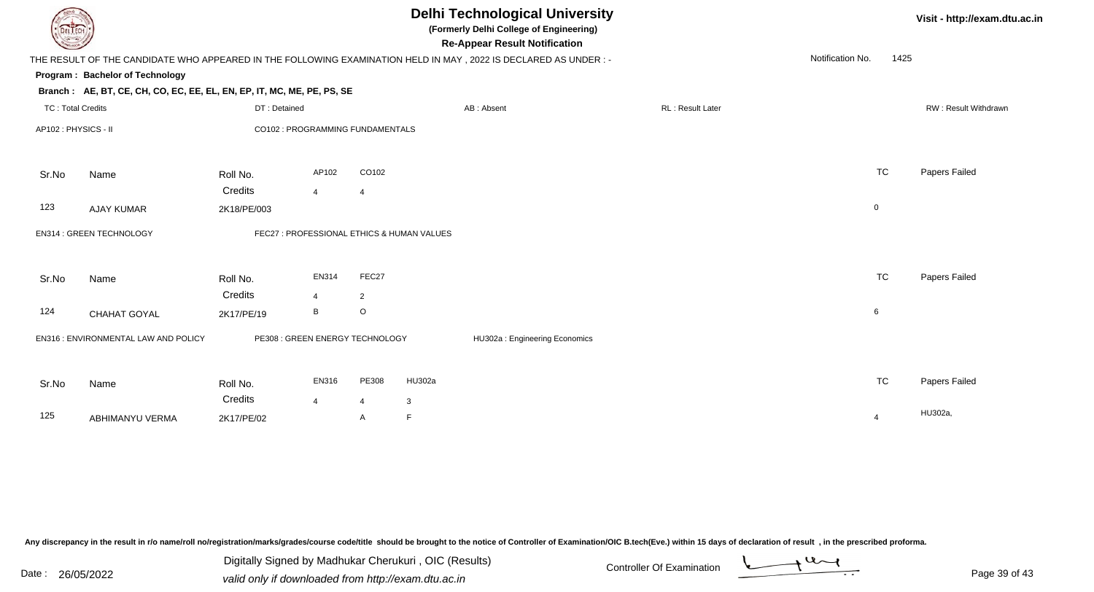| DEL TECH                 |                                                                        | <b>Delhi Technological University</b><br>(Formerly Delhi College of Engineering)<br><b>Re-Appear Result Notification</b> |                                  |                |                                            |                                                                                                                 |  |                  |                  |                | Visit - http://exam.dtu.ac.in |  |
|--------------------------|------------------------------------------------------------------------|--------------------------------------------------------------------------------------------------------------------------|----------------------------------|----------------|--------------------------------------------|-----------------------------------------------------------------------------------------------------------------|--|------------------|------------------|----------------|-------------------------------|--|
|                          |                                                                        |                                                                                                                          |                                  |                |                                            | THE RESULT OF THE CANDIDATE WHO APPEARED IN THE FOLLOWING EXAMINATION HELD IN MAY, 2022 IS DECLARED AS UNDER :- |  |                  | Notification No. | 1425           |                               |  |
|                          | Program: Bachelor of Technology                                        |                                                                                                                          |                                  |                |                                            |                                                                                                                 |  |                  |                  |                |                               |  |
|                          | Branch: AE, BT, CE, CH, CO, EC, EE, EL, EN, EP, IT, MC, ME, PE, PS, SE |                                                                                                                          |                                  |                |                                            |                                                                                                                 |  |                  |                  |                |                               |  |
| <b>TC: Total Credits</b> |                                                                        | DT: Detained                                                                                                             |                                  |                |                                            | AB: Absent                                                                                                      |  | RL: Result Later |                  |                | RW: Result Withdrawn          |  |
| AP102: PHYSICS - II      |                                                                        |                                                                                                                          | CO102 : PROGRAMMING FUNDAMENTALS |                |                                            |                                                                                                                 |  |                  |                  |                |                               |  |
| Sr.No                    | Name                                                                   | Roll No.                                                                                                                 | AP102                            | CO102          |                                            |                                                                                                                 |  |                  |                  | <b>TC</b>      | Papers Failed                 |  |
|                          |                                                                        | Credits                                                                                                                  | $\overline{4}$                   | $\overline{4}$ |                                            |                                                                                                                 |  |                  |                  |                |                               |  |
| 123                      | <b>AJAY KUMAR</b>                                                      | 2K18/PE/003                                                                                                              |                                  |                |                                            |                                                                                                                 |  |                  |                  | $\mathbf 0$    |                               |  |
|                          | EN314 : GREEN TECHNOLOGY                                               |                                                                                                                          |                                  |                | FEC27 : PROFESSIONAL ETHICS & HUMAN VALUES |                                                                                                                 |  |                  |                  |                |                               |  |
| Sr.No                    | Name                                                                   | Roll No.                                                                                                                 | EN314                            | FEC27          |                                            |                                                                                                                 |  |                  |                  | <b>TC</b>      | Papers Failed                 |  |
|                          |                                                                        | Credits                                                                                                                  | $\overline{4}$                   | $\overline{2}$ |                                            |                                                                                                                 |  |                  |                  |                |                               |  |
| 124                      | CHAHAT GOYAL                                                           | 2K17/PE/19                                                                                                               | B                                | $\circ$        |                                            |                                                                                                                 |  |                  |                  | 6              |                               |  |
|                          | EN316 : ENVIRONMENTAL LAW AND POLICY                                   |                                                                                                                          | PE308 : GREEN ENERGY TECHNOLOGY  |                |                                            | HU302a: Engineering Economics                                                                                   |  |                  |                  |                |                               |  |
|                          |                                                                        |                                                                                                                          | EN316                            | PE308          | HU302a                                     |                                                                                                                 |  |                  |                  | <b>TC</b>      | Papers Failed                 |  |
| Sr.No                    | Name                                                                   | Roll No.                                                                                                                 |                                  |                |                                            |                                                                                                                 |  |                  |                  |                |                               |  |
| 125                      |                                                                        | Credits                                                                                                                  | $\overline{4}$                   | $\overline{4}$ | 3                                          |                                                                                                                 |  |                  |                  |                | HU302a                        |  |
|                          | <b>ABHIMANYU VERMA</b>                                                 | 2K17/PE/02                                                                                                               |                                  | A              | F                                          |                                                                                                                 |  |                  |                  | $\overline{4}$ |                               |  |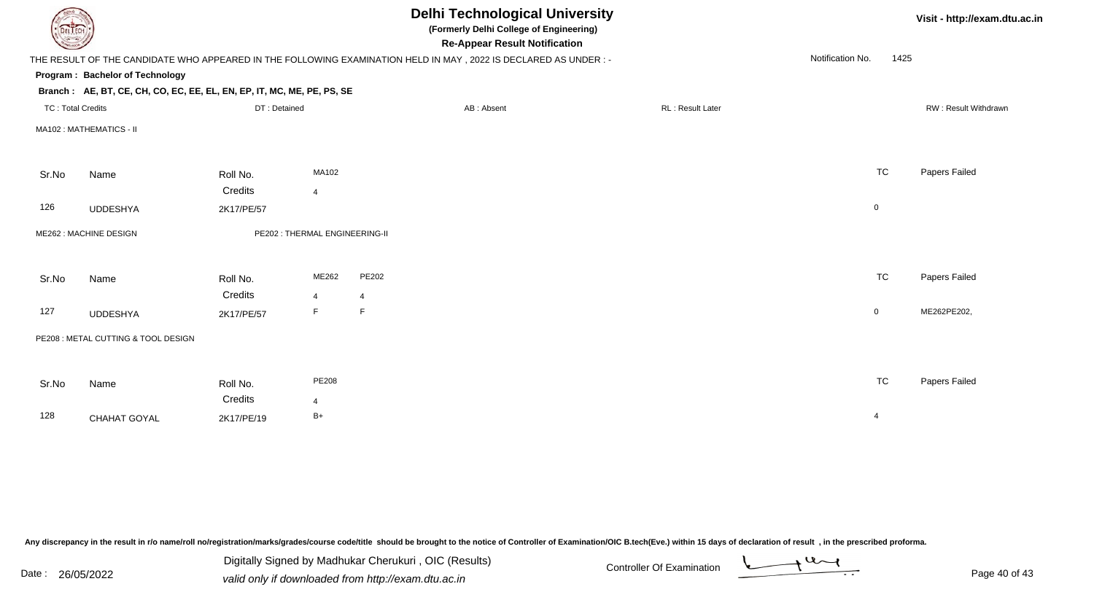| DEL I ECH                |                                                                        |              |                                | <b>Delhi Technological University</b><br>(Formerly Delhi College of Engineering)<br><b>Re-Appear Result Notification</b> |                  | Visit - http://exam.dtu.ac.in |                      |  |
|--------------------------|------------------------------------------------------------------------|--------------|--------------------------------|--------------------------------------------------------------------------------------------------------------------------|------------------|-------------------------------|----------------------|--|
|                          |                                                                        |              |                                | THE RESULT OF THE CANDIDATE WHO APPEARED IN THE FOLLOWING EXAMINATION HELD IN MAY, 2022 IS DECLARED AS UNDER:-           |                  | Notification No.<br>1425      |                      |  |
|                          | Program: Bachelor of Technology                                        |              |                                |                                                                                                                          |                  |                               |                      |  |
|                          | Branch: AE, BT, CE, CH, CO, EC, EE, EL, EN, EP, IT, MC, ME, PE, PS, SE |              |                                |                                                                                                                          |                  |                               |                      |  |
| <b>TC: Total Credits</b> |                                                                        | DT: Detained |                                | AB: Absent                                                                                                               | RL: Result Later |                               | RW: Result Withdrawn |  |
|                          | MA102: MATHEMATICS - II                                                |              |                                |                                                                                                                          |                  |                               |                      |  |
| Sr.No                    | Name                                                                   | Roll No.     | MA102                          |                                                                                                                          |                  | <b>TC</b>                     | Papers Failed        |  |
|                          |                                                                        | Credits      | $\overline{4}$                 |                                                                                                                          |                  |                               |                      |  |
| 126                      | <b>UDDESHYA</b>                                                        | 2K17/PE/57   |                                |                                                                                                                          |                  | $\overline{0}$                |                      |  |
|                          | ME262 : MACHINE DESIGN                                                 |              | PE202 : THERMAL ENGINEERING-II |                                                                                                                          |                  |                               |                      |  |
| Sr.No                    | Name                                                                   | Roll No.     | ME262                          | PE202                                                                                                                    |                  | <b>TC</b>                     | Papers Failed        |  |
|                          |                                                                        | Credits      | $\overline{4}$                 | $\overline{4}$                                                                                                           |                  |                               |                      |  |
| 127                      | <b>UDDESHYA</b>                                                        | 2K17/PE/57   | F                              | F                                                                                                                        |                  | $\overline{0}$                | ME262PE202,          |  |
|                          | PE208 : METAL CUTTING & TOOL DESIGN                                    |              |                                |                                                                                                                          |                  |                               |                      |  |
|                          |                                                                        |              |                                |                                                                                                                          |                  |                               |                      |  |
| Sr.No                    | Name                                                                   | Roll No.     | PE208                          |                                                                                                                          |                  | <b>TC</b>                     | Papers Failed        |  |
|                          |                                                                        | Credits      | $\overline{4}$                 |                                                                                                                          |                  |                               |                      |  |
| 128                      | CHAHAT GOYAL                                                           | 2K17/PE/19   | $B+$                           |                                                                                                                          |                  | $\overline{4}$                |                      |  |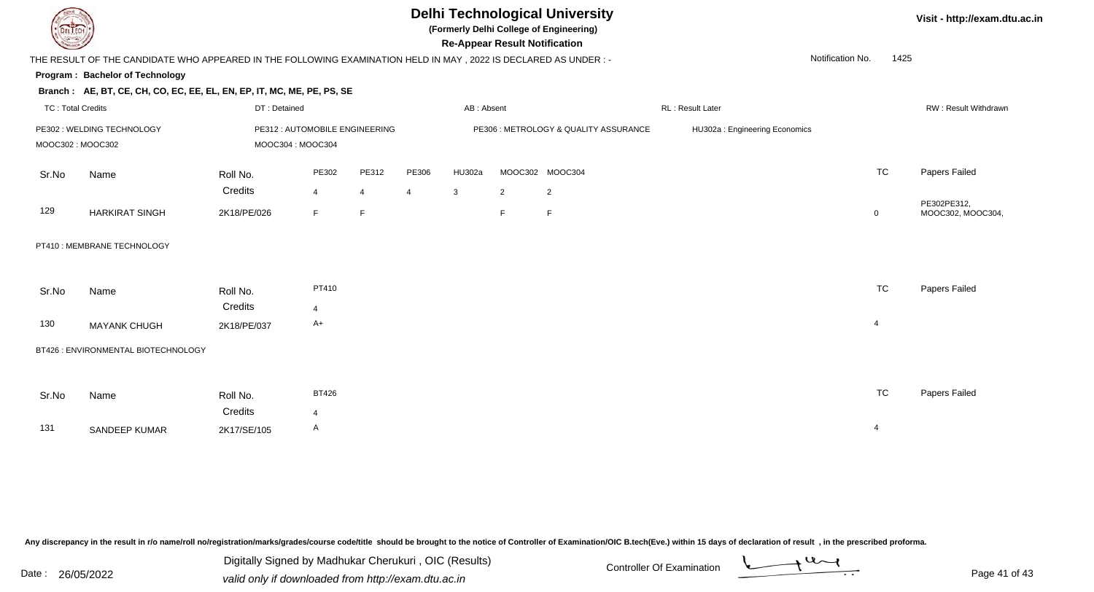

# **Delhi Technological University**

**(Formerly Delhi College of Engineering)**

**Re-Appear Result Notification**

**Visit - http://exam.dtu.ac.in**

1425

THE RESULT OF THE CANDIDATE WHO APPEARED IN THE FOLLOWING EXAMINATION HELD IN MAY , 2022 IS DECLARED AS UNDER : -Notification No.

#### **Program : Bachelor of Technology**

#### **Branch : AE, BT, CE, CH, CO, EC, EE, EL, EN, EP, IT, MC, ME, PE, PS, SE**

| TC : Total Credits                             |                       | DT: Detained                                        |       |       |       | AB: Absent                            |  |                 | RL: Result Later              |    | <b>RW: Result Withdrawn</b>      |  |
|------------------------------------------------|-----------------------|-----------------------------------------------------|-------|-------|-------|---------------------------------------|--|-----------------|-------------------------------|----|----------------------------------|--|
| PE302: WELDING TECHNOLOGY<br>MOOC302 : MOOC302 |                       | PE312 : AUTOMOBILE ENGINEERING<br>MOOC304 : MOOC304 |       |       |       | PE306 : METROLOGY & QUALITY ASSURANCE |  |                 | HU302a: Engineering Economics |    |                                  |  |
| Sr.No                                          | Name                  | Roll No.                                            | PE302 | PE312 | PE306 | HU302a                                |  | MOOC302 MOOC304 |                               | ТC | Papers Failed                    |  |
|                                                |                       | Credits                                             |       |       |       | -3                                    |  |                 |                               |    |                                  |  |
| 129                                            | <b>HARKIRAT SINGH</b> | 2K18/PE/026                                         |       |       |       |                                       |  |                 |                               |    | PE302PE312,<br>MOOC302, MOOC304, |  |

#### PT410 : MEMBRANE TECHNOLOGY

| Sr.No | Name                | Roll No.    | PT410 | <b>TC</b> | Papers Failed |
|-------|---------------------|-------------|-------|-----------|---------------|
|       |                     | Credits     |       |           |               |
| 130   | <b>MAYANK CHUGH</b> | 2K18/PE/037 | A+    |           |               |

#### BT426 : ENVIRONMENTAL BIOTECHNOLOGY

| Sr.No | Name          | Roll No.    | <b>BT426</b> | <b>TC</b> | Papers Failed |
|-------|---------------|-------------|--------------|-----------|---------------|
|       |               | Credits     |              |           |               |
| 131   | SANDEEP KUMAR | 2K17/SE/105 | A            |           |               |

Any discrepancy in the result in r/o name/roll no/registration/marks/grades/course code/title should be brought to the notice of Controller of Examination/OIC B.tech(Eve.) within 15 days of declaration of result, in the pr

Date : 26/05/2022 valid only if downloaded from http://exam.dtu.ac.in<br>valid only if downloaded from http://exam.dtu.ac.in Digitally Signed by Madhukar Cherukuri , OIC (Results)

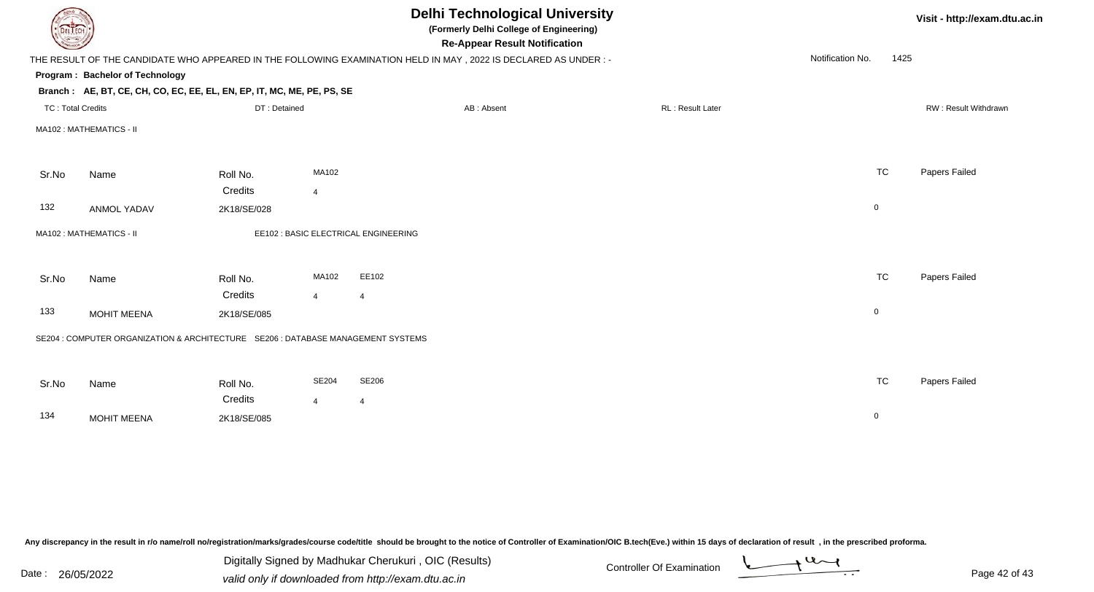|                          | <b>Delhi Technological University</b><br>(Formerly Delhi College of Engineering)<br><b>Re-Appear Result Notification</b> |                     |                         |                                                                                                                |                  |                  |           | Visit - http://exam.dtu.ac.in |  |
|--------------------------|--------------------------------------------------------------------------------------------------------------------------|---------------------|-------------------------|----------------------------------------------------------------------------------------------------------------|------------------|------------------|-----------|-------------------------------|--|
|                          |                                                                                                                          |                     |                         | THE RESULT OF THE CANDIDATE WHO APPEARED IN THE FOLLOWING EXAMINATION HELD IN MAY, 2022 IS DECLARED AS UNDER:- |                  | Notification No. | 1425      |                               |  |
|                          | Program: Bachelor of Technology                                                                                          |                     |                         |                                                                                                                |                  |                  |           |                               |  |
|                          | Branch: AE, BT, CE, CH, CO, EC, EE, EL, EN, EP, IT, MC, ME, PE, PS, SE                                                   |                     |                         |                                                                                                                |                  |                  |           |                               |  |
| <b>TC: Total Credits</b> |                                                                                                                          | DT: Detained        |                         | AB: Absent                                                                                                     | RL: Result Later |                  |           | RW: Result Withdrawn          |  |
|                          | MA102: MATHEMATICS - II                                                                                                  |                     |                         |                                                                                                                |                  |                  |           |                               |  |
| Sr.No                    | Name                                                                                                                     | Roll No.            | MA102                   |                                                                                                                |                  |                  | <b>TC</b> | Papers Failed                 |  |
|                          |                                                                                                                          | Credits             | 4                       |                                                                                                                |                  |                  |           |                               |  |
| 132                      | <b>ANMOL YADAV</b>                                                                                                       | 2K18/SE/028         |                         |                                                                                                                |                  | $\mathbf 0$      |           |                               |  |
|                          | MA102: MATHEMATICS - II                                                                                                  |                     |                         | EE102 : BASIC ELECTRICAL ENGINEERING                                                                           |                  |                  |           |                               |  |
| Sr.No                    | Name                                                                                                                     | Roll No.<br>Credits | MA102<br>$\overline{4}$ | EE102<br>$\overline{4}$                                                                                        |                  |                  | <b>TC</b> | Papers Failed                 |  |
| 133                      | <b>MOHIT MEENA</b>                                                                                                       | 2K18/SE/085         |                         |                                                                                                                |                  | $\mathbf 0$      |           |                               |  |
|                          | SE204 : COMPUTER ORGANIZATION & ARCHITECTURE SE206 : DATABASE MANAGEMENT SYSTEMS                                         |                     |                         |                                                                                                                |                  |                  |           |                               |  |
| Sr.No                    | Name                                                                                                                     | Roll No.<br>Credits | <b>SE204</b><br>4       | SE206<br>$\overline{4}$                                                                                        |                  |                  | <b>TC</b> | Papers Failed                 |  |
| 134                      | <b>MOHIT MEENA</b>                                                                                                       | 2K18/SE/085         |                         |                                                                                                                |                  | $\mathbf 0$      |           |                               |  |